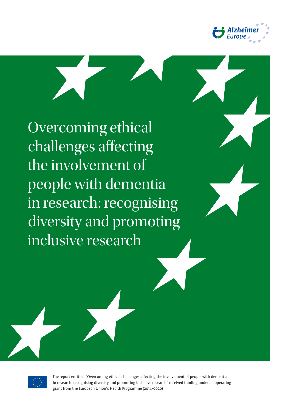

Overcoming ethical challenges affecting the involvement of people with dementia in research: recognising diversity and promoting inclusive research



The report entitled "Overcoming ethical challenges affecting the involvement of people with dementia in research: recognising diversity and promoting inclusive research" received funding under an operating grant from the European Union's Health Programme (2014–2020)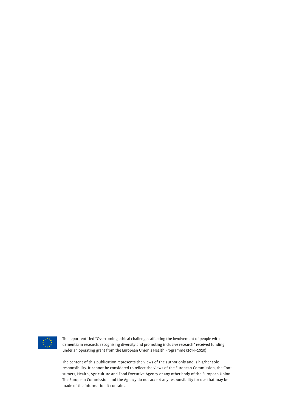

The report entitled "Overcoming ethical challenges affecting the involvement of people with dementia in research: recognising diversity and promoting inclusive research" received funding under an operating grant from the European Union's Health Programme (2014–2020)

The content of this publication represents the views of the author only and is his/her sole responsibility. It cannot be considered to reflect the views of the European Commission, the Consumers, Health, Agriculture and Food Executive Agency or any other body of the European Union. The European Commission and the Agency do not accept any responsibility for use that may be made of the information it contains.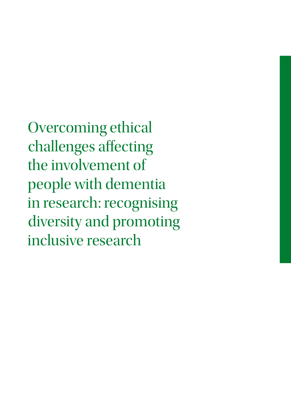Overcoming ethical challenges affecting the involvement of people with dementia in research: recognising diversity and promoting inclusive research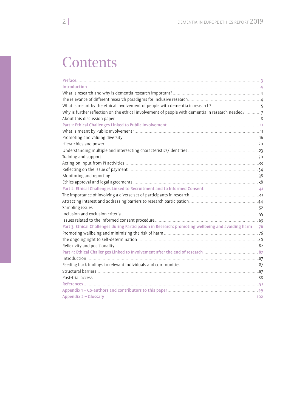# **Contents**

| Why is further reflection on the ethical involvement of people with dementia in research needed? 7     |  |
|--------------------------------------------------------------------------------------------------------|--|
|                                                                                                        |  |
|                                                                                                        |  |
|                                                                                                        |  |
|                                                                                                        |  |
|                                                                                                        |  |
|                                                                                                        |  |
|                                                                                                        |  |
|                                                                                                        |  |
|                                                                                                        |  |
|                                                                                                        |  |
|                                                                                                        |  |
|                                                                                                        |  |
|                                                                                                        |  |
|                                                                                                        |  |
|                                                                                                        |  |
|                                                                                                        |  |
|                                                                                                        |  |
| Part 3: Ethical Challenges during Participation in Research: promoting wellbeing and avoiding harm  76 |  |
|                                                                                                        |  |
|                                                                                                        |  |
|                                                                                                        |  |
|                                                                                                        |  |
|                                                                                                        |  |
|                                                                                                        |  |
|                                                                                                        |  |
|                                                                                                        |  |
|                                                                                                        |  |
|                                                                                                        |  |
|                                                                                                        |  |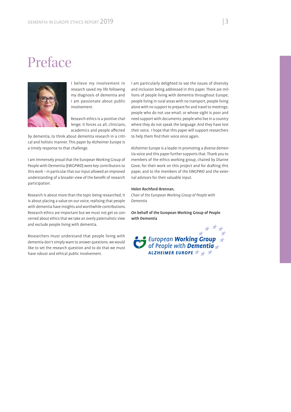# Preface



I believe my involvement in research saved my life following my diagnosis of dementia and I am passionate about public involvement.

Research ethics is a positive challenge; it forces us all, clinicians, academics and people affected

by dementia, to think about dementia research in a critical and holistic manner. This paper by Alzheimer Europe is a timely response to that challenge.

I am immensely proud that the European Working Group of People with Dementia (EWGPWD) were key contributors to this work – in particular that our input allowed an improved understanding of a broader view of the benefit of research participation.

Research is about more than the topic being researched; it is about placing a value on our voice, realising that people with dementia have insights and worthwhile contributions. Research ethics are important but we must not get so concerned about ethics that we take an overly paternalistic view and exclude people living with dementia.

Researchers must understand that people living with dementia don't simply want to answer questions, we would like to set the research question and to do that we must have robust and ethical public involvement.

I am particularly delighted to see the issues of diversity and inclusion being addressed in this paper. There are millions of people living with dementia throughout Europe; people living in rural areas with no transport, people living alone with no support to prepare for and travel to meetings; people who do not use email, or whose sight is poor and need support with documents; people who live in a country where they do not speak the language. And they have lost their voice. I hope that this paper will support researchers to help them find their voice once again.

Alzheimer Europe is a leader in promoting a diverse dementia voice and this paper further supports that. Thank you to members of the ethics working group, chaired by Dianne Gove, for their work on this project and for drafting this paper, and to the members of the EWGPWD and the external advisors for their valuable input.

#### Helen Rochford-Brennan,

*Chair of the European Working Group of People with Dementia*

On behalf of the European Working Group of People with Dementia

European **Working Group**<br>of People with **Dementia** ALZHEIMER EUROPE \* + \*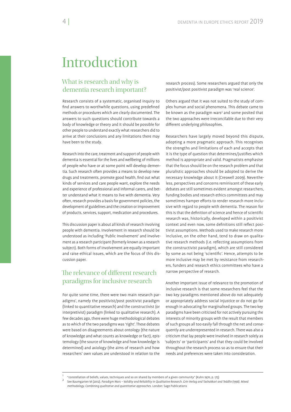# Introduction

# What is research and why is dementia research important?

Research consists of a systematic, organised inquiry to find answers to worthwhile questions, using predefined methods or procedures which are clearly documented. The answers to such questions should contribute towards a body of knowledge or theory and it should be possible for other people to understand exactly what researchers did to arrive at their conclusions and any limitations there may have been to the study.

Research into the care, treatment and support of people with dementia is essential for the lives and wellbeing of millions of people who have or at some point will develop dementia. Such research often provides a means to develop new drugs and treatments, promote good health, find out what kinds of services and care people want, explore the needs and experience of professional and informal carers, and better understand what it means to live with dementia. Very often, research provides a basis for government policies, the development of guidelines and the creation or improvement of products, services, support, medication and procedures.

This discussion paper is about all kinds of research involving people with dementia. Involvement in research should be understood as including 'Public Involvement' and involvement as a research participant (formerly known as a research subject). Both forms of involvement are equally important and raise ethical issues, which are the focus of this discussion paper.

# The relevance of different research paradigms for inclusive research

For quite some time, there were two main research paradigms', namely the positivist/post positivist paradigm (linked to quantitative research) and the constructivist (or interpretivist) paradigm (linked to qualitative research). A few decades ago, there were huge methodological debates as to which of the two paradigms was 'right'. These debates were based on disagreements about ontology (the nature of knowledge and what counts as knowledge or fact), epistemology (the source of knowledge and how knowledge is determined) and axiology (the aims of research and how researchers' own values are understood in relation to the

research process). Some researchers argued that only the positivist/post positivist paradigm was 'real science'.

Others argued that it was not suited to the study of complex human and social phenomena. This debate came to be known as the paradigm wars<sup>2</sup> and some posited that the two approaches were irreconcilable due to their very different underlying philosophies.

Researchers have largely moved beyond this dispute, adopting a more pragmatic approach. This recognises the strengths and limitations of each and accepts that it is the type of question that determines/justifies which method is appropriate and valid. Pragmatists emphasise that the focus should be on the research problem and that pluralistic approaches should be adopted to derive the necessary knowledge about it (Creswell 2009). Nevertheless, perspectives and concerns reminiscent of these early debates are still sometimes evident amongst researchers, funding bodies and research ethics committees and may sometimes hamper efforts to render research more inclusive with regard to people with dementia. The reason for this is that the definition of science and hence of scientific research was, historically, developed within a positivist context and even now, some definitions still reflect positivist assumptions. Methods used to make research more inclusive, on the other hand, tend to draw on qualitative research methods (i.e. reflecting assumptions from the constructivist paradigm), which are still considered by some as not being 'scientific'. Hence, attempts to be more inclusive may be met by resistance from researchers, funders and research ethics committees who have a narrow perspective of research.

Another important issue of relevance to the promotion of inclusive research is that some researchers feel that the two key paradigms mentioned above do not adequately or appropriately address social injustice or do not go far enough in advocating for marginalised groups. The two key paradigms have been criticised for not actively pursuing the interests of minority groups with the result that members of such groups all too easily fall through the net and consequently are underrepresented in research. There was also a criticism that lay people were involved in research solely as 'subjects' or 'participants' and that they could be involved throughout the research process so as to ensure that their needs and preferences were taken into consideration.

<sup>1</sup> "constellation of beliefs, values, techniques and so on shared by members of a given community" (Kuhn 1970, p. 175)

<sup>2</sup> See Baumgarten M (2012). *Paradigm Wars – Validity and Reliability in Qualitative Research. Grin Verlag and Tashakkori and Teddlie (1998). Mixed methodology. Combining qualitative and quantitative approaches.* London: Sage Publications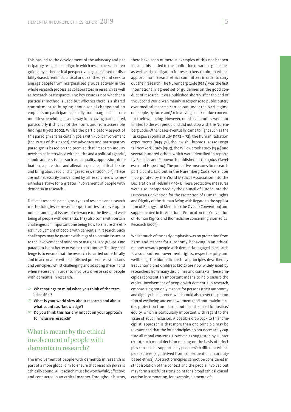This has led to the development of the advocacy and participatory research paradigm in which researchers are often guided by a theoretical perspective (e.g. racialised or disability-based, feminist, critical or queer theory) and seek to engage people from marginalised groups actively in the whole research process as collaborators in research as well as research participants. The key issue is not whether a particular method is used but whether there is a shared commitment to bringing about social change and an emphasis on participants (usually from marginalised communities) benefiting in some way from having participated, particularly if this is not the norm, and from accessible ndings (Pyett 2002). Whilst the participatory aspect of this paradigm shares certain goals with Public Involvement (see Part 1 of this paper), the advocacy and participatory paradigm is based on the premise that "research inquiry needs to be intertwined with politics and a political agenda", should address issues such as inequality, oppression, domination, suppression, and alienation, create political debate and bring about social changes (Creswell 2009, p.9). These are not necessarily aims shared by all researchers who nevertheless strive for a greater involvement of people with dementia in research.

Different research paradigms, types of research and research methodologies represent opportunities to develop an understanding of issues of relevance to the lives and wellbeing of people with dementia. They also come with certain challenges, an important one being how to ensure the ethical involvement of people with dementia in research. Such challenges may be greater with regard to certain issues or to the involvement of minority or marginalised groups. One paradigm is not better or worse than another. The key challenge is to ensure that the research is carried out ethically and in accordance with established procedures, standards and principles, whilst challenging and adapting these if and when necessary in order to involve a diverse set of people with dementia in research.

- $\heartsuit$  What springs to mind when you think of the term 'scientific'?
- $\heartsuit$  What is your world view about research and about what counts as 'knowledge'?
- $\degree$  Do you think this has any impact on your approach to inclusive research?

# What is meant by the ethical involvement of people with dementia in research?

The involvement of people with dementia in research is part of a more global aim to ensure that research *per se* is ethically sound. All research must be worthwhile, effective and conducted in an ethical manner. Throughout history, there have been numerous examples of this not happening and this has led to the publication of various guidelines as well as the obligation for researchers to obtain ethical approval from research ethics committees in order to carry out their research. The Nuremberg Code (1948) was the first internationally agreed set of guidelines on the good conduct of research. It was published shortly after the end of the Second World War, mainly in response to public outcry over medical research carried out under the Nazi regime on people, by force and/or involving a lack of due concern for their wellbeing. However, unethical studies were not limited to the war period and did not stop with the Nuremberg Code. Other cases eventually came to light such as the Tuskegee syphilis study (1932 – 72), the human radiation experiments (1945–72), the Jewish Chronic Disease Hospital New York Study (1963), the Willowbrook study (1956) and several hundred others which were identified in reports by Beecher and Pappworth published in the 1960s (Savelescu and Hope 2010). The protective measures for research participants, laid out in the Nuremberg Code, were later incorporated by the World Medical Association into the Declaration of Helsinki (1964). These protective measures were also incorporated by the Council of Europe into the European Convention for the Protection of Human Rights and Dignity of the Human Being with Regard to the Application of Biology and Medicine (the Oviedo Convention) and supplemented in its Additional Protocol on the Convention of Human Rights and Biomedicine concerning Biomedical Research (2005).

Whilst much of the early emphasis was on protection from harm and respect for autonomy, behaving in an ethical manner towards people with dementia engaged in research is also about empowerment, rights, respect, equity and wellbeing. The biomedical ethical principles described by Beauchamp and Childress (2012) are now widely used by researchers from many disciplines and contexts. These principles represent an important means to help ensure the ethical involvement of people with dementia in research, emphasising not only respect for persons (their autonomy and dignity), beneficence (which could also cover the promotion of wellbeing and empowerment) and non-maleficence (i.e. protection from harm), but also the need for justice/ equity, which is particularly important with regard to the issue of equal inclusion. A possible drawback to this 'principlist' approach is that more than one principle may be relevant and that the four principles do not necessarily capture all moral concerns. However, as suggested by Hunter (2010), such moral decision making on the basis of principles can also be supported by people with different ethical perspectives (e.g. derived from consequentialism or dutybased ethics). Abstract principles cannot be considered in strict isolation of the context and the people involved but may form a useful starting point for a broad ethical consideration incorporating, for example, elements of: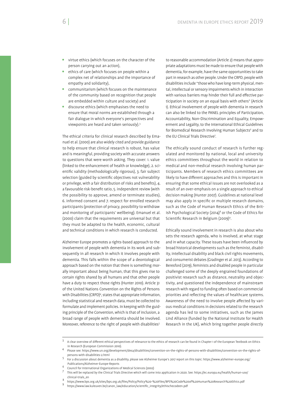- virtue ethics (which focuses on the character of the person carrying out an action),
- ethics of care (which focuses on people within a complex net of relationships and the importance of empathy and solidarity),
- communitarism (which focuses on the maintenance of the community based on recognition that people are embedded within culture and society) and
- discourse ethics (which emphasises the need to ensure that moral norms are established through a fair dialogue in which everyone's perspectives and viewpoints are heard and taken seriously).3

The ethical criteria for clinical research described by Emanuel et al. (2000) are also widely cited and provide guidance to help ensure that clinical research is robust, has value and is meaningful, providing society with accurate answers to questions that were worth asking. They cover: 1. value (linked to the enhancement of health or knowledge), 2. scientific validity (methodologically rigorous), 3. fair subject selection (guided by scientific objectives not vulnerability or privilege, with a fair distribution of risks and benefits), 4. a favourable risk-benefit ratio, 5. independent review (with the possibility to approve, amend or terminate studies), 6. informed consent and 7. respect for enrolled research participants (protection of privacy, possibility to withdraw and monitoring of participants' wellbeing). Emanuel et al. (2000) claim that the requirements are universal but that they must be adapted to the health, economic, cultural and technical conditions in which research is conducted.

Alzheimer Europe promotes a rights-based approach to the involvement of people with dementia in its work and subsequently in all research in which it involves people with dementia. This falls within the scope of a deontological approach based on the notion that there is something morally important about being human, that this gives rise to certain rights shared by all humans and that other people have a duty to respect those rights (Hunter 2010). Article 31 of the United Nations Convention on the Rights of Persons with Disabilities (CRPD)<sup>4</sup>, states that appropriate information, including statistical and research data, must be collected to formulate and implement policies. In keeping with the guiding principle of the Convention, which is that of inclusion, a broad range of people with dementia should be involved. Moreover, reference to the right of people with disabilities<sup>5</sup>

to reasonable accommodation (Article 2) means that appropriate adaptations must be made to ensure that people with dementia, for example, have the same opportunities to take part in research as other people. Under the CRPD, people with disabilities include "those who have long-term physical, mental, intellectual or sensory impairments which in interaction with various barriers may hinder their full and effective participation in society on an equal basis with others" (Article 1). Ethical involvement of people with dementia in research can also be linked to the PANEL principles of Participation, Accountability, Non-Discrimination and Equality, Empowerment and Legality, to the International Ethical Guidelines for Biomedical Research Involving Human Subjects<sup>6</sup> and to the EU Clinical Trials Directive<sup>7</sup>.

The ethically sound conduct of research is further regulated and monitored by national, local and university ethics committees throughout the world in relation to medical and non-medical research involving human participants. Members of research ethics committees are likely to have different approaches and this is important in ensuring that some ethical issues are not overlooked as a result of an over-emphasis on a single approach to ethical decision making (Hunter 2007). Guidelines at national level may also apply in specific or multiple research domains, such as the Code of Human Research Ethics of the British Psychological Society (2014)<sup>8</sup> or the Code of Ethics for Scientific Research in Belgium (2009)<sup>9</sup>.

Ethically sound involvement in research is also about who sets the research agenda, who is involved, at what stage and in what capacity. These issues have been influenced by broad historical developments such as the feminist, disability, intellectual disability and black civil rights movements, and consumerist debates (Gradinger et al. 2013). According to Beresford (2019), feminists and disabled people in particular challenged some of the deeply engrained foundations of positivist research such as distance, neutrality and objectivity, and questioned the independence of mainstream research with regard to funding often based on commercial priorities and reflecting the values of healthcare systems. Awareness of the need to involve people affected by various medical conditions in decisions related to the research agenda has led to some initiatives, such as the James Lind Alliance (funded by the National Institute for Health Research in the UK), which bring together people directly

<sup>3</sup> A clear overview of different ethical perspectives of relevance to the ethics of research can be found in Chapter 1 of the European Textbook on Ethics in Research (European Commission 2010).

Please see: https://www.un.org/development/desa/disabilities/convention-on-the-rights-of-persons-with-disabilities/convention-on-the-rights-ofpersons-with-disabilities-2.html <sup>5</sup>

For a discussion about dementia as a disability, please see Alzheimer Europe's 2017 report on this topic: https://www.alzheimer-europe.org/ Publications/Alzheimer-Europe-Reports 6

Council for International Organizations of Medical Sciences (2002)

<sup>7</sup> This will be replaced by the Clinical Trials Directive which will come into application in 2020. See: https://ec.europa.eu/health/human-use/ clinical-trials\_en 8

https://www.bps.org.uk/sites/bps.org.uk/ les/Policy/Policy%20-%20Files/BPS%20Code%20of%20Human%20Research%20Ethics.pdf 9

https://www.law.kuleuven.be/canon\_law/education/scientific\_integrity/ethischecodeen.pdf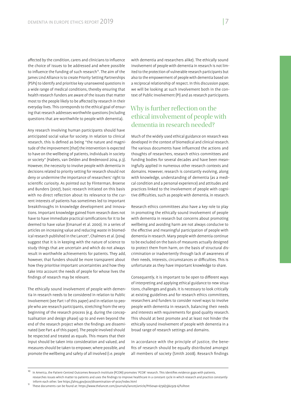affected by the condition, carers and clinicians to influence the choice of issues to be addressed and where possible to influence the funding of such research<sup>10</sup>. The aim of the James Lind Alliance is to create Priority Setting Partnerships (PSPs) to identify and prioritise key unanswered questions in a wide range of medical conditions, thereby ensuring that health research funders are aware of the issues that matter most to the people likely to be affected by research in their everyday lives. This corresponds to the ethical goal of ensuring that research addresses worthwhile questions (including questions that are worthwhile to people with dementia).

Any research involving human participants should have anticipated social value for society. In relation to clinical research, this is defined as being "the nature and magnitude of the improvement [*that*] the intervention is expected to have on the wellbeing of patients, individuals in society or society" (Habets, van Delden and Bredenoord 2014, p.3). However, the necessity to involve people with dementia in decisions related to priority setting for research should not deny or undermine the importance of researchers' right to scientific curiosity. As pointed out by Flinterman, Broerse and Bunders (2007), basic research initiated on this basis with no direct reflection about its relevance to the current interests of patients has sometimes led to important breakthroughs in knowledge development and innovations. Important knowledge gained from research does not have to have immediate practical ramifications for it to be deemed to have value (Emanuel et al. 2000). In a series of articles on increasing value and reducing waste in biomedical research published in the Lancet<sup>11</sup>, Chalmers et al. (2014) suggest that it is in keeping with the nature of science to study things that are uncertain and which do not always result in worthwhile achievements for patients. They add, however, that funders should be more transparent about how they prioritise important uncertainties and how they take into account the needs of people for whose lives the findings of research may be relevant.

The ethically sound involvement of people with dementia in research needs to be considered in relation to Public Involvement (see Part 1 of this paper) and in relation to people who are research participants, stretching from the very beginning of the research process (e.g. during the conceptualisation and design phase) up to and even beyond the end of the research project when the findings are disseminated (see Part 4 of this paper). The people involved should be respected and treated as equals. This means that their input should be taken into consideration and valued, and measures should be taken to empower, where possible, and promote the wellbeing and safety of all involved (i.e. people

with dementia and researchers alike). The ethically sound involvement of people with dementia in research is not limited to the protection of vulnerable research participants but also to the empowerment of people with dementia based on a reciprocal relationship of respect. In this discussion paper, we will be looking at such involvement both in the context of Public Involvement (PI) and as research participants.

# Why is further reflection on the ethical involvement of people with dementia in research needed?

Much of the widely used ethical guidance on research was developed in the context of biomedical and clinical research. The various documents have influenced the actions and thoughts of researchers, research ethics committees and funding bodies for several decades and have been meaningfully applied in numerous other research contexts and domains. However, research is constantly evolving, along with knowledge, understanding of dementia (as a medical condition and a personal experience) and attitudes and practices linked to the involvement of people with cognitive difficulties, such as people with dementia, in research.

Research ethics committees also have a key role to play in promoting the ethically sound involvement of people with dementia in research but concerns about promoting wellbeing and avoiding harm are not always conducive to the effective and meaningful participation of people with dementia in research. Many people with dementia continue to be excluded on the basis of measures actually designed to protect them from harm, on the basis of structural discrimination or inadvertently through lack of awareness of their needs, interests, circumstances or difficulties. This is unfortunate as they have important knowledge to share.

Consequently, it is important to be open to different ways of interpreting and applying ethical guidance to new situations, challenges and goals. It is necessary to look critically at existing guidelines and for research ethics committees, researchers and funders to consider novel ways to involve people with dementia in research, balancing their needs and interests with requirements for good quality research. This should at best promote and at least not hinder the ethically sound involvement of people with dementia in a broad range of research settings and domains.

In accordance with the principle of justice, the bene fits of research should be equally distributed amongst all members of society (Smith 2008). Research findings

In America, the Patient-Centred Outcomes Research Insititute (PCORI) promotes 'PCOR' research. This identifies evidence gaps with patients, researches issues which matter to patients and uses the findings to improve healthcare in a constant cycle in which research and practice constantly inform each other. See https://ahrq.gov/pcor/dissemination-of-pcor/index.html 11<br>
11 These documents can be found at: https://www.thelancet.com/journals/lancet/article/PIIS0140-6736(13)62329-6/fulltext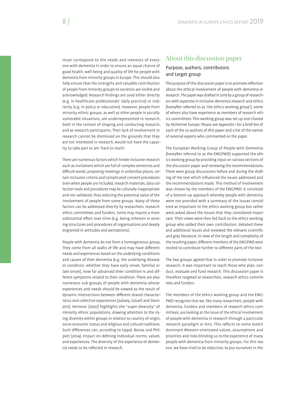must correspond to the needs and interests of everyone with dementia in order to ensure an equal chance of good health, well-being and quality of life for people with dementia from minority groups in Europe. This should also help ensure that the strengths and valuable contribution of people from minority groups to societies are visible and acknowledged. Research findings are used either directly (e.g. in healthcare professionals' daily practice) or indirectly (e.g. in policy or education). However, people from minority ethnic groups, as well as other people in socially vulnerable situations, are underrepresented in research, both in the context of shaping and conducting research, and as research participants. Their lack of involvement in research cannot be dismissed on the grounds that they are not interested in research, would not have the capacity to take part or are 'hard to reach'.

There are numerous factors which hinder inclusive research such as invitations which are full of complex sentences and difficult words, proposing meetings in unfamiliar places, certain inclusion criteria and complicated consent procedures. Even when people are included, research materials, data collection tools and procedures may be culturally inappropriate and not validated, thus reducing the potential value of the involvement of people from some groups. Many of these factors can be addressed directly by researchers, research ethics committees and funders. Some may require a more substantial effort over time (e.g. being inherent in existing structures and procedures of organisations and deeply engrained in attitudes and perceptions).

People with dementia do not form a homogeneous group. They come from all walks of life and may have different needs and experiences based on the underlying conditions and causes of their dementia (e.g. the underlying disease or condition, whether they have early onset, familial or late onset), how far advanced their condition is and different symptoms related to their condition. There are also numerous sub-groups of people with dementia whose experiences and needs should be viewed as the result of dynamic intersections between different shared characteristics and collective experiences (Jubany, Güuell and Davis 2011). Vertovec (2007) highlights the "super diversity" of minority ethnic populations, drawing attention to the rising diversity within groups in relation to country of origin, socio-economic status and religious and cultural traditions. Such differences can, according to Uppal, Bonas and Philpott (2014), impact on defining individual norms, values and experiences. The diversity of the experience of dementia needs to be reflected in research.

## About this discussion paper Purpose, authors, contributors and target group

The purpose of this discussion paper is to promote reflection about the ethical involvement of people with dementia in research. The paper was drafted in 2019 by a group of researchers with expertise in inclusive dementia research and ethics (hereafter referred to as 'the ethics working group'), some of whom also have experience as members of research ethics committees. This working group was set up and chaired by Alzheimer Europe. Please see Appendix 1 for a brief bio of each of the co-authors of this paper and a list of the names of external experts who commented on the paper.

The European Working Group of People with Dementia (hereafter referred to as the EWGPWD) supported the ethics working group by providing input on various sections of the discussion paper and reviewing the recommendations. There were group discussions before and during the drafting of the text which influenced the issues addressed and the recommendations made. This method of involvement was chosen by the members of the EWGPWD. It consisted of a bottom-up approach whereby people with dementia were not provided with a summary of the issues considered as important to the ethics working group but rather were asked about the issues that they considered important. Their views were then fed back to the ethics working group who added their own contribution, debated these and additional issues and reviewed the relevant scientific and grey literature. In view of the length and complexity of the resulting paper, different members of the EWGPWD were invited to contribute further to different parts of the text.

The two groups agreed that in order to promote inclusive research, it was important to reach those who plan, conduct, evaluate and fund research. This discussion paper is therefore targeted at researchers, research ethics committees and funders.

The members of the ethics working group and the EWG-PWD recognise that we, like many researchers, people with dementia, funders and members of research ethics committees, are looking at the issue of the ethical involvement of people with dementia in research through a particular research paradigm or lens. This reflects to some extent dominant Western-orientated values, assumptions and priorities and risks blinding us to the experience of many people with dementia from minority groups. For this reason, we have tried to be objective, to put ourselves in the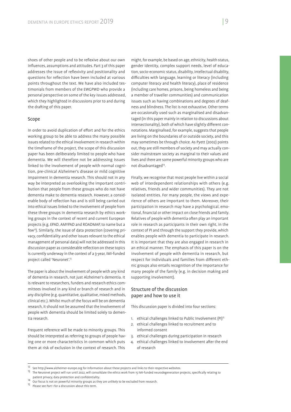shoes of other people and to be reflexive about our own influences, assumptions and attitudes. Part 3 of this paper addresses the issue of reflexivity and positionality and questions for reflection have been included at various points throughout the text. We have also included testimonials from members of the EWGPWD who provide a personal perspective on some of the key issues addressed, which they highlighted in discussions prior to and during the drafting of this paper.

#### Scope

In order to avoid duplication of effort and for the ethics working group to be able to address the many possible issues related to the ethical involvement in research within the timeframe of the project, the scope of this discussion paper has been deliberately limited to people who have dementia. We will therefore not be addressing issues linked to the involvement of people with normal cognition, pre-clinical Alzheimer's disease or mild cognitive impairment in dementia research. This should not in any way be interpreted as overlooking the important contribution that people from these groups who do not have dementia make to dementia research. However, a considerable body of reflection has and is still being carried out into ethical issues linked to the involvement of people from these three groups in dementia research by ethics working groups in the context of recent and current European projects (e.g. EPAD, AMYPAD and ROADMAP, to name but a few12). Similarly, the issue of data protection (covering privacy, confidentiality and other issues relevant to the ethical management of personal data) will not be addressed in this discussion paper as considerable reflection on these topics is currently underway in the context of a 3-year, IMI-funded project called 'Neuronet'.<sup>13</sup>

The paper is about the involvement of people with any kind of dementia in research, not just Alzheimer's dementia. It is relevant to researchers, funders and research ethics committees involved in any kind or branch of research and in any discipline (e.g. quantitative, qualitative, mixed methods, clinical etc.). Whilst much of the focus will be on dementia research, it should not be assumed that the involvement of people with dementia should be limited solely to dementia research.

Frequent reference will be made to minority groups. This should be interpreted as referring to groups of people having one or more characteristics in common which puts them at risk of exclusion in the context of research. This

might, for example, be based on age, ethnicity, health status, gender identity, complex support needs, level of education, socio-economic status, disability, intellectual disability, difficulties with language, learning or literacy (including computer literacy and health literacy), place of residence (including care homes, prisons, being homeless and being a member of traveller communities) and communication issues such as having combinations and degrees of deafness and blindness. The list is not exhaustive. Other terms are occasionally used such as marginalised and disadvantaged (in this paper mainly in relation to discussions about intersectionality), both of which have slightly different connotations. Marginalised, for example, suggests that people are living on the boundaries of or outside society, and this may sometimes be through choice. As Pyett (2002) points out, they are still members of society and may actually consider mainstream society as marginal to their values and lives and there are some powerful minority groups who are not disadvantaged<sup>14</sup>.

Finally, we recognise that most people live within a social web of interdependent relationships with others (e.g. relatives, friends and wider communities). They are not isolated entities. For many people, the views and experience of others are important to them. Moreover, their participation in research may have a psychological, emotional, financial or other impact on close friends and family. Relatives of people with dementia often play an important role in research as participants in their own right, in the context of PI and through the support they provide, which enables people with dementia to participate in research. It is important that they are also engaged in research in an ethical manner. The emphasis of this paper is on the involvement of people with dementia in research, but respect for individuals and families from different ethnic groups also entails recognition of the importance for many people of the family (e.g. in decision making and supporting involvement).

#### Structure of the discussion paper and how to use it

This discussion paper is divided into four sections:

- 1. ethical challenges linked to Public Involvement (PI)<sup>15</sup>
- 2. ethical challenges linked to recruitment and to informed consent
- 3. ethical challenges during participation in research
- 4. ethical challenges linked to involvement after the end of research

12 See http://www.alzheimer-europe.org for information about these projects and links to their respective websites.

<sup>&</sup>lt;sup>13</sup> The Neuronet project will run until 2022, will consolidate the ethics work from 15 IMI-funded neurodegeneration projects, specifically relating to patient privacy, data protection and confidentiality.<br><sup>14</sup> Our focus is not on powerful minority groups as they are unlikely to be excluded from research.

<sup>15</sup> Please see Part 1 for a discussion about this term.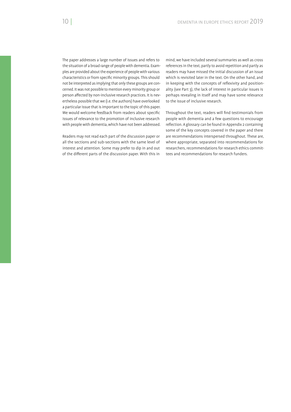The paper addresses a large number of issues and refers to the situation of a broad range of people with dementia. Examples are provided about the experience of people with various characteristics or from specific minority groups. This should not be interpreted as implying that only these groups are concerned. It was not possible to mention every minority group or person affected by non-inclusive research practices. It is nevertheless possible that we (i.e. the authors) have overlooked a particular issue that is important to the topic of this paper. We would welcome feedback from readers about specific issues of relevance to the promotion of inclusive research with people with dementia, which have not been addressed.

Readers may not read each part of the discussion paper or all the sections and sub-sections with the same level of interest and attention. Some may prefer to dip in and out of the different parts of the discussion paper. With this in

mind, we have included several summaries as well as cross references in the text, partly to avoid repetition and partly as readers may have missed the initial discussion of an issue which is revisited later in the text. On the other hand, and in keeping with the concepts of reflexivity and positionality (see Part 3), the lack of interest in particular issues is perhaps revealing in itself and may have some relevance to the issue of inclusive research.

Throughout the text, readers will find testimonials from people with dementia and a few questions to encourage reflection. A glossary can be found in Appendix 2 containing some of the key concepts covered in the paper and there are recommendations interspersed throughout. These are, where appropriate, separated into recommendations for researchers, recommendations for research ethics committees and recommendations for research funders.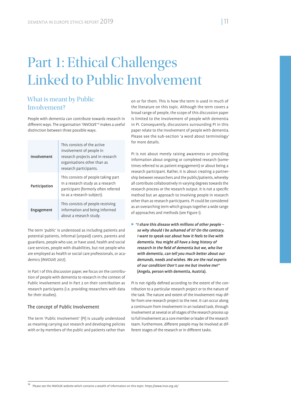# Part 1: Ethical Challenges Linked to Public Involvement

# What is meant by Public Involvement?

People with dementia can contribute towards research in different ways. The organisation 'INVOLVE'<sup>16</sup> makes a useful distinction between three possible ways.

| Involvement   | This consists of the active<br>involvement of people in<br>research projects and in research<br>organisations other than as<br>research participants. |
|---------------|-------------------------------------------------------------------------------------------------------------------------------------------------------|
| Participation | This consists of people taking part<br>in a research study as a research<br>participant (formerly often referred<br>to as a research subject).        |
| Engagement    | This consists of people receiving<br>information and being informed<br>about a research study.                                                        |

The term 'public' is understood as including patients and potential patients, informal (unpaid) carers, parents and guardians, people who use, or have used, health and social care services, people with disabilities, but not people who are employed as health or social care professionals, or academics (INVOLVE 2017).

In Part 1 of this discussion paper, we focus on the contribution of people with dementia to research in the context of Public Involvement and in Part 2 on their contribution as research participants (i.e. providing researchers with data for their studies).

#### The concept of Public Involvement

The term 'Public Involvement' (PI) is usually understood as meaning carrying out research and developing policies with or by members of the public and patients rather than

on or for them. This is how the term is used in much of the literature on this topic. Although the term covers a broad range of people, the scope of this discussion paper is limited to the involvement of people with dementia in PI. Consequently, discussions surrounding PI in this paper relate to the involvement of people with dementia. Please see the sub-section 'a word about terminology' for more details.

PI is not about merely raising awareness or providing information about ongoing or completed research (sometimes referred to as patient engagement) or about being a research participant. Rather, it is about creating a partnership between researchers and the public/patients, whereby all contribute collaboratively in varying degrees towards the research process or the research output. It is not a specific method but an approach to involving people in research other than as research participants. PI could be considered as an overarching term which groups together a wide range of approaches and methods (see Figure 1).

 $\blacktriangleright$  "I share this disease with millions of other people – so why should I be ashamed of it? On the contrary, I want to speak out about how it feels to live with dementia. You might all have a long history of research in the field of dementia but we, who live with dementia, can tell you much better about our demands, needs and wishes. We are the real experts of our condition! Don't use me but involve me!" (Angela, person with dementia, Austria).

PI is not rigidly defined according to the extent of the contribution to a particular research project or to the nature of the task. The nature and extent of the involvement may differ from one research project to the next. It can occur along a continuum from involvement in an isolated task, through involvement at several or all stages of the research process up to full involvement as a core member or leader of the research team. Furthermore, different people may be involved at different stages of the research or in different tasks.

16 Please see the INVOLVE website which contains a wealth of information on this topic: https://www.invo.org.uk/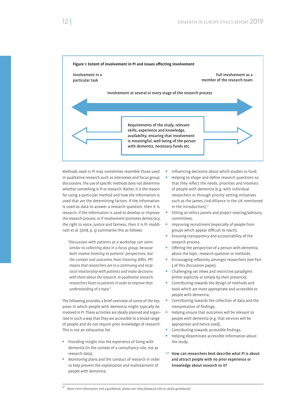

Methods used in PI may sometimes resemble those used in qualitative research such as interviews and focus group discussions. The use of specific methods does not determine whether something is PI or research. Rather, it is the reason for using a particular method and how the information is used that are the determining factors. If the information is used as data to answer a research question, then it is research; if the information is used to develop or improve the research process, or if involvement promotes democracy, the right to voice, justice and fairness, then it is PI. Hoddinott et al. (2018, p. 3) summarise this as follows:

*"Discussion with patients at a workshop can seem similar to collecting data in a focus group, because both involve listening to patients' perspectives, but*  the context and outcomes from listening differ. PPI *means that researchers are in a continuing and reciprocal relationship with patients and make decisions with them about the research. In qualitative research, researchers listen to patients in order to improve their understanding of a topic".*

The following provides a brief overview of some of the key areas in which people with dementia might typically be involved in PI. These activities are ideally planned and organised in such a way that they are accessible to a broad range of people and do not require prior knowledge of research. This is not an exhaustive list.

- Providing insight into the experience of living with dementia (in the context of a consultancy role, not as research data),
- Monitoring plans and the conduct of research in order to help prevent the exploitation and maltreatment of people with dementia,
- Influencing decisions about which studies to fund,
- Helping to shape and define research questions so that they reflect the needs, priorities and interests of people with dementia (e.g. with individual researchers or through priority setting initiatives such as the James Lind Alliance in the UK mentioned in the introduction),<sup>17</sup>
- Sitting on ethics panels and project steering/advisory committees,
- Improving recruitment (especially of people from groups which appear difficult to reach),
- Ensuring transparency and accountability of the research process,
- $\bullet$  Offering the perspective of a person with dementia about the topic, research question or methods,
- Encouraging reflexivity amongst researchers (see Part 3 of this discussion paper),
- Challenging set views and restrictive paradigms (either explicitly or simply by their presence),
- Contributing towards the design of methods and tools which are more appropriate and accessible to people with dementia,
- Contributing towards the collection of data and the interpretation of findings.
- Helping ensure that outcomes will be relevant to people with dementia (e.g. that services will be appropriate and hence used),
- Contributing towards accessible findings,
- Helping disseminate accessible information about the study.
- $\heartsuit$  How can researchers best describe what PI is about and attract people with no prior experience or knowledge about research to it?

<sup>17</sup> More more information and a guidebook, please see: http://www.jla.nihr.ac.uk/jla-guidebook/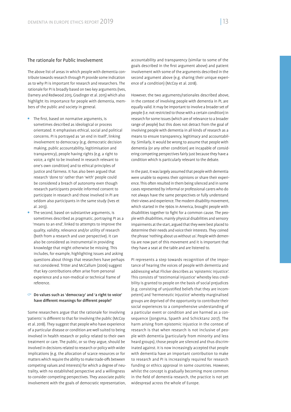#### The rationale for Public Involvement

The above list of areas in which people with dementia contribute towards research through PI provide some indication as to why PI is important for research and researchers. The rationale for PI is broadly based on two key arguments (Ives, Damery and Redwood 2013, Gradinger et al. 2015) which also highlight its importance for people with dementia, members of the public and society in general.

- $\bullet$  The first, based on normative arguments, is sometimes described as ideological or process orientated. It emphasises ethical, social and political concerns. PI is portrayed as 'an end in itself', linking involvement to democracy (e.g. democratic decision making, public accountability, legitimisation and transparency), people having rights (e.g. a right to voice, a right to be involved in research relevant to one's own condition) and to ethical principles of justice and fairness. It has also been argued that research 'done to' rather than 'with' people could be considered a breach of autonomy even though research participants provide informed consent to participate in research and those involved in PI are seldom also participants in the same study (Ives et al. 2013).
- The second, based on substantive arguments, is sometimes described as pragmatic, portraying PI as a 'means to an end', linked to attempts to improve the quality, validity, relevance and/or utility of research (both from a research and user perspective). It can also be considered as instrumental in providing knowledge that might otherwise be missing. This includes, for example, highlighting issues and asking questions about things that researchers have perhaps not considered. Tritter and McCallum (2006) suggest that key contributions often arise from personal experience and a non-medical or technical frame of reference.

#### $\heartsuit$  Do values such as 'democracy' and 'a right to voice' have different meanings for different people?

Some researchers argue that the rationale for involving 'patients' is different to that for involving the public (McCoy et al. 2018). They suggest that people who have experience of a particular disease or condition are well suited to being involved in health research or policy related to their own treatment or care. The public, or so they argue, should be involved in decisions related to research or policy with wider implications (e.g. the allocation of scarce resources or for matters which require the ability to make trade-offs between competing values and interests) for which a degree of neutrality, with no established perspective and a willingness to consider competing perspectives. They associate public involvement with the goals of democratic representation,

accountability and transparency (similar to some of the goals described in the first argument above) and patient involvement with some of the arguments described in the second argument above (e.g. sharing their unique experience of a condition) (McCoy et al. 2018).

However, the two arguments/rationales described above, in the context of involving people with dementia in PI, are equally valid. It may be important to involve a broader set of people (i.e. not restricted to those with a certain condition) in research for some issues (which are of relevance to a broader range of people) but this does not detract from the goal of involving people with dementia in all kinds of research as a means to ensure transparency, legitimacy and accountability. Similarly, it would be wrong to assume that people with dementia (or any other condition) are incapable of considering competing perspectives fairly just because they have a condition which is particularly relevant to the debate.

In the past, it was largely assumed that people with dementia were unable to express their opinions or share their experience. This often resulted in them being silenced and in some cases represented by informal or professional carers who do not always have the same perspectives or fully understand their views and experience. The modern disability movement, which started in the 1960s in America, brought people with disabilities together to fight for a common cause. The people with disabilities, mainly physical disabilities and sensory impairments at the start, argued that they were best placed to determine their needs and voice their interests. They coined the phrase 'nothing about us without us'. People with dementia are now part of this movement and it is important that they have a seat at the table and are listened to.

PI represents a step towards recognition of the importance of hearing the voices of people with dementia and addressing what Flicker describes as 'epistemic injustice'. This consists of 'testimonial injustice' whereby less credibility is granted to people on the basis of social prejudices (e.g. consisting of unjustified beliefs that they are incompetent) and 'hermeneutic injustice' whereby marginalised groups are deprived of the opportunity to contribute their social experiences to a comprehensive understanding of a particular event or condition and are harmed as a consequence (Jongsma, Spaeth and Schicktanz 2017). The harm arising from epistemic injustice in the context of research is that when research is not inclusive of people with dementia (particularly from minority and less heard groups), those people are silenced and thus discriminated against. It is now increasingly accepted that people with dementia have an important contribution to make to research and PI is increasingly required for research funding or ethics approval in some countries. However, whilst the concept is gradually becoming more common in the field of dementia research, the practice is not yet widespread across the whole of Europe.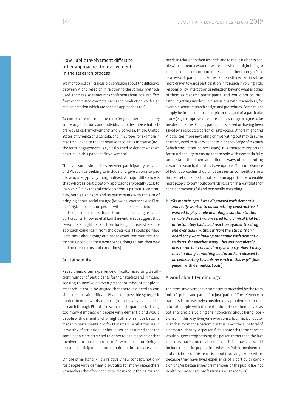#### How Public Involvement differs to other approaches to involvement in the research process

We mentioned earlier possible confusion about the difference between PI and research in relation to the various methods used. There is also sometimes confusion about how PI differs from other related concepts such as co-production, co-design and co-creation which are specific approaches to PI.

To complicate matters, the term 'engagement' is used by some organisations and individuals to describe what others would call 'involvement' and vice versa. In the United States of America and Canada, and in Europe, for example in research linked to the Innovative Medicines Initiative (IMI), the term 'engagement' is typically used to denote what we describe in this paper as 'involvement'.

There are some similarities between participatory research and PI, such as seeking to include and give a voice to people who are typically marginalised. A major difference is that whereas participatory approaches typically seek to involve *all* relevant stakeholders from a particular community, both as advisors and as participants with the aim of bringing about social change (Knowles, Voorhees *and* Planner 2015), PI focuses on people with a direct experience of a particular condition as distinct from people being research participants. Knowles et al (2015) nevertheless suggest that researchers might benefit from looking at areas where one approach could learn from the other (e.g. PI could perhaps learn more about going out into relevant communities and meeting people in their own spaces, doing things their way and on their terms and conditions).

#### Sustainability

Researchers often experience difficulty recruiting a sufficient number of participants for their studies and PI means seeking to involve an even greater number of people in research. It could be argued that there is a need to consider the sustainability of PI and the possible synergetic burden. In other words, does the goal of involving people in research through PI and as research participants risk placing too many demands on people with dementia and would people with dementia who might otherwise have become research participants opt for PI instead? Whilst this issue is worthy of attention, it should not be assumed that the same people are attracted to either role in research or that involvement in the context of PI would rule out being a research participant at another point in time (or vice versa).

On the other hand, PI is a relatively new concept, not only for people with dementia but also for many researchers. Researchers therefore need to be clear about their aims and

needs in relation to their research and to make it clear to people with dementia what these are and what it might bring to those people to contribute to research either through PI or as a research participant. Some people with dementia will be more drawn towards participation in research involving little responsibility, interaction or reflection beyond what is asked of them as research participants, and would not be interested in getting involved in discussions with researchers, for example, about research design and procedures. Some might simply be interested in the topic or the goal of a particular study (e.g. to improve care or test a new drug) or agree to be involved in either PI or as participants based on having been asked by a respected person or gatekeeper. Others might find PI activities more rewarding or motivating but may assume that they need to have experience in or knowledge of research (which should not be necessary). It is therefore important for sustainability to ensure that people with dementia fully understand that there are different ways of contributing towards research, that they have options. The co-existence of both approaches should not be seen as competition for a limited set of people but rather as an opportunity to enable more people to contribute towards research in a way that they consider meaningful and personally rewarding.

 $\triangleright$  "Six months ago, I was diagnosed with dementia and really wanted to do something constructive. I wanted to play a role in finding a solution to this terrible disease. I volunteered for a clinical trial but unfortunately had a bad reaction against the drug and eventually withdrew from the study. Then I heard they were looking for people with dementia to do 'PI' for another study. This was completely new to me but I decided to give it a try. Now, I really feel I'm doing something useful and am pleased to be contributing towards research in this way" (Juan, person with dementia, Spain).

#### A word about terminology

The term 'involvement' is sometimes preceded by the term 'public', 'public and patient' or just 'patient'. The reference to patients is increasingly considered as problematic in that a lot of people with dementia do not see themselves as patients and are voicing their concerns about being 'positioned' in this way. Everyone who consults a medical doctor is at that moment a patient but this is not the sum total of a person's identity. A 'person first' approach to the concept would suggest emphasising the person rather than the fact that they have a medical condition. This, however, would include the entire population, whereas Public Involvement, and variations of this term, is about involving people either because they have lived experience of a particular condition and/or because they are members of the public (i.e. not health or social care professionals or academics).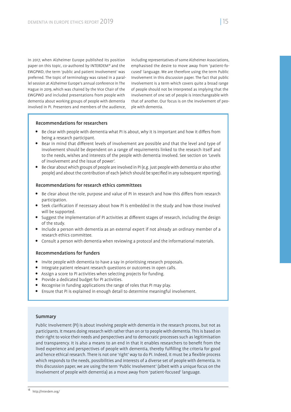In 2017, when Alzheimer Europe published its position paper on this topic, co-authored by INTERDEM<sup>18</sup> and the EWGPWD, the term 'public and patient involvement' was preferred. The topic of terminology was raised in a parallel session at Alzheimer Europe's annual conference in The Hague in 2019, which was chaired by the Vice Chair of the EWGPWD and included presentations from people with dementia about working groups of people with dementia involved in PI. Presenters and members of the audience, including representatives of some Alzheimer Associations, emphasised the desire to move away from 'patient-focused' language. We are therefore using the term Public Involvement in this discussion paper. The fact that public involvement is a term which covers quite a broad range of people should not be interpreted as implying that the involvement of one set of people is interchangeable with that of another. Our focus is on the involvement of people with dementia.

#### Recommendations for researchers

- Be clear with people with dementia what PI is about, why it is important and how it differs from being a research participant.
- Bear in mind that different levels of involvement are possible and that the level and type of involvement should be dependent on a range of requirements linked to the research itself and to the needs, wishes and interests of the people with dementia involved. See section on 'Levels of involvement and the issue of power'.
- Be clear about which groups of people are involved in PI (e.g. just people with dementia or also other people) and about the contribution of each (which should be specified in any subsequent reporting).

#### Recommendations for research ethics committees

- Be clear about the role, purpose and value of PI in research and how this differs from research participation.
- Seek clarification if necessary about how PI is embedded in the study and how those involved will be supported.
- Suggest the implementation of PI activities at different stages of research, including the design of the study.
- Include a person with dementia as an external expert if not already an ordinary member of a research ethics committee.
- Consult a person with dementia when reviewing a protocol and the informational materials.

#### Recommendations for funders

- Invite people with dementia to have a say in prioritising research proposals.
- Integrate patient relevant research questions or outcomes in open calls.
- Assign a score to PI activities when selecting projects for funding.
- Provide a dedicated budget for PI activities.
- Recognise in funding applications the range of roles that PI may play.
- Ensure that PI is explained in enough detail to determine meaningful involvement.

#### Summary

Public Involvement (PI) is about involving people with dementia in the research process, but not as participants. It means doing research with rather than on or to people with dementia. This is based on their right to voice their needs and perspectives and to democratic processes such as legitimisation and transparency. It is also a means to an end in that it enables researchers to benefit from the lived experience and perspectives of people with dementia, thereby fulfilling the criteria for good and hence ethical research. There is not one 'right' way to do PI. Indeed, it must be a flexible process which responds to the needs, possibilities and interests of a diverse set of people with dementia. In this discussion paper, we are using the term 'Public Involvement' (albeit with a unique focus on the involvement of people with dementia) as a move away from 'patient-focused' language.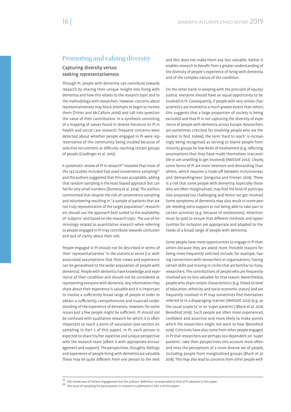## Promoting and valuing diversity

#### Capturing diversity versus seeking representativeness

Through PI, people with dementia can contribute towards research by sharing their unique insight into living with dementia and how this relates to the research topic and to the methodology with researchers. However, concerns about representativeness may block attempts to begin to involve them (Tritter and McCallum 2006) and call into question the value of their contribution. In a synthesis consisting of a mapping of values found in diverse literature on PI in health and social care research, frequent concerns were detected about whether people engaged in PI were representative of the community being studied because of selective recruitment or difficulty reaching certain groups of people (Gradinger et al. 2015).

A systematic review of PI in research<sup>19</sup> revealed that most of the 142 studies included had used convenience sampling<sup>20</sup> and the authors suggested that this was acceptable, adding that random sampling is the least biased approach but can fail for very small numbers (Domecq et al. 2014). The authors commented that despite the risk of convenience sampling and volunteering resulting in "a sample of patients that are not truly representative of the target population", researchers should use the approach best suited to the availability of 'subjects' and based on the research topic. The use of terminology related to quantitative research when referring to people engaged in PI may contribute towards confusion and lack of clarity about their role.

People engaged in PI should not be described in terms of their 'representativeness' in the statistical sense (i.e. with associated assumptions that their views and experience can be generalised to the wider population of people with dementia). People with dementia have knowledge and experience of their condition and should not be considered as representing everyone with dementia. Any information they share about their experience is valuable and it is important to involve a sufficiently broad range of people in order to obtain a sufficiently comprehensive and nuanced understanding of the experience of dementia. However, for some issues just a few people might be sufficient. PI should not be confused with qualitative research for which it is often important to reach a point of saturation (see section on sampling in Part 2 of this paper). In PI, each person is expected to share his/her expertise and unique perspective with the research team (albeit it with appropriate encouragement and support). The perspectives, thoughts, feelings and experience of people living with dementia are valuable. These may be quite different from one person to the next

and this does not make them any less valuable. Rather it enables research to benefit from a greater understanding of the diversity of people's experience of living with dementia and of the complex nature of the condition.

On the other hand, in keeping with the principle of equity/ justice, everyone should have an equal opportunity to be involved in PI. Consequently, if people with very similar characteristics are involved to a much greater extent than others, this suggests that a large proportion of society is being excluded and that PI is not capturing the diversity of experience of people with dementia across Europe. Researchers are sometimes criticised for involving people who are the easiest to find. Indeed, the term 'hard to reach' is increasingly being recognised as serving to blame people from minority groups for low levels of involvement (e.g. reflecting assumptions that they have made themselves inaccessible or are unwilling to get involved) (INVOLVE 2012). Clearly, some forms of PI are more intensive and demanding than others, which requires a trade-off between inclusiveness and 'demandingness' (Jongsma and Friesen 2019). There is a risk that some people with dementia, especially those who are often marginalised, may find the kind of participation proposed too challenging and hence not get involved. Some symptoms of dementia may also result in some people needing extra support or not being able to take part in certain activities (e.g. because of restlessness). Attention must be paid to ensure that different methods and opportunities for inclusion are appropriate and adapted to the needs of a broad range of people with dementia.

Some people have more opportunities to engage in PI than others because they are asked more. Possible reasons for being more frequently solicited include, for example, having connections with researchers or organisations, having certain skills and moving in circles that are familiar to many researchers. The contributions of people who are frequently involved are no less valuable for that reason. Nevertheless, people who share certain characteristics (e.g. linked to level of education, ethnicity and socio-economic status) and are frequently involved in PI may sometimes find themselves referred to in a disparaging manner (INVOLVE 2012) (e.g. as 'the usual suspects' or as 'super patients') (Black et al. 2018, Beresford 2019). Such people are often more experienced, confident and assertive and more likely to make points which the researchers might not want to hear (Beresford 2019). Criticisms have also come from other people engaged in PI that researchers are perhaps too dependent on 'super patients', take their perspectives into account more often and miss the perceptions of a more diverse set of people, including people from marginalised groups (Black et al. 2018). This may also lead to concerns from other people with

<sup>&</sup>lt;sup>19</sup> The review was of Patient Engagement but the authors' definition corresponded to that of PI adopted in this paper.

<sup>20</sup> The issue of sampling for participation in research is addressed in Part 2 of this report.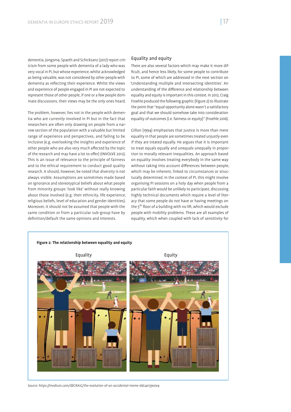dementia. Jongsma, Spaeth and Schicktanz (2017) report criticism from some people with dementia of a lady who was very vocal in PI, but whose experience, whilst acknowledged as being valuable, was not considered by other people with dementia as reflecting their experience. Whilst the views and experience of people engaged in PI are not expected to represent those of other people, if one or a few people dominate discussions, their views may be the only ones heard.

The problem, however, lies not in the people with dementia who are currently involved in PI but in the fact that researchers are often only drawing on people from a narrow section of the population with a valuable but limited range of experience and perspectives, and failing to be inclusive (e.g. overlooking the insights and experience of other people who are also very much affected by the topic of the research and may have a lot to offer) (INVOLVE 2012). This is an issue of relevance to the principle of fairness and to the ethical requirement to conduct good quality research. It should, however, be noted that diversity is not always visible. Assumptions are sometimes made based on ignorance and stereotypical beliefs about what people from minority groups 'look like' without really knowing about those involved (e.g. their ethnicity, life experience, religious beliefs, level of education and gender identities). Moreover, it should not be assumed that people with the same condition or from a particular sub-group have by definition/default the same opinions and interests.

#### Equality and equity

There are also several factors which may make it more dif ficult, and hence less likely, for some people to contribute to PI, some of which are addressed in the next section on 'Understanding multiple and intersecting identities'. An understanding of the difference and relationship between equality and equity is important in this context. In 2012, Craig Froehle produced the following graphic (Figure 2) to illustrate the point that "equal opportunity alone wasn't a satisfactory goal and that we should somehow take into consideration equality of outcomes (i.e. fairness or equity)" (Froehle 2016).

Gillon (1994) emphasises that justice is more than mere equality in that people are sometimes treated unjustly even if they are treated equally. He argues that it is important to treat equals equally and unequals unequally in proportion to morally relevant inequalities. An approach based on equality involves treating everybody in the same way without taking into account differences between people, which may be inherent, linked to circumstances or structurally determined. In the context of PI, this might involve organising PI sessions on a holy day when people from a particular faith would be unlikely to participate, discussing highly technical documents which require a level of literacy that some people do not have or having meetings on the  $5<sup>th</sup>$  floor of a building with no lift, which would exclude people with mobility problems. These are all examples of equality, which when coupled with lack of sensitivity for



*Source: https://medium.com/@CRA1G/the-evolution-of-an-accidental-meme-ddc4e139e0e4*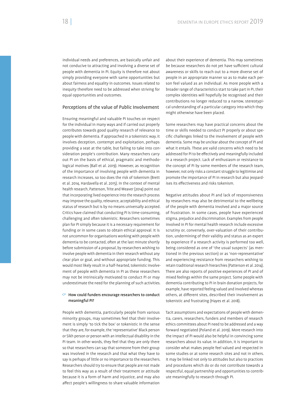individual needs and preferences, are basically unfair and not conducive to attracting and involving a diverse set of people with dementia in PI. Equity is therefore not about simply providing everyone with same opportunities but about fairness and equality in outcomes. Issues related to inequity therefore need to be addressed when striving for equal opportunities and outcomes.

#### Perceptions of the value of Public Involvement

Ensuring meaningful and valuable PI touches on respect for the individual in many ways and if carried out properly contributes towards good quality research of relevance to people with dementia. If approached in a tokenistic way, it involves deception, contempt and exploitation, perhaps providing a seat at the table, but failing to take into consideration people's contribution. Many researchers carry out PI on the basis of ethical, pragmatic and methodological motives (Ball et al. 2019). However, as recognition of the importance of involving people with dementia in research increases, so too does the risk of tokenism (Brett et al. 2014, Hardavella et al. 2015). In the context of mental health research, Patterson, Trite and Weaver (2014) point out that incorporating lived experience into the research process may improve the quality, relevance, acceptability and ethical status of research but is by no means universally accepted. Critics have claimed that conducting PI is time-consuming, challenging and often tokenistic. Researchers sometimes plan for PI simply because it is a necessary requirement for funding or in some cases to obtain ethical approval. It is not uncommon for organisations working with people with dementia to be contacted, often at the last minute shortly before submission of a proposal, by researchers wishing to involve people with dementia in their research without any clear plan or goal, and without appropriate funding. This would most likely result in a half-hearted, tokenistic involvement of people with dementia in PI as these researchers may not be intrinsically motivated to conduct PI or may underestimate the need for the planning of such activities.

#### $\degree$  How could funders encourage researchers to conduct meaningful PI?

People with dementia, particularly people from various minority groups, may sometimes feel that their involvement is simply 'to tick the box' or tokenistic in the sense that they are, for example, the 'representative' Black person or Sikh person or person with an intellectual disability in the PI team. In other words, they feel that they are only there so that researchers can say that someone from their group was involved in the research and that what they have to say is perhaps of little or no importance to the researchers. Researchers should try to ensure that people are not made to feel this way as a result of their treatment or attitude because it is a form of harm and injustice, and may also affect people's willingness to share valuable information

about their experience of dementia. This may sometimes be because researchers do not yet have sufficient cultural awareness or skills to reach out to a more diverse set of people in an appropriate manner so as to make each person feel valued as an individual. As more people with a broader range of characteristics start to take part in PI, their complex identities will hopefully be recognised and their contributions no longer reduced to a narrow, stereotypical understanding of a particular category into which they might otherwise have been placed.

Some researchers may have practical concerns about the time or skills needed to conduct PI properly or about specific challenges linked to the involvement of people with dementia. Some may be unclear about the concept of PI and what it entails. These are valid concerns which need to be addressed for PI to be effectively and meaningfully included in a research project. Lack of enthusiasm or resistance to the concept of PI by some members of the research team, however, not only risks a constant struggle to legitimise and promote the importance of PI in research but also jeopardises its effectiveness and risks tokenism.

Negative attitudes about PI and lack of responsiveness by researchers may also be detrimental to the wellbeing of the people with dementia involved and a major source of frustration. In some cases, people have experienced stigma, prejudice and discrimination. Examples from people involved in PI for mental health research include excessive scrutiny or, conversely, over-valuation of their contribution, undermining of their validity and status as an expert by experience if a research activity is performed too well, being considered as one of 'the usual suspects' (as mentioned in the previous section) or as 'non-representative' and experiencing resistance from researchers wishing to retain traditional research hierarchies (Patterson et al. 2014). There are also reports of positive experiences of PI and of mixed feelings within the same project. Some people with dementia contributing to PI in brain donation projects, for example, have reported feeling valued and involved whereas others, at different sites, described their involvement as tokenistic and frustrating (Hayes et al. 2018).

Tacit assumptions and expectations of people with dementia, carers, researchers, funders and members of research ethics committees about PI need to be addressed and a way forward negotiated (Poland et al. 2019). More research into the impact of PI would also be helpful in convincing some researchers about its value. In addition, it is important to consider what makes people feel valued and respected in some studies or at some research sites and not in others. It may be linked not only to attitudes but also to practices and procedures which do or do not contribute towards a respectful, equal partnership and opportunities to contribute meaningfully to research through PI.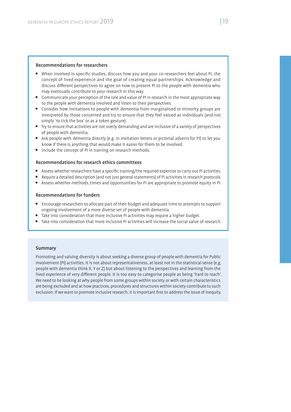#### Recommendations for researchers

- When involved in specific studies, discuss how you and your co-researchers feel about PI, the concept of lived experience and the goal of creating equal partnerships. Acknowledge and discuss different perspectives to agree on how to present PI to the people with dementia who may eventually contribute to your research in this way.
- Communicate your perception of the role and value of PI in research in the most appropriate way to the people with dementia involved and listen to their perspectives.
- Consider how invitations to people with dementia from marginalised or minority groups are interpreted by those concerned and try to ensure that they feel valued as individuals (and not simply 'to tick the box' or as a token gesture).
- Try to ensure that activities are not overly demanding and are inclusive of a variety of perspectives of people with dementia.
- Ask people with dementia directly (e.g. in invitation letters or pictorial adverts for PI) to let you know if there is anything that would make it easier for them to be involved.
- Include the concept of PI in training on research methods.

#### Recommendations for research ethics committees

- Assess whether researchers have a specific training/the required expertise to carry out PI activities.
- Require a detailed description (and not just general statements) of PI activities in research protocols.
- Assess whether methods, times and opportunities for PI are appropriate to promote equity in PI.

#### Recommendations for funders

- Encourage researchers to allocate part of their budget and adequate time to attempts to support ongoing involvement of a more diverse set of people with dementia.
- Take into consideration that more inclusive PI activities may require a higher budget.
- Take into consideration that more inclusive PI activities will increase the social value of research.

#### Summary

Promoting and valuing diversity is about seeking a diverse group of people with dementia for Public Involvement (PI) activities. It is not about representativeness, at least not in the statistical sense (e.g. people with dementia think X, Y or Z) but about listening to the perspectives and learning from the lived experience of very different people. It is too easy to categorise people as being 'hard to reach'. We need to be looking at why people from some groups within society or with certain characteristics are being excluded and at how practices, procedures and structures within society contribute to such exclusion. If we want to promote inclusive research, it is important first to address the issue of inequity.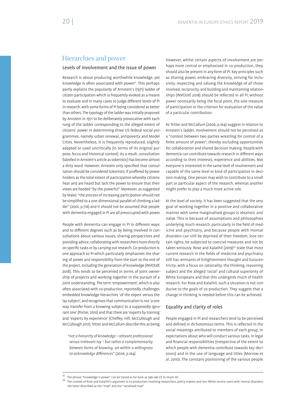### Hierarchies and power

#### Levels of involvement and the issue of power

Research is about producing worthwhile knowledge, yet knowledge is often associated with power<sup>21</sup>. This perhaps partly explains the popularity of Arnstein's (1971) ladder of citizen participation which is frequently evoked as a means to evaluate and in many cases to judge different levels of PI in research, with some forms of PI being considered as better than others. The typology of the ladder was initially proposed by Arnstein in 1971 to be deliberately provocative with each rung of the ladder corresponding to the alleged extent of citizens' power in determining three US federal social programmes, namely urban renewal, antipoverty and Model Cities. Nevertheless, it is frequently reproduced, slightly adapted or used uncritically (in terms of its original purpose, focus and historical context). As a result, consultation (labelled in Arnstein's article as tokenistic) has become almost a dirty word. However, Arnstein only specified that consultation should be considered tokenistic if proffered by power holders as the total extent of participation whereby citizens hear and are heard but lack the power to ensure that their views are heeded "by the powerful". Moreover, as suggested by Maier, "the process of increasing participation should not be simplified to a one-dimensional parallel of climbing a ladder" (2001, p.716) and it should not be assumed that people with dementia engaged in PI are all preoccupied with power.

People with dementia can engage in PI in different ways and to different degrees such as by being involved in consultations about various issues, sharing perspectives and providing advice, collaborating with researchers more directly on specific tasks or by carrying out research. Co-production is one approach to PI which particularly emphasises the sharing of power and responsibility from the start to the end of the project, including the generation of knowledge (INVOLVE 2018). This tends to be perceived in terms of joint ownership of projects and working together in the pursuit of a joint understanding. The term 'empowerment', which is also often associated with co-production, reportedly challenges embedded knowledge hierarchies 'of the expert versus the lay subject', and recognises that communication is not 'a one way transfer from a knowing subject to a supposedly ignorant one' (Porter, 2010) and that there are 'experts by training' and 'experts by experience' (Cheffey, Hill, McCullough and McCullough 2017). Tritter and McCallum describe this as being,

*"not a hierarchy of knowledge – relevant professional versus irrelevant lay – but rather a complementarity between forms of knowing, set within a willingness*  to acknowledge differences" (2006, p.164).

However, whilst certain aspects of involvement are perhaps more central or emphasised in co-production, they should also be present in any form of PI. Key principles such as sharing power, embracing diversity, striving for inclusivity, respecting and valuing the knowledge of all those involved, reciprocity, and building and maintaining relationships (INVOLVE 2018) should be reflected in all PI, without power necessarily being the focal point, the sole measure of participation or the criterion for evaluation of the value of a particular contribution.

As Tritter and McCallum (2006, p.164) suggest in relation to Arnstein's ladder, involvement should not be perceived as a "contest between two parties wrestling for control of a finite amount of power", thereby excluding opportunities for collaboration and shared decision making. People with dementia can contribute towards research in different ways according to their interests, experience and abilities. Not everyone is interested in the same level of involvement and capable of the same level or kind of participation in decision making. One person may wish to contribute to a small part or particular aspect of the research, whereas another might prefer to play a much more active role.

At the level of society, it has been suggested that the very goal of working together in a positive and collaborative manner with some marginalised groups is idealistic and naïve. This is because of assumptions and philosophies underlying much research, particularly in the field of medicine and psychiatry, and because people with mental disorders can still be deprived of their freedom, lose certain rights, be subjected to coercive measures and not be taken seriously. Rose and Kalathil (2019)<sup>22</sup> state that most current research in the fields of medicine and psychiatry still has remnants of Enlightenment thought and Eurocentricity, with a focus on rationality, the thinking, reasoning subject and the alleged 'racial' and cultural superiority of White Europeans and that this undergirds much of health research. For Rose and Kalathil, such a situation is not conducive to the goals of co-production. They suggest that a change in thinking is needed before this can be achieved.

#### Equality and clarity of roles

People engaged in PI and researchers tend to be perceived and defined in dichotomous terms. This is reflected in the social meanings attributed to members of each group, in expectations about who will conduct various tasks, in legal and financial responsibilities (irrespective of the extent to which people with dementia contribute towards key decisions) and in the use of language and titles (Morrow et al. 2010). The constant positioning of the various people

<sup>&</sup>lt;sup>21</sup> The phrase "knowledge is power" can be traced as far back as 599–661 CE to Imam Ali

<sup>22</sup> The context of Rose and Kalathil's argument is co-production involving researchers, policy makers and non-White service users with mental disorders, the latter described as the "mad" and the "racialized mad".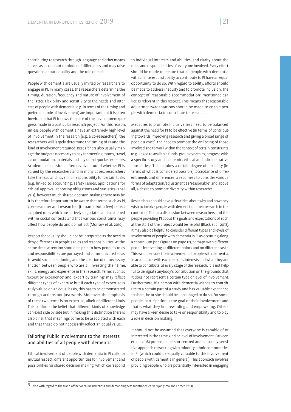contributing to research through language and other means serves as a constant reminder of differences and may raise questions about equality and the role of each.

People with dementia are usually invited by researchers to engage in PI. In many cases, the researchers determine the timing, duration, frequency and nature of involvement of the latter. Flexibility and sensitivity to the needs and interests of people with dementia (e.g. in terms of the timing and preferred mode of involvement) are important but it is often inevitable that PI follows the pace of the development/progress made in a particular research project. For this reason, unless people with dementia have an extremely high level of involvement in the research (e.g. a co-researchers), the researchers will largely determine the timing of PI and the kind of involvement required. Researchers also usually manage the budgets necessary to pay for meeting rooms, travel, accommodation, materials and any out-of-pocket expenses. Academic discussions often revolve around whether PL is valued by the researchers and in many cases, researchers take the lead and have final responsibility for certain tasks (e.g. linked to accounting, safety issues, applications for ethical approval, reporting obligations and statistical analysis), however much shared decision-making there may be. It is therefore important to be aware that terms such as PI, co-researcher and researcher (to name but a few) reflect acquired roles which are actively negotiated and sustained within social contexts and that various constraints may affect how people do and do not act (Morrow et al. 2010).

Respect for equality should not be interpreted as the need to deny differences in people's roles and responsibilities. At the same time, attention should be paid to how people's roles and responsibilities are portrayed and communicated so as to avoid social positioning and the creation of unnecessary friction between people who are all investing their time, skills, energy and experience in the research. Terms such as 'expert by experience' and 'expert by training' may reflect different types of expertise but if each type of expertise is truly valued on an equal basis, this has to be demonstrated through actions not just words. Moreover, the emphasis of these two terms is on expertise, albeit of different kinds. This confirms the belief that different kinds of knowledge can exist side by side but in making this distinction there is also a risk that meanings come to be associated with each and that these do not necessarily reflect an equal value.

#### Tailoring Public Involvement to the interests and abilities of all people with dementia

Ethical involvement of people with dementia in PI calls for mutual respect, different opportunities for involvement and possibilities for shared decision making, which correspond

to individual interests and abilities, and clarity about the roles and responsibilities of everyone involved. Every effort should be made to ensure that all people with dementia with an interest and ability to contribute to PI have an equal opportunity to do so. With regard to ability, efforts should be made to address inequity and to promote inclusion. The concept of 'reasonable accommodation', mentioned earlier, is relevant in this respect. This means that reasonable adjustments/adaptations should be made to enable people with dementia to contribute to research.

Measures to promote inclusiveness need to be balanced against the need for PI to be effective (in terms of contributing towards improving research and giving a broad range of people a voice), the need to promote the wellbeing of those involved and to work within the context of certain constraints (e.g. linked to available funds, group dynamics, progress with a specific study and academic, ethical and administrative formalities). This requires a certain degree of flexibility (in terms of what is considered possible), acceptance of different needs and differences, a readiness to consider various forms of adaptation/adjustment as 'reasonable', and above all, a desire to promote diversity within research<sup>23</sup>.

Researchers should have a clear idea about why and how they wish to involve people with dementia in their research in the context of PI, but a discussion between researchers and the people providing PI about the goals and expectations of each at the start of the project would be helpful (Black et al. 2018). It may also be helpful to consider different types and levels of involvement of people with dementia in PI as occurring along a continuum (see Figure 1 on page 12), perhaps with different people intervening at different points and on different tasks. This would ensure the involvement of people with dementia, in accordance with each person's interests and what they are able to contribute, at every stage of the research. It is not helpful to denigrate anybody's contribution on the grounds that it does not represent a certain type or level of involvement. Furthermore, if a person with dementia wishes to contribute to a certain part of a study and has valuable experience to share, he or she should be encouraged to do so. For some people, participation is the goal of their involvement and that is what they find rewarding and empowering. Others may have a keen desire to take on responsibility and to play a role in decision making.

It should not be assumed that everyone is capable of or interested in the same kind or level of involvement. Parveen et al. (2018) propose a person-centred and culturally sensitive approach to working with minority ethnic communities in PI (which could be equally valuable to the involvement of people with dementia in general). This approach involves providing people who are potentially interested in engaging

 $23$  Also with regard to the trade-off between inclusiveness and demandingness mentioned earlier (Jongsma and Friesen 2019).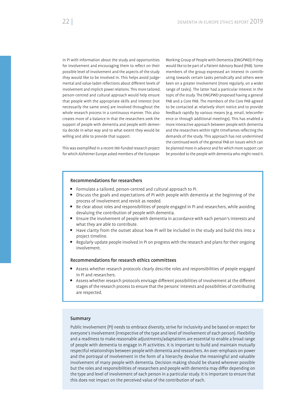in PI with information about the study and opportunities for involvement and encouraging them to reflect on their possible level of involvement and the aspects of the study they would like to be involved in. This helps avoid judgemental and value-laden reflections about different levels of involvement and implicit power relations. This more tailored, person-centred and cultural approach would help ensure that people with the appropriate skills and interest (not necessarily the same ones) are involved throughout the whole research process in a continuous manner. This also creates more of a balance in that the researchers seek the support of people with dementia and people with dementia decide in what way and to what extent they would be willing and able to provide that support.

This was exemplified in a recent IMI-funded research project for which Alzheimer Europe asked members of the European

Working Group of People with Dementia (EWGPWD) if they would like to be part of a Patient Advisory Board (PAB). Some members of the group expressed an interest in contributing towards certain tasks periodically and others were keen on a greater involvement (more regularly, on a wider range of tasks). The latter had a particular interest in the topic of the study. The EWGPWD proposed having a general PAB and a Core PAB. The members of the Core PAB agreed to be contacted at relatively short notice and to provide feedback rapidly by various means (e.g. email, teleconference or through additional meetings). This has enabled a more interactive approach between people with dementia and the researchers within tight timeframes reflecting the demands of the study. This approach has not undermined the continued work of the general PAB on issues which can be planned more in advance and for which more support can be provided to the people with dementia who might need it.

#### Recommendations for researchers

- Formulate a tailored, person-centred and cultural approach to PI.
- Discuss the goals and expectations of PI with people with dementia at the beginning of the process of involvement and revisit as needed.
- Be clear about roles and responsibilities of people engaged in PI and researchers, while avoiding devaluing the contribution of people with dementia.
- Ensure the involvement of people with dementia in accordance with each person's interests and what they are able to contribute.
- Have clarity from the outset about how PI will be included in the study and build this into a project timeline.
- Regularly update people involved in PI on progress with the research and plans for their ongoing involvement.

#### Recommendations for research ethics committees

- Assess whether research protocols clearly describe roles and responsibilities of people engaged in PI and researchers.
- Assess whether research protocols envisage different possibilities of involvement at the different stages of the research process to ensure that the persons' interests and possibilities of contributing are respected.

#### Summary

Public Involvement (PI) needs to embrace diversity, strive for inclusivity and be based on respect for everyone's involvement (irrespective of the type and level of involvement of each person). Flexibility and a readiness to make reasonable adjustments/adaptations are essential to enable a broad range of people with dementia to engage in PI activities. It is important to build and maintain mutually respectful relationships between people with dementia and researchers. An over-emphasis on power and the portrayal of involvement in the form of a hierarchy devalue the meaningful and valuable involvement of many people with dementia. Decision making should be shared wherever possible but the roles and responsibilities of researchers and people with dementia may differ depending on the type and level of involvement of each person in a particular study. It is important to ensure that this does not impact on the perceived value of the contribution of each.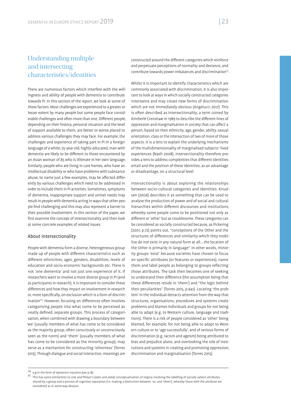# Understanding multiple and intersecting characteristics/identities

There are numerous factors which interfere with the willingness and ability of people with dementia to contribute towards PI. In this section of the report, we look at some of these factors. Most challenges are experienced to a greater or lesser extent by many people but some people face considerable challenges and often more than one. Different people, depending on their history, personal situation and the level of support available to them, are better or worse placed to address various challenges they may face. For example, the challenges and experience of taking part in PI in a foreign language of a white, 55-year old, highly-educated, man with dementia are likely to be different to those encountered by an Asian woman of 85 who is illiterate in her own language. Similarly, people who are living in care homes, who have an intellectual disability or who have problems with substance abuse, to name just a few examples, may be affected differently by various challenges which need to be addressed in order to include them in PI activities. Sometimes, symptoms of dementia, inappropriate support and unmet needs may result in people with dementia acting in ways that other people nd challenging and this may also represent a barrier to their possible involvement. In this section of the paper, we first examine the concept of intersectionality and then look at some concrete examples of related issues.

#### About intersectionality

People with dementia form a diverse, heterogeneous group made up of people with different characteristics such as different ethnicities, ages, genders, disabilities, levels of education and socio-economic backgrounds etc. There is not 'one dementia' and not just one experience of it. If researchers want to involve a more diverse group in PI (and as participants in research), it is important to consider these differences and how they impact on involvement in research or, more specifically, on exclusion which is a form of discrimination<sup>24</sup>. However, focusing on differences often involves categorising people into what come to be perceived as neatly defined, separate groups. This process of categorisation, when combined with drawing a boundary between 'we' (usually members of what has come to be considered as the majority group, often consciously or unconsciously seen as the norm) and 'them' (usually members of what has come to be considered as the minority group), may serve as a mechanism for constructing 'otherness' (Torres 2015). Through dialogue and social interaction, meanings are

Whilst it is important to identify characteristics which are commonly associated with discrimination, it is also important to look at ways in which socially constructed categories intertwine and may create new forms of discrimination which are not immediately obvious (Angelucci 2017). This is often described as intersectionality, a term coined by Kimberlé Crenshaw in 1989 to describe the different lines of oppression and marginalisation in society that can affect a person, based on their ethnicity, age, gender, ability, sexual orientation, class or the intersection of two of more of those aspects. It is a lens to explain the underlying mechanisms of the multidimensionality of marginalised subjects' lived experiences (Nash 2008). Intersectionality therefore provides a lens to address complexities that different identities entail and the position of these identities, as an advantage or disadvantage, on a structural level.

Intersectionality is about exploring the relationships between socio-cultural categories and identities. Knudsen (2006) describes it as something that can be used to analyse the production of power and of social and cultural hierarchies within different discourses and institutions, whereby some people come to be positioned not only as different or 'other' but as troublesome. These categories can be considered as socially constructed because, as Pickering (2001, p.72) points out, "conceptions of the Other and the structures of differences and similarity which they mobilize do not exist in any natural form at all… the location of the Other is primarily in language". In other words, minority groups 'exist' because societies have chosen to focus on specific attributes (or features or experiences), name them and label people as belonging to groups reflecting those attributes. The task then becomes one of seeking to understand their difference (the assumption being that these differences reside in 'them') and "the logic behind their peculiarities" (Torres 2015, p.941). Locating 'the problem' in the individual detracts attention from the way that structures, organisations, procedures and systems create problems and blames individuals and groups for not being able to adapt (e.g. to Western culture, language and traditions). There is a risk of people considered as 'other' being blamed, for example, for not being able to adapt to Western culture or to 'age successfully', and of serious forms of discrimination (e.g. racism and ageism) being attributed to bias and prejudice alone, and overlooking the role of institutions and systems in creating and promoting oppression, discrimination and marginalisation (Torres 2015).

constructed around the different categories which reinforce and perpetuate perceptions of normality and deviance, and contribute towards power imbalances and discrimination<sup>25</sup>.

<sup>&</sup>lt;sup>24</sup> e.g in the form of epistemic injustice (see p.18).<br><sup>25</sup> This has some similarities to Link and Phelan's (2001 and 2006) conceptualisation of stigma involving the labelling of socially salient attributes shared by a group and a process of cognitive separation (i.e. making a distinction between 'us' and 'them'), whereby those with the attribute are considered as in some way deviant.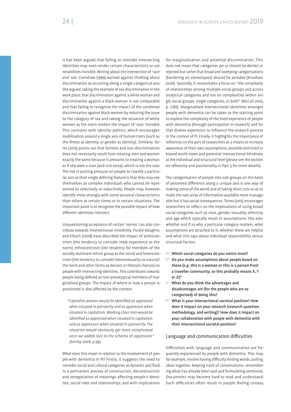It has been argued that failing to consider intersecting identities may even render certain characteristics or vulnerabilities invisible. Writing about the intersection of 'race' and 'sex', Crenshaw (1989) warned against thinking about discrimination as occurring along a single categorical axis. She argued, taking the example of sex discrimination in the work place, that discrimination against a white woman and discrimination against a black woman is not comparable and that failing to recognise the impact of the combined discrimination against black women by reducing the issue to the category of sex and taking the situation of white women as the norm renders the impact of 'race' invisible. This contrasts with identity politics, which encourages mobilisation around a single axis of human traits (such as the illness as identity, or gender as identity). Similarly, Torres (2015) points out that fairness and non-discrimination does not necessarily result from treating men and women exactly the same because it amounts to treating a woman as if she were a man (and vice versa), which is not the case. The risk in putting pressure on people to classify a particular axis as their single defining feature is that they may see themselves as complex individuals who cannot be represented so selectively or reductively. People may, however, identify more strongly with some personal characteristics than others at certain times or in certain situations. The important point is to recognise the possible impact of how different identities intersect.

Unquestioning acceptance of certain 'norms' can also contribute towards intersectional invisibility. Purdie-Vaughns and Eibach (2008) have described the impact of androcentrism (the tendency to consider male experience as the norm), ethnocentrism (the tendency for members of the socially dominant ethnic group as the norm) and heterocentrism (the tendency to consider heterosexuality as natural/ the norm and other forms as deviant or lifestyle choices) on people with intersecting identities. This contributes towards people being defined as non-prototypical members of marginalised groups. The impact of where or how a person is positioned is also affected by the context:

*"Capitalist women would be identi ed as oppressed when situated in patriarchy and as oppressors when situated in capitalism. Working class men would be identi ed as oppressed when situated in capitalism and as oppressors when situated in patriarchy. The situation would obviously get more complicated once we added race to the schema of oppression" (Smiley 2008, p.99).*

What does this mean in relation to the involvement of people with dementia in PI? Firstly, it suggests the need to consider social and cultural categories as dynamic and fluid, in a permanent process of construction, deconstruction and renegotiation of meanings affecting people's identities, social roles and relationships, and with implications

for marginalisation and potential discrimination. This does not mean that categories *per se* should be denied or rejected but rather that broad and sweeping categorisations (bordering on stereotypes) should be avoided (Knudsen 2006). Secondly, it necessitates a focus on "the complexity of relationships among multiple social groups and across analytical categories and not on complexities within single social groups, single categories, or both" (McCall 2005, p. 1786). Marginalised intersectional identities amongst people with dementia can be taken as the starting point to explore the complexity of the lived experience of people with dementia (through participation in research) and for that diverse experience to influence the research process in the context of PI. Finally, it highlights the importance of reflexivity on the part of researchers as a means to increase awareness of their own assumptions, possible restricted or biased world views and potential intersectional blindness at the individual and structural level (please see the section on reflexivity and positionality in Part 3 for more details).

The categorisation of people into sub-groups on the basis of perceived difference along a unique axis is one way of making sense of the world and of taking short cuts so as to make the vast array of information available more manageable but it has social consequences. Torres (2015) encourages researchers to reflect on the implications of using broad social categories such as class, gender, sexuality, ethnicity and age which typically result in assumptions. She asks whether and if so why a particular category matters, what assumptions are attached to it, whether these are helpful and what this says about individual responsibility versus structural factors.

- $\heartsuit$  Which social categories do you notice most?
- $\heartsuit$  Do you make assumptions about people based on these (e.g. this is a woman or this is a person from a traveller community, so this probably means X, Y or Z)?
- $\heartsuit$  What do you think the advantages and disadvantages are (for the people who are so categorised) of doing this?
- $\degree$  What is your intersectional societal position? How does it impact on your research (research question, methodology, and writing)? How does it impact on your collaboration with people with dementia with their intersectional societal position?

#### Language and communication difficulties

Difficulties with language and communication are frequently experienced by people with dementia. This may, for example, involve having difficulty finding words, pulling ideas together, keeping track of conversations, remembering what has already been said and formulating sentences. Documents may become hard to read and understand. Such difficulties often result in people feeling uneasy,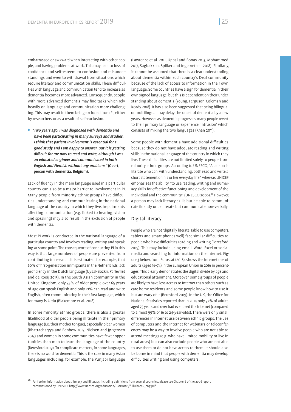embarrassed or awkward when interacting with other people, and having problems at work. This may lead to loss of confidence and self-esteem, to confusion and misunderstandings and even to withdrawal from situations which require literacy and communication skills. These difficulties with language and communication tend to increase as dementia becomes more advanced. Consequently, people with more advanced dementia may find tasks which rely heavily on language and communication more challenging. This may result in them being excluded from PI, either by researchers or as a result of self-exclusion.

 "Two years ago, I was diagnosed with dementia and have been participating in many surveys and studies. I think that patient involvement is essential for a good study and I am happy to answer. But it is getting difficult for me now to read and write, although I was an educated engineer and communicated in both English and Flemish without any problems" (Geert, person with dementia, Belgium).

Lack of fluency in the main language used in a particular country can also be a major barrier to involvement in PI. Many people from minority ethnic groups have difficulties understanding and communicating in the national language of the country in which they live. Impairments affecting communication (e.g. linked to hearing, vision and speaking) may also result in the exclusion of people with dementia.

Most PI work is conducted in the national language of a particular country and involves reading, writing and speaking at some point. The consequence of conducting PI in this way is that large numbers of people are prevented from contributing to research. It is estimated, for example, that 60% of first-generation immigrants in the Netherlands lack proficiency in the Dutch language (Uysal-Bozkir, Parlevliet and de Rooij 2013). In the South Asian community in the United Kingdom, only 35% of older people over 65 years of age can speak English and only 21% can read and write English, often communicating in their first language, which for many is Urdu (Blakemore et al. 2018).

In some minority ethnic groups, there is also a greater likelihood of older people being illiterate in their primary language (i.e. their mother tongue), especially older women (Bhattacharyya and Benbow 2013, Nielsen and Jørgensen 2013) and women in some communities have fewer opportunities than men to learn the language of the country (Beresford 2019). To complicate matters, in some languages, there is no word for dementia. This is the case in many Asian languages including, for example, the Punjabi language

(Lawrence et al. 2011, Uppal and Bonas 2013, Mohammed 2017, Sagbakken, Spilker and Ingebretsen 2018). Similarly, it cannot be assumed that there is a clear understanding about dementia within each country's Deaf community because of the lack of access to information in their own language. Some countries have a sign for dementia in their own signed language, but this is dependent on their understanding about dementia (Young, Ferguson-Coleman and Keady 2018). It has also been suggested that being bilingual or multilingual may delay the onset of dementia by a few years. However, as dementia progresses many people revert to their primary language or experience 'intrusion' which consists of mixing the two languages (Khan 2011).

Some people with dementia have additional difficulties because they do not have adequate reading and writing skills in the national language of the country in which they live. These difficulties are not limited solely to people from minority ethnic groups. According to UNESCO, "A person is literate who can, with understanding, both read and write a short statement on his or her everyday life," whereas UNICEF emphasises the ability "to use reading, writing and numeracy skills for effective functioning and development of the individual and the community" (UNESCO 2006).<sup>26</sup> However, a person may lack literacy skills but be able to communicate fluently or be literate but communicate non-verbally.

#### Digital literacy

People who are not 'digitally literate' (able to use computers, tablets and smart phones well) face similar difficulties to people who have difficulties reading and writing (Beresford 2019). This may include using email, Word, Excel or social media and searching for information on the Internet. Figure 3 below, from Eurostat (2018), shows the Internet use of adults (aged 16–74) in the European Union in 2016 in percentages. This clearly demonstrates the digital divide by age and educational attainment. Moreover, some groups of people are likely to have less access to Internet than others such as care home residents and some people know how to use it but are wary of it (Beresford 2019). In the UK, the Office for National Statistics reported that in 2014 only 37% of adults aged 75 years and over had ever used the Internet (compared to almost 99% of 16 to 24-year-olds). There were only small differences in Internet use between ethnic groups. The use of computers and the Internet for webinars or teleconferences may be a way to involve people who are not able to attend meetings (e.g. who have limited mobility or live in rural areas) but can also exclude people who are not able to use them or do not have access to them. It should also be borne in mind that people with dementia may develop difficulties writing and using computers.

 $26$  For further information about literacy and illiteracy, including definitions from several countries, please see Chapter 6 of the 2006 report commissioned by UNESCO: http://www.unesco.org/education/GMR2006/full/chapt6\_eng.pdf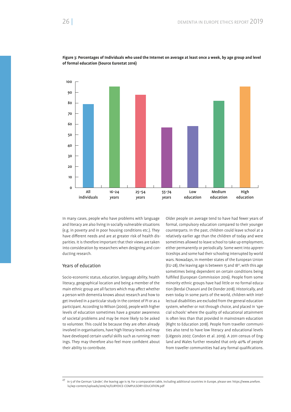

**Figure 3: Percentages of Individuals who used the Internet on average at least once a week, by age group and level of formal education (Source Eurostat 2016)**

In many cases, people who have problems with language and literacy are also living in socially vulnerable situations (e.g. in poverty and in poor housing conditions etc.). They have different needs and are at greater risk of health disparities. It is therefore important that their views are taken into consideration by researchers when designing and conducting research.

#### Years of education

Socio-economic status, education, language ability, health literacy, geographical location and being a member of the main ethnic group are all factors which may affect whether a person with dementia knows about research and how to get involved in a particular study in the context of PI or as a participant. According to Wilson (2000), people with higher levels of education sometimes have a greater awareness of societal problems and may be more likely to be asked to volunteer. This could be because they are often already involved in organisations, have high literacy levels and may have developed certain useful skills such as running meetings. They may therefore also feel more confident about their ability to contribute.

Older people on average tend to have had fewer years of formal, compulsory education compared to their younger counterparts. In the past, children could leave school at a relatively earlier age than the children of today and were sometimes allowed to leave school to take up employment, either permanently or periodically. Some went into apprenticeships and some had their schooling interrupted by world wars. Nowadays, in member states of the European Union (EU-28), the leaving age is between 15 and 1827, with this age sometimes being dependent on certain conditions being ful filled (European Commission 2016). People from some minority ethnic groups have had little or no formal education (Berdai Chaouni and De Donder 2018). Historically, and even today in some parts of the world, children with intellectual disabilities are excluded from the general education system, whether or not through choice, and placed in 'special schools' where the quality of educational attainment is often less than that provided in mainstream education (Right to Education 2018). People from traveller communities also tend to have low literacy and educational levels (Liégeois 2007, Condon et al. 2019). A 2011 census of England and Wales further revealed that only 40% of people from traveller communities had any formal qualifications.

 $^{27}$  In 5 of the German 'Länder', the leaving age is 19. For a comparative table, including additional countries in Europe, please see: https://www.anefore. lu/wp-content/uploads/2016/10/EURYDICE-COMPULSORY-EDUCATION.pdf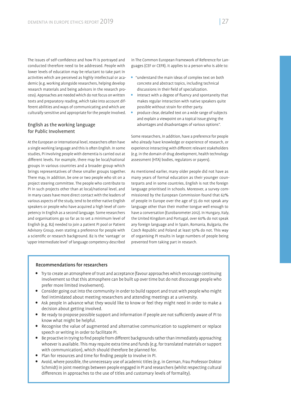The issues of self-confidence and how PI is portrayed and conducted therefore need to be addressed. People with lower levels of education may be reluctant to take part in activities which are perceived as highly intellectual or academic (e.g. working alongside researchers, helping develop research materials and being advisors in the research process). Approaches are needed which do not focus on written texts and preparatory reading, which take into account different abilities and ways of communicating and which are culturally sensitive and appropriate for the people involved.

#### English as the working language for Public Involvement

At the European or international level, researchers often have a single working language and this is often English. In some studies, PI involving people with dementia is carried out at different levels. For example, there may be local/national groups in various countries and a broader group which brings representatives of these smaller groups together. There may, in addition, be one or two people who sit on a project steering committee. The people who contribute to PI in such projects other than at local/national level, and in many cases have more direct contact with the leaders of various aspects of the study, tend to be either native English speakers or people who have acquired a high level of competency in English as a second language. Some researchers and organisations go so far as to set a minimum level of English (e.g. B2) needed to join a patient PI pool or Patient Advisory Group, even stating a preference for people with a scientific or research background. B2 is the 'vantage' or 'upper intermediate level' of language competency described

in The Common European Framework of Reference for Languages (CEF or CEFR). It applies to a person who is able to:

- "understand the main ideas of complex text on both concrete and abstract topics, including technical discussions in their field of specialization.
- interact with a degree of fluency and spontaneity that makes regular interaction with native speakers quite possible without strain for either party.
- produce clear, detailed text on a wide range of subjects and explain a viewpoint on a topical issue giving the advantages and disadvantages of various options".

Some researchers, in addition, have a preference for people who already have knowledge or experience of research, or experience interacting with different relevant stakeholders (e.g. in the domain of drug development, health technology assessment (HTA) bodies, regulators or payers).

As mentioned earlier, many older people did not have as many years of formal education as their younger counterparts and in some countries, English is not the foreign language prioritised in schools. Moreover, a survey commissioned by the European Commission found that 62% of people in Europe over the age of 55 do not speak any language other than their mother tongue well enough to have a conversation (Eurobarometer 2012). In Hungary, Italy, the United Kingdom and Portugal, over 60% do not speak any foreign language and in Spain, Romania, Bulgaria, the Czech Republic and Poland at least 50% do not. This way of organising PI results in large numbers of people being prevented from taking part in research.

#### Recommendations for researchers

- Try to create an atmosphere of trust and acceptance (favour approaches which encourage continuing involvement so that this atmosphere can be built up over time but do not discourage people who prefer more limited involvement).
- Consider going out into the community in order to build rapport and trust with people who might feel intimidated about meeting researchers and attending meetings at a university.
- Ask people in advance what they would like to know or feel they might need in order to make a decision about getting involved.
- Be ready to propose possible support and information if people are not sufficiently aware of PI to know what might be helpful.
- Recognise the value of augmented and alternative communication to supplement or replace speech or writing in order to facilitate PI.
- Be proactive in trying to find people from different backgrounds rather than immediately approaching whoever is available. This may require extra time and funds (e.g. for translated materials or support with communication), which should therefore be planned for.
- Plan for resources and time for finding people to involve in PI.
- Avoid, where possible, the unnecessary use of academic titles (e.g. in German, Frau Professor Doktor Schmidt) in joint meetings between people engaged in PI and researchers (whilst respecting cultural differences in approaches to the use of titles and customary levels of formality).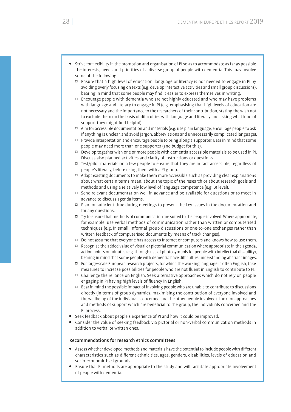- Strive for flexibility in the promotion and organisation of PI so as to accommodate as far as possible the interests, needs and priorities of a diverse group of people with dementia. This may involve some of the following:
	- Ensure that a high level of education, language or literacy is not needed to engage in PI by avoiding overly focusing on texts (e.g. develop interactive activities and small group discussions), bearing in mind that some people may find it easier to express themselves in writing.
	- $\Box$  Encourage people with dementia who are not highly educated and who may have problems with language and literacy to engage in PI (e.g. emphasising that high levels of education are not necessary and the importance to the researchers of their contribution, stating the wish not to exclude them on the basis of difficulties with language and literacy and asking what kind of support they might find helpful).
	- $\Box$  Aim for accessible documentation and materials (e.g. use plain language, encourage people to ask if anything is unclear, and avoid jargon, abbreviations and unnecessarily complicated language).
	- $\Box$  Provide interpretation and encourage people to bring along a supporter. Bear in mind that some people may need more than one supporter (and budget for this).
	- Develop together with one or more people with dementia accessible materials to be used in PI. Discuss also planned activities and clarity of instructions or questions.
	- $\Box$  Test/pilot materials on a few people to ensure that they are in fact accessible, regardless of people's literacy, before using them with a PI group.
	- $\Box$  Adapt existing documents to make them more accessible such as providing clear explanations about what certain terms mean, about the topic of the research or about research goals and methods and using a relatively low level of language competence (e.g. B1 level).
	- $\Box$  Send relevant documentation well in advance and be available for questions or to meet in advance to discuss agenda items.
	- $\Box$  Plan for sufficient time during meetings to present the key issues in the documentation and for any questions.
	- $\Box$  Try to ensure that methods of communication are suited to the people involved. Where appropriate, for example, use verbal methods of communication rather than written or computerised techniques (e.g. in small, informal group discussions or one-to-one exchanges rather than written feedback of computerised documents by means of track changes).
	- $\Box$  Do not assume that everyone has access to Internet or computers and knows how to use them.
	- $\Box$  Recognise the added value of visual or pictorial communication where appropriate in the agenda, action points or minutes (e.g. through use of photosymbols for people with intellectual disability), bearing in mind that some people with dementia have difficulties understanding abstract images.
	- $\Box$  For large-scale European research projects, for which the working language is often English, take measures to increase possibilities for people who are not fluent in English to contribute to PI.
	- Challenge the reliance on English. Seek alternative approaches which do not rely on people engaging in PI having high levels of fluency in English.
	- $\Box$  Bear in mind the possible impact of involving people who are unable to contribute to discussions directly (in terms of group dynamics, maximising the contribution of everyone involved and the wellbeing of the individuals concerned and the other people involved). Look for approaches and methods of support which are beneficial to the group, the individuals concerned and the PI process.
- Seek feedback about people's experience of PI and how it could be improved.
- Consider the value of seeking feedback via pictorial or non-verbal communication methods in addition to verbal or written ones.

#### Recommendations for research ethics committees

- Assess whether developed methods and materials have the potential to include people with different characteristics such as different ethnicities, ages, genders, disabilities, levels of education and socio-economic backgrounds.
- Ensure that PI methods are appropriate to the study and will facilitate appropriate involvement of people with dementia.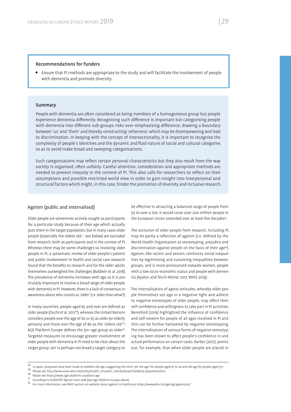#### Recommendations for funders

 Ensure that PI methods are appropriate to the study and will facilitate the involvement of people with dementia and promote diversity.

#### Summary

People with dementia are often considered as being members of a homogeneous group but people experience dementia differently. Recognising such difference is important but categorising people with dementia into different sub-groups risks over-emphasising difference, drawing a boundary between 'us' and 'them' and thereby constructing 'otherness', which may be disempowering and lead to discrimination. In keeping with the concept of intersectionality, it is important to recognise the complexity of people's identities and the dynamic and fluid nature of social and cultural categories so as to avoid make broad and sweeping categorisations.

Such categorisations may reflect certain personal characteristics but they also result from the way society is organised, often unfairly. Careful attention, consideration and appropriate methods are needed to prevent inequity in the context of PI. This also calls for researchers to reflect on their assumptions and possible restricted world view in order to gain insight into interpersonal and structural factors which might, in this case, hinder the promotion of diversity and inclusive research.

#### Ageism (public and internalised)

Older people are sometimes actively sought as participants for a particular study because of their age which actually puts them in the target population, but in many cases older people (especially the oldest old – see below) are excluded from research, both as participants and in the context of PI. Whereas there may be some challenges to involving older people in PI, a systematic review of older people's patient and public involvement in health and social care research found that the benefits to research and for the older adults themselves outweighed the challenges (Baldwin et al. 2018). The prevalence of dementia increases with age so it is particularly important to involve a broad range of older people with dementia in PI. However, there is a lack of consensus or awareness about who counts as 'older' (i.e. older than what?).

In many countries, people aged 65 and over are defined as older people (Ouchi et al. 2017<sup>28</sup>), whereas the United Nations considers people over the age of 60 or 65 as older (or elderly persons) and those over the age of 80 as the 'oldest old'29. AGE Platform Europe defines the 50+ age group as older<sup>30</sup>. Targeted measures to encourage greater involvement of older people with dementia in PI need to be clear about the target group. 50+ is perhaps too broad a target category to

be effective in attracting a balanced range of people from 50 to over a 100. It would cover over 200 million people in the European Union extended over at least five decades<sup>31</sup>.

The exclusion of older people from research, including PI, may be partly a reflection of ageism (i.e. defined by the World Health Organisation as stereotyping, prejudice and discrimination against people on the basis of their age<sup>32</sup>). Ageism, like racism and sexism, reinforces social inequalities by legitimising and sustaining inequalities between groups, and is more pronounced towards women, people with a low socio-economic status and people with dementia (Ayalon and Tesch-Römer 2017, WHO 2019).

The internalisation of ageist attitudes, whereby older people themselves see age in a negative light and adhere to negative stereotypes of older people, may affect their self-confidence and willingness to take part in PI activities. Beresford (2019) highlighted the influence of confidence and self-esteem for people of all ages involved in PI and this can be further hampered by negative stereotyping. The internalisation of various forms of negative stereotyping has been shown to affect people's confidence in and actual performance on certain tasks. Barber (2017), points out, for example, that when older people are placed in

<sup>&</sup>lt;sup>28</sup> In Japan, proposals have been made to redefine old age, suggesting the term 'pre old age' for people aged 65 to 74 and old age for people aged 75+<br><sup>29</sup> Please see http://www.searo.who.int/entity/health\_situation\_tren

<sup>32</sup> For more information, see WHO section on website about ageism in healthcare https://www.who.int/ageing/ageism/en/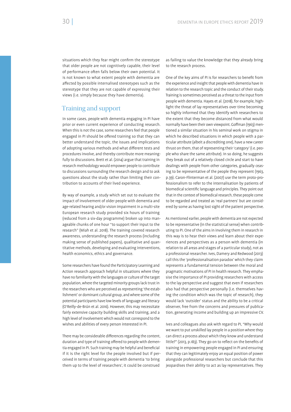situations which they fear might confirm the stereotype that older people are not cognitively capable, their level of performance often falls below their own potential. It is not known to what extent people with dementia are affected by possible internalised stereotypes such as the stereotype that they are not capable of expressing their views (i.e. simply because they have dementia).

### Training and support

In some cases, people with dementia engaging in PI have prior or even current experience of conducting research. When this is not the case, some researchers feel that people engaged in PI should be offered training so that they can better understand the topic, the issues and implications of adopting various methods and what different tests and procedures involve, and thereby contribute more meaningfully to discussions. Brett et al. (2014) argue that training in research methodology would empower people to contribute to discussions surrounding the research design and to ask questions about the study rather than limiting their contribution to accounts of their lived experience.

By way of example, a study which set out to evaluate the impact of involvement of older people with dementia and age-related hearing and/or vision impairment in a multi-site European research study provided six hours of training (reduced from a six-day programme) broken up into manageable chunks of one hour "to support their input to the research" (Miah et al. 2018). The training covered research awareness, understanding the research process (including making sense of published papers), qualitative and quantitative methods, developing and evaluating interventions, health economics, ethics and governance.

Some researchers have found the Participatory Learning and Action research approach helpful in situations where they have no familiarity with the languages or culture of the target population, where the targeted minority groups lack trust in the researchers who are perceived as representing 'the establishment' or dominant cultural group, and where some of the potential participants have low levels of language and literacy (O'Reilly-de-Brún et al. 2016). However, this may necessitate fairly extensive capacity building skills and training, and a high level of involvement which would not correspond to the wishes and abilities of every person interested in PI.

There may be considerable differences regarding the content, duration and type of training offered to people with dementia engaged in PI. Such training may be helpful and beneficial if it is the right level for the people involved but if perceived in terms of training people with dementia 'to bring them up to the level of researchers', it could be construed

as failing to value the knowledge that they already bring to the research process.

One of the key aims of PI is for researchers to benefit from the experience and insight that people with dementia have in relation to the research topic and the conduct of their study. Training is sometimes perceived as a threat to the input from people with dementia. Hayes et al. (2018), for example, highlight the threat of lay representatives over time becoming so highly informed that they identify with researchers to the extent that they become distanced from what would normally have been their own viewpoint. Goffman (1963) mentioned a similar situation in his seminal work on stigma in which he described situations in which people with a particular attribute (albeit a discrediting one), have a new career thrust on them, that of representing their 'category' (i.e. people who share the same attribute). In so doing, he suggests they break out of a relatively closed circle and start to have dealings with people from other categories, gradually ceasing to be representative of the people they represent (1963, p.39). Caron-Flinterman et al. (2007) use the term proto-professionalism to refer to the internalisation by patients of biomedical scientific language and principles. They point out that in the context of biomedical research, these people come to be regarded and treated as 'real partners' but are considered by some as having lost sight of the patient perspective.

As mentioned earlier, people with dementia are not expected to be representative (in the statistical sense) when contributing to PI. One of the aims in involving them in research in this way is to hear their views and learn about their experiences and perspectives as a person with dementia (in relation to all areas and stages of a particular study), not as a professional researcher. Ives, Damery and Redwood (2013) call this the 'professionalisation paradox' which they claim represents a fundamental tension between the moral and pragmatic motivations of PI in health research. They emphasise the importance of PI providing researchers with access to the lay perspective and suggest that even if researchers also had that perspective personally (i.e. themselves having the condition which was the topic of research), they would lack 'outsider' status and the ability to be a critical observer, free from the concerns and pressures of publication, generating income and building up an impressive CV.

Ives and colleagues also ask with regard to PI, "Why would we want to put unskilled lay people in a position where they can direct a process about which they know and understand little?" (2013, p.183). They go on to reflect on the benefits of training in empowering people engaged in PI and ensuring that they can legitimately enjoy an equal position of power alongside professional researchers but conclude that this jeopardises their ability to act as lay representatives. They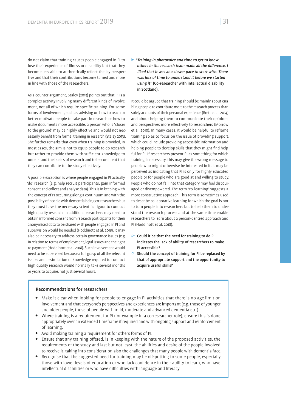do not claim that training causes people engaged in PI to lose their experience of illness or disability but that they become less able to authentically reflect the lay perspective and that their contributions become tamed and more in line with those of the researchers.

As a counter argument, Staley (2013) points out that PI is a complex activity involving many different kinds of involvement, not all of which require specific training. For some forms of involvement, such as advising on how to reach or better motivate people to take part in research or how to make documents more accessible, a person who is 'closer to the ground' may be highly effective and would not necessarily benefit from formal training in research (Staley 2013). She further remarks that even when training is provided, in most cases, the aim is not to equip people to do research but rather to provide them with sufficient knowledge to understand the basics of research and to be confident that they can contribute to the study effectively.

A possible exception is where people engaged in PI actually 'do' research (e.g. help recruit participants, gain informed consent and collect and analyse data). This is in keeping with the concept of PI occurring along a continuum and with the possibility of people with dementia being co-researchers but they must have the necessary scientific rigour to conduct high quality research. In addition, researchers may need to obtain informed consent from research participants for their anonymised data to be shared with people engaged in PI and supervision would be needed (Hoddinott et al. 2018). It may also be necessary to address certain governance issues (e.g. in relation to terms of employment, legal issues and the right to payment (Hoddinott et al. 2018). Such involvement would need to be supervised because a full grasp of all the relevant issues and assimilation of knowledge required to conduct high quality research would normally take several months or years to acquire, not just several hours.

**Training in photovoice and time to get to know** others in the research team made all the difference. I liked that it was at a slower pace to start with. There was lots of time to understand it before we started using it" (Co-researcher with intellectual disability in Scotland).

It could be argued that training should be mainly about enabling people to contribute more to the research process than solely accounts of their personal experience (Brett et al. 2014) and about helping them to communicate their opinions and perspectives more effectively to researchers (Morrow et al. 2010). In many cases, it would be helpful to reframe training so as to focus on the issue of providing support, which could include providing accessible information and helping people to develop skills that they might find helpful for PI. If researchers present PI as something for which training is necessary, this may give the wrong message to people who might otherwise be interested in it. It may be perceived as indicating that PI is only for highly educated people or for people who are good at and willing to study. People who do not fall into that category may feel discouraged or disempowered. The term 'co-learning' suggests a more constructive approach. This term is sometimes used to describe collaborative learning for which the goal is not to turn people into researchers but to help them to understand the research process and at the same time enable researchers to learn about a person-centred approach and PI (Hoddinott et al. 2018).

- $\degree$  Could it be that the need for training to do PI indicates the lack of ability of researchers to make PI accessible?
- $\degree$  Should the concept of training for PI be replaced by that of appropriate support and the opportunity to acquire useful skills?

#### Recommendations for researchers

- Make it clear when looking for people to engage in PI activities that there is no age limit on involvement and that everyone's perspectives and experiences are important (e.g. those of younger and older people, those of people with mild, moderate and advanced dementia etc.).
- Where training is a requirement for PI (for example in a co-researcher role), ensure this is done appropriately over an extended timeframe if required and with ongoing support and reinforcement of learning.
- Avoid making training a requirement for others forms of PI.
- Ensure that any training offered, is in keeping with the nature of the proposed activities, the requirements of the study and last but not least, the abilities and desire of the people involved to receive it, taking into consideration also the challenges that many people with dementia face.
- $\bullet$  Recognise that the suggested need for training may be off-putting to some people, especially those with lower levels of education or who lack confidence in their ability to learn, who have intellectual disabilities or who have difficulties with language and literacy.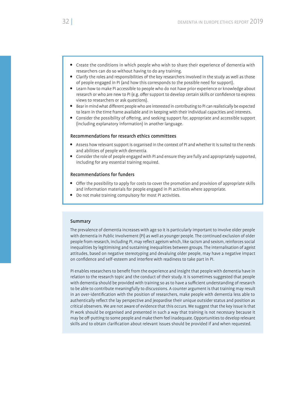- Create the conditions in which people who wish to share their experience of dementia with researchers can do so without having to do any training.
- Clarify the roles and responsibilities of the key researchers involved in the study as well as those of people engaged in PI (and how this corresponds to the possible need for support).
- Learn how to make PI accessible to people who do not have prior experience or knowledge about research or who are new to PI (e.g. offer support to develop certain skills or confidence to express views to researchers or ask questions).
- Bear in mind what different people who are interested in contributing to PI can realistically be expected to learn in the time frame available and in keeping with their individual capacities and interests.
- Consider the possibility of offering, and seeking support for, appropriate and accessible support (including explanatory information) in another language.

#### Recommendations for research ethics committees

- Assess how relevant support is organised in the context of PI and whether it is suited to the needs and abilities of people with dementia.
- Consider the role of people engaged with PI and ensure they are fully and appropriately supported, including for any essential training required.

#### Recommendations for funders

- Offer the possibility to apply for costs to cover the promotion and provision of appropriate skills and information materials for people engaged in PI activities where appropriate.
- Do not make training compulsory for most PI activities.

#### Summary

The prevalence of dementia increases with age so it is particularly important to involve older people with dementia in Public Involvement (PI) as well as younger people. The continued exclusion of older people from research, including PI, may reflect ageism which, like racism and sexism, reinforces social inequalities by legitimising and sustaining inequalities between groups. The internalisation of ageist attitudes, based on negative stereotyping and devaluing older people, may have a negative impact on confidence and self-esteem and interfere with readiness to take part in PI.

PI enables researchers to benefit from the experience and insight that people with dementia have in relation to the research topic and the conduct of their study. It is sometimes suggested that people with dementia should be provided with training so as to have a sufficient understanding of research to be able to contribute meaningfully to discussions. A counter argument is that training may result in an over-identification with the position of researchers, make people with dementia less able to authentically reflect the lay perspective and jeopardise their unique outsider status and position as critical observers. We are not aware of evidence that this occurs. We suggest that the key issue is that PI work should be organised and presented in such a way that training is not necessary because it may be off-putting to some people and make them feel inadequate. Opportunities to develop relevant skills and to obtain clarification about relevant issues should be provided if and when requested.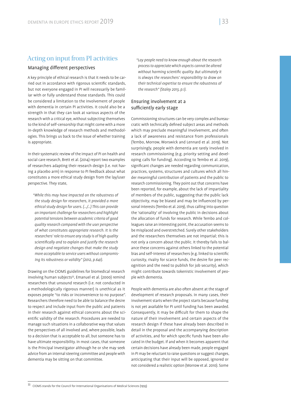## Acting on input from PI activities

#### Managing different perspectives

A key principle of ethical research is that it needs to be carried out in accordance with rigorous scientific standards, but not everyone engaged in PI will necessarily be familiar with or fully understand those standards. This could be considered a limitation to the involvement of people with dementia in certain PI activities. It could also be a strength in that they can look at various aspects of the research with a critical eye, without subjecting themselves to the kind of self-censorship that might come with a more in-depth knowledge of research methods and methodologies. This brings us back to the issue of whether training is appropriate.

In their systematic review of the impact of PI on health and social care research, Brett et al. (2014) report two examples of researchers adapting their research design (i.e. not having a placebo arm) in response to PI feedback about what constitutes a more ethical study design from the lay/user perspective. They state,

*"While this may have impacted on the robustness of the study design for researchers, it provided a more ethical study design for users. (…/…) This can provide an important challenge for researchers and highlight potential tensions between academic criteria of good quality research compared with the user perspective of what constitutes appropriate research. It is the researchers' role to ensure any study is of high quality scienti cally and to explain and justify the research design and negotiate changes that make the study more acceptable to service users without compromising its robustness or validity" (2012, p.641).*

Drawing on the CIOMS guidelines for biomedical research involving human subjects<sup>33</sup>, Emanuel et al. (2000) remind researchers that unsound research (i.e. not conducted in a methodologically rigorous manner) is unethical as it exposes people "to risks or inconvenience to no purpose". Researchers therefore need to be able to balance the desire to respect and include input from the public and patients in their research against ethical concerns about the scientific validity of the research. Procedures are needed to manage such situations in a collaborative way that values the perspectives of all involved and, where possible, leads to a decision that is acceptable to all, but someone has to have ultimate responsibility. In most cases, that someone is the Principal Investigator although he or she may seek advice from an internal steering committee and people with dementia may be sitting on that committee.

*"Lay people need to know enough about the research process to appreciate which aspects cannot be altered*  without harming scientific quality. But ultimately it *is always the researchers' responsibility to draw on their technical expertise to ensure the robustness of the research" (Staley 2013, p.1).*

#### Ensuring involvement at a sufficiently early stage

Commissioning structures can be very complex and bureaucratic with technically defined subject areas and methods which may preclude meaningful involvement, and often a lack of awareness and resistance from professionals (Tembo, Morrow, Worswick and Lennard et al. 2019). Not surprisingly, people with dementia are rarely involved in research commissioning (e.g. priority setting and developing calls for funding). According to Tembo et al. 2019), significant changes are needed regarding communication, practices, systems, structures and cultures which all hinder meaningful contribution of patients and the public to research commissioning. They point out that concerns have been reported, for example, about the lack of impartiality of members of the public, suggesting that the public lack objectivity, may be biased and may be influenced by personal interests (Tembo et al. 2019), thus calling into question the 'rationality' of involving the public in decisions about the allocation of funds for research. While Tembo and colleagues raise an interesting point, the accusation seems to be misplaced and overstretched. Surely other stakeholders and the researchers themselves are not impartial; this is not only a concern about the public. It thereby fails to balance these concerns against others linked to the potential bias and self-interest of researchers (e.g. linked to scientific curiosity, rivalry for scarce funds, the desire for peer recognition and the need to publish for job security), which might contribute towards tokenistic involvement of people with dementia.

People with dementia are also often absent at the stage of development of research proposals. In many cases, their involvement starts when the project starts because funding is not yet available for PI until funding has been awarded. Consequently, it may be difficult for them to shape the nature of their involvement and certain aspects of the research design if these have already been described in detail in the proposal and the accompanying description of activities, and for which specific funds have been allocated in the budget. If and when it becomes apparent that certain decisions have already been made, people engaged in PI may be reluctant to raise questions or suggest changes, anticipating that their input will be opposed, ignored or not considered a realistic option (Morrow et al. 2010). Some

33 CIOMS stands for the Council for International Organisations of Medical Sciences (1993)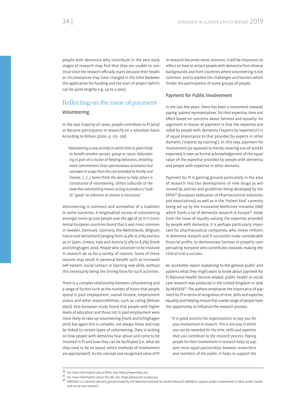people with dementia who contribute in the very early stages of research may find that they are unable to continue once the research officially starts because their health or circumstances may have changed in the time between the application for funding and the start of project (which can be quite lengthy e.g. up to a year).

# Reflecting on the issue of payment

#### Volunteering

In the vast majority of cases, people contribute to PI (and/ or become participants in research) on a volunteer basis. According to Wilson (2000, p. 215- 216):

*"Volunteering is any activity in which time is given freely*  to benefit another person, aroup or cause, Volunteer*ing is part of a cluster of helping behaviors, entailing more commitment than spontaneous assistance but narrower in scope than the care provided to family and friends. (…/…) Some think the desire to help others is constitutive of volunteering. Others subscribe to the view that volunteering means acting to produce a "public" good: no reference to motive is necessary."*

Volunteering is common and somewhat of a tradition in some countries. A longitudinal survey of volunteering amongst some 30,000 people over the age of 50 in 11 Continental European countries found that it was most common in Sweden, Denmark, Germany, the Netherlands, Belgium, France and Switzerland (ranging from 14.4% to 21%) and less so in Spain, Greece, Italy and Austria (2.9% to 8.3%) (Hank and Erlinghagen 2010). People who volunteer to be involved in research do so for a variety of reasons. Some of these reasons may result in personal benefit such as increased self-esteem, social contact or learning new skills, without this necessarily being the driving force for such activities.

There is a complex relationship between volunteering and a range of factors such as the number of hours that people spend in paid employment, overall income, employment status and other responsibilities, such as caring (Wilson 2000). One European study found that people with higher levels of education and those not in paid employment were more likely to take up volunteering (Hank and Erlinghagen 2010) but again this is complex, not always linear and may be linked to certain types of volunteering. Data is lacking on how people with dementia hear about and come to be involved in PI and how they can be facilitated (i.e. what do they need to be on board, which methods of involvement are appropriate?). As the concept and recognised value of PI in research becomes more common, it will be important to reflect on how to attract people with dementia from diverse backgrounds and from countries where volunteering is not common, and to explore the challenges and barriers which hinder the participation of some groups of people.

#### Payment for Public Involvement

In the last few years, there has been a movement towards paying 'patient representatives' for their expertise, time and effort based on concerns about fairness and equality. An argument in favour of payment is that the expertise provided by people with dementia ('experts by experience') is of equal importance to that provided by experts in other domains ('experts by training'). In this way, payment for involvement (as opposed to merely covering out-of-pocket expenses) is seen as formal acknowledgement of the equal value of the expertise provided by people with dementia and people with expertise in other domains.

Payment for PI is gaining ground particularly in the area of research into the development of new drugs as witnessed by policies and guidelines being developed by the EFPIA34 (European Federation of Pharmaceutical Industries and Associations), as well as in the 'Patient Pool' currently being set up by the Innovative Medicines Initiative (IMI) which funds a lot of dementia research in Europe<sup>35</sup>. Aside from the issue of equally valuing the expertise provided by people with dementia, it is perhaps particularly important for pharmaceutical companies, who invest millions in dementia research and if successful make considerable financial profits, to demonstrate fairness in properly compensating everyone who contributes towards making the clinical trial a success.

An accessible report explaining to the general public and patients what they might want to know about payment for PI National Health Service-related, public health or social care research was produced in the United Kingdom in 2016 by INVOLVE36. The authors emphasise the importance of payment for PI in terms of recognition of time, skills and expertise, equality and helping ensure that a wide range of people have the opportunity to influence the research process.

*"It is good practice for organisations to pay you for your involvement in research. This is one way in which you can be rewarded for the time, skills and expertise that you contribute to the research process. Paying people for their involvement in research helps to support more equal partnerships between researchers and members of the public. It helps to support the* 

<sup>34</sup> For more information about EFPIA, see: https://www.efpia.eu/<br>35 For more information about the IMI, see: https://www.imi.europa.eu/

<sup>36</sup> INVOLVE is a national advisory group funded by the National Institute for Health Research (NIHR) to support public involvement in NHS, public health and social care research.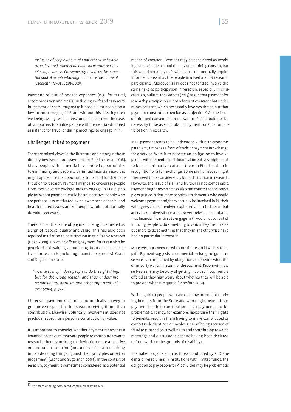*inclusion of people who might not otherwise be able to get involved, whether for nancial or other reasons relating to access. Consequently, it widens the poten*tial pool of people who might influence the course of *research" (INVOLVE 2016, p.8).*

Payment of out-of-pocket expenses (e.g. for travel, accommodation and meals), including swift and easy reimbursement of costs, may make it possible for people on a low income to engage in PI and without this affecting their wellbeing. Many researchers/funders also cover the costs of supporters to enable people with dementia who need assistance for travel or during meetings to engage in PI.

#### Challenges linked to payment

There are mixed views in the literature and amongst those directly involved about payment for PI (Black et al. 2018). Many people with dementia have limited opportunities to earn money and people with limited financial resources might appreciate the opportunity to be paid for their contribution to research. Payment might also encourage people from more diverse backgrounds to engage in PI (i.e. people for whom payment would be an incentive, people who are perhaps less motivated by an awareness of social and health related issues and/or people would not normally do volunteer work).

There is also the issue of payment being interpreted as a sign of respect, quality and value. This has also been reported in relation to participation in qualitative research (Head 2009). However, offering payment for PI can also be perceived as devaluing volunteering. In an article on incentives for research (including financial payments), Grant and Sugarman state,

*"Incentives may induce people to do the right thing, but for the wrong reason, and thus undermine responsibility, altruism and other important values" (2004, p. 722).*

Moreover, payment does not automatically convey or guarantee respect for the person receiving it and their contribution. Likewise, voluntary involvement does not preclude respect for a person's contribution or value.

It is important to consider whether payment represents a nancial incentive to motivate people to contribute towards research, thereby making the invitation more attractive, or amounts to coercion (an exercise of power resulting in people doing things against their principles or better judgement) (Grant and Sugarman 2004). In the context of research, payment is sometimes considered as a potential

means of coercion. Payment may be considered as involving 'undue influence' and thereby undermining consent, but this would not apply to PI which does not normally require informed consent as the people involved are not research participants. Moreover, as PI does not tend to involve the same risks as participation in research, especially in clinical trials, Millum and Garnett (2019) argue that payment for research participation is not a form of coercion that undermines consent, which necessarily involves threat, but that payment constitutes coercion as subjection<sup>37</sup>. As the issue of informed consent is not relevant to PI, it should not be necessary to be as strict about payment for PI as for participation in research.

In PI, payment tends to be understood within an economic paradigm, almost as a form of trade or payment in exchange for a service. Were it to become an obligation to involve people with dementia in PI, financial incentives might start to be used primarily to attract them to PI rather than in recognition of a fair exchange. Some similar issues might then need to be considered as for participation in research. However, the issue of risk and burden is not comparable. Payment might nevertheless also run counter to the principle of justice in that more people with dementia who would welcome payment might eventually be involved in PI, their willingness to be involved exploited and a further imbalance/lack of diversity created. Nevertheless, it is probable that financial incentives to engage in PI would not consist of inducing people to do something to which they are adverse but more to do something that they might otherwise have had no particular interest in.

Moreover, not everyone who contributes to PI wishes to be paid. Payment suggests a commercial exchange of goods or services, accompanied by obligations to provide what the other party wants in return for the payment. People with low self-esteem may be wary of getting involved if payment is offered as they may worry about whether they will be able to provide what is required (Beresford 2019).

With regard to people who are on a low income or receiving benefits from the State and who might benefit from payment for their contribution, such payment may be problematic. It may, for example, jeopardise their rights to benefits, result in them having to make complicated or costly tax declarations or involve a risk of being accused of fraud (e.g. based on travelling to and contributing towards meetings and discussions despite having been declared unfit to work on the grounds of disability).

In smaller projects such as those conducted by PhD students or researchers in institutions with limited funds, the obligation to pay people for PI activities may be problematic

 $37$  the state of being dominated, controlled or influenced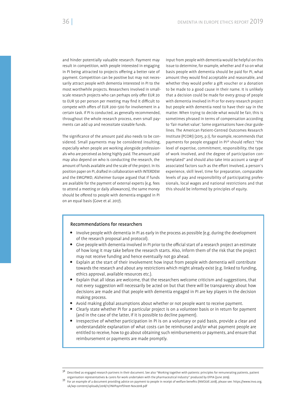and hinder potentially valuable research. Payment may result in competition, with people interested in engaging in PI being attracted to projects offering a better rate of payment. Competition can be positive but may not necessarily attract people with dementia interested in PI to the most worthwhile projects. Researchers involved in smallscale research projects who can perhaps only offer EUR 20 to EUR 50 per person per meeting may find it difficult to compete with offers of EUR 200-500 for involvement in a certain task. If PI is conducted, as generally recommended, throughout the whole research process, even small payments can add up and necessitate sizeable funds.

The significance of the amount paid also needs to be considered. Small payments may be considered insulting, especially when people are working alongside professionals who are perceived as being highly paid. The amount paid may also depend on who is conducting the research, the amount of funds available and the scale of the project. In its position paper on PI, drafted in collaboration with INTERDEM and the EWGPWD, Alzheimer Europe argued that if funds are available for the payment of external experts (e.g. fees to attend a meeting or daily allowances), the same money should be offered to people with dementia engaged in PI on an equal basis (Gove et al. 2017).

Input from people with dementia would be helpful on this issue to determine, for example, whether and if so on what basis people with dementia should be paid for PI, what amount they would find acceptable and reasonable, and whether they would prefer a gift voucher or a donation to be made to a good cause in their name. It is unlikely that a decision could be made for every group of people with dementia involved in PI or for every research project but people with dementia need to have their say in the matter. When trying to decide what would be fair, this is sometimes phrased in terms of compensation according to 'fair market value'. Some organisations have clear guidelines. The American Patient-Centred Outcomes Research Institute (PCORI) (2015, p.1), for example, recommends that payments for people engaged in PI<sup>38</sup> should reflect "the level of expertise, commitment, responsibility, the type of work involved, and the degree of participation contemplated" and should also take into account a range of associated factors such as the effort involved, a person's experience, skill level, time for preparation, comparable levels of pay and responsibility of participating professionals, local wages and national restrictions and that this should be informed by principles of equity.

## Recommendations for researchers

- Involve people with dementia in PI as early in the process as possible (e.g. during the development of the research proposal and protocol).
- Give people with dementia involved in PI prior to the official start of a research project an estimate of how long it may take before the research starts. Also, inform them of the risk that the project may not receive funding and hence eventually not go ahead.
- Explain at the start of their involvement how input from people with dementia will contribute towards the research and about any restrictions which might already exist (e.g. linked to funding, ethics approval, available resources etc.).
- Explain that all ideas are welcome, that the researchers welcome criticism and suggestions, that not every suggestion will necessarily be acted on but that there will be transparency about how decisions are made and that people with dementia engaged in PI are key players in the decision making process.
- Avoid making global assumptions about whether or not people want to receive payment.
- Clearly state whether PI for a particular project is on a volunteer basis or in return for payment (and in the case of the latter, if it is possible to decline payment).
- Irrespective of whether participation in PI is on a voluntary or paid basis, provide a clear and understandable explanation of what costs can be reimbursed and/or what payment people are entitled to receive, how to go about obtaining such reimbursements or payments, and ensure that reimbursement or payments are made promptly.

Described as engaged research partners in their document. See also "Working together with patients: principles for remunerating patients, patient organisation representatives & carers for work undertaken with the pharmaceutical industry" produced by EFPIA (June 2019).<br>For an example of a document providing advice on payment to people in receipt of welfare benefits (

uk/wp-content/uploads/2018/11/INVPayInfSheet-Nov2018.pdf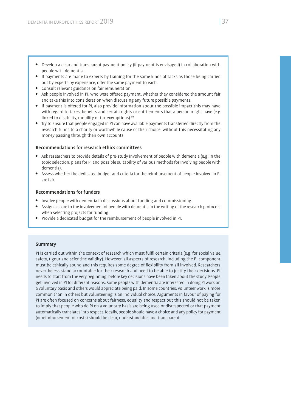- Develop a clear and transparent payment policy (if payment is envisaged) in collaboration with people with dementia.
- If payments are made to experts by training for the same kinds of tasks as those being carried out by experts by experience, offer the same payment to each.
- Consult relevant guidance on fair remuneration.
- Ask people involved in PI, who were offered payment, whether they considered the amount fair and take this into consideration when discussing any future possible payments.
- If payment is offered for PI, also provide information about the possible impact this may have with regard to taxes, benefits and certain rights or entitlements that a person might have (e.g. linked to disability, mobility or tax exemptions).<sup>39</sup>
- Try to ensure that people engaged in PI can have available payments transferred directly from the research funds to a charity or worthwhile cause of their choice, without this necessitating any money passing through their own accounts.

## Recommendations for research ethics committees

- Ask researchers to provide details of pre-study involvement of people with dementia (e.g. in the topic selection, plans for PI and possible suitability of various methods for involving people with dementia).
- Assess whether the dedicated budget and criteria for the reimbursement of people involved in PI are fair.

# Recommendations for funders

- Involve people with dementia in discussions about funding and commissioning.
- Assign a score to the involvement of people with dementia in the writing of the research protocols when selecting projects for funding.
- Provide a dedicated budget for the reimbursement of people involved in PI.

#### Summary

PI is carried out within the context of research which must fulfil certain criteria (e.g. for social value, safety, rigour and scientific validity). However, all aspects of research, including the PI component, must be ethically sound and this requires some degree of flexibility from all involved. Researchers nevertheless stand accountable for their research and need to be able to justify their decisions. PI needs to start from the very beginning, before key decisions have been taken about the study. People get involved in PI for different reasons. Some people with dementia are interested in doing PI work on a voluntary basis and others would appreciate being paid. In some countries, volunteer work is more common than in others but volunteering is an individual choice. Arguments in favour of paying for PI are often focused on concerns about fairness, equality and respect but this should not be taken to imply that people who do PI on a voluntary basis are being used or disrespected or that payment automatically translates into respect. Ideally, people should have a choice and any policy for payment (or reimbursement of costs) should be clear, understandable and transparent.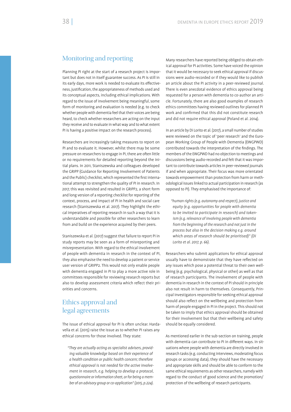# Monitoring and reporting

Planning PI right at the start of a research project is important but does not in itself guarantee success. As PI is still in its early days, more work is needed to evaluate its effectiveness, justification, the appropriateness of methods used and its conceptual aspects, including ethical implications. With regard to the issue of involvement being meaningful, some form of monitoring and evaluation is needed (e.g. to check whether people with dementia feel that their voices are being heard, to check whether researchers are acting on the input they receive and to evaluate in what way and to what extent PI is having a positive impact on the research process).

Researchers are increasingly taking measures to report on PI and to evaluate it. However, whilst there may be some pressure on researchers to engage in PI, there are often little or no requirements for detailed reporting beyond the initial plans. In 2011, Staniszewska and colleagues developed the GRIPP (Guidance for Reporting Involvement of Patients and the Public) checklist, which represented the first international attempt to strengthen the quality of PI in research. In 2017, this was revisited and resulted in GRIPP2, a short form and long version of a reporting checklist for reporting of the context, process, and impact of PI in health and social care research (Staniszewska et al. 2017). They highlight the ethical imperatives of reporting research in such a way that it is understandable and possible for other researchers to learn from and build on the experience acquired by their peers.

Staniszewska et al. (2017) suggest that failure to report PI in study reports may be seen as a form of misreporting and misrepresentation. With regard to the ethical involvement of people with dementia in research in the context of PI, they also emphasise the need to develop a patient or service user version of GRIPP2. This would not only enable people with dementia engaged in PI to play a more active role in committees responsible for reviewing research reports but also to develop assessment criteria which reflect their priorities and concerns.

# Ethics approval and legal agreements

The issue of ethical approval for PI is often unclear. Hardavella et al. (2015) raise the issue as to whether PI raises any ethical concerns for those involved. They state:

*"They are actually acting as specialist advisers, providing valuable knowledge based on their experience of a health condition or public health concern; therefore ethical approval is not needed for the active involvement in research, e.g. helping to develop a protocol, questionnaire or information sheet, or for being a member of an advisory group or co-application" (2015, p.224).*

Many researchers have reported being obliged to obtain ethical approval for PI activities. Some have voiced the opinion that it would be necessary to seek ethical approval if discussions were audio-recorded or if they would like to publish an article about the PI activity in a peer-reviewed journal. There is even anecdotal evidence of ethics approval being requested for a person with dementia to co-author an article. Fortunately, there are also good examples of research ethics committees having reviewed outlines for planned PI work and confirmed that this did not constitute research and did not require ethical approval (Poland et al. 2014).

In an article by Di Lorito et al. (2017), a small number of studies were reviewed on the topic of 'peer research' and the European Working Group of People with Dementia (EWGPWD) contributed towards the interpretation of the findings. The members of the EWGPWD had no objection to meetings and discussions being audio-recorded and felt that it was important to contribute towards articles in peer-reviewed journals if and when appropriate. Their focus was more orientated towards empowerment than protection from harm or methodological issues linked to actual participation in research (as opposed to PI). They emphasised the importance of:

*"human rights (e.g. autonomy and respect), justice and equity (e.g. opportunities for people with dementia to be invited to participate in research) and tokenism (e.g. relevance of involving people with dementia from the beginning of the research and not just in the process but also in the decision making e.g. around which areas of research should be prioritised)" (Di Lorito et al. 2017, p. 66).*

Researchers who submit applications for ethical approval usually have to demonstrate that they have reflected on any issues which pose a potential threat to their own wellbeing (e.g. psychological, physical or other) as well as that of research participants. The involvement of people with dementia in research in the context of PI should in principle also not result in harm to themselves. Consequently, Principal Investigators responsible for seeking ethical approval should also reflect on the wellbeing and protection from harm of people engaged in PI in the project. This should not be taken to imply that ethics approval should be obtained for their involvement but that their wellbeing and safety should be equally considered.

As mentioned earlier in the sub-section on training, people with dementia can contribute to PI in different ways. In situations where people with dementia are directly involved in research tasks (e.g. conducting interviews, moderating focus groups or accessing data), they should have the necessary and appropriate skills and should be able to conform to the same ethical requirements as other researchers, namely with regard to the conduct of good science and the promotion/ protection of the wellbeing of research participants.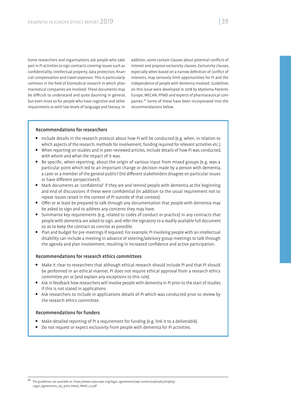Some researchers and organisations ask people who take part in PI activities to sign contracts covering issues such as confidentiality, intellectual property, data protection, financial compensation and travel expenses. This is particularly common in the field of biomedical research in which pharmaceutical companies are involved. These documents may be difficult to understand and quite daunting in general, but even more so for people who have cognitive and other impairments or with low levels of language and literacy. In

addition, some contain clauses about potential conflicts of interest and propose exclusivity clauses. Exclusivity clauses, especially when based on a narrow definition of conflict of interests, may seriously limit opportunities for PI and the independence of people with dementia involved. Guidelines on this issue were developed in 2018 by Myeloma Patients Europe, WECAN, PFMD and experts of pharmaceutical companies.40 Some of these have been incorporated into the recommendations below.

#### Recommendations for researchers

- Include details in the research protocol about how PI will be conducted (e.g. when, in relation to which aspects of the research, methods for involvement, funding required for relevant activities etc.).
- When reporting on studies and in peer-reviewed articles, include details of how PI was conducted, with whom and what the impact of it was.
- $\bullet$  Be specific, when reporting, about the origin of various input from mixed groups (e.g. was a particular point which led to an important change or decision made by a person with dementia, a carer or a member of the general public? Did different stakeholders disagree on particular issues or have different perspectives?).
- Mark documents as 'confidential' if they are and remind people with dementia at the beginning and end of discussions if these were confidential (in addition to the usual requirement not to repeat issues raised in the context of PI outside of that context).
- $\bullet$  Offer or at least be prepared to talk through any documentation that people with dementia may be asked to sign and to address any concerns they may have.
- Summarise key requirements (e.g. related to codes of conduct or practice) in any contracts that people with dementia are asked to sign, and refer the signatory to a readily available full document so as to keep the contract as concise as possible.
- Plan and budget for pre-meetings if required. For example, PI involving people with an intellectual disability can include a meeting in advance of steering/advisory group meetings to talk through the agenda and plan involvement, resulting in increased confidence and active participation.

# Recommendations for research ethics committees

- Make it clear to researchers that although ethical research should include PI and that PI should be performed in an ethical manner, PI does not require ethical approval from a research ethics committee *per se* (and explain any exceptions to this rule).
- Ask in feedback how researchers will involve people with dementia in PI prior to the start of studies if this is not stated in applications
- Ask researchers to include in applications details of PI which was conducted prior to review by the research ethics committee.

## Recommendations for funders

- Make detailed reporting of PI a requirement for funding (e.g. link it to a deliverable).
- Do not request or expect exclusivity from people with dementia for PI activities.

<sup>40</sup> The guidelines are available at: https://www.mpeurope.org/legal\_agreements/wp-content/uploads/2019/03/ Legal\_Agreements\_A5\_3mm-bleed\_PRINT\_v2.pdf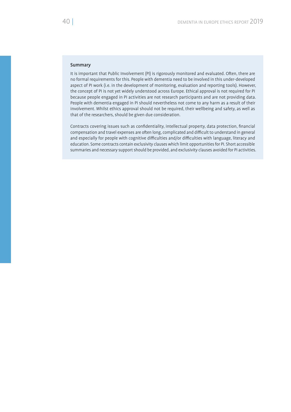## Summary

It is important that Public Involvement (PI) is rigorously monitored and evaluated. Often, there are no formal requirements for this. People with dementia need to be involved in this under-developed aspect of PI work (i.e. in the development of monitoring, evaluation and reporting tools). However, the concept of PI is not yet widely understood across Europe. Ethical approval is not required for PI because people engaged in PI activities are not research participants and are not providing data. People with dementia engaged in PI should nevertheless not come to any harm as a result of their involvement. Whilst ethics approval should not be required, their wellbeing and safety, as well as that of the researchers, should be given due consideration.

Contracts covering issues such as confidentiality, intellectual property, data protection, financial compensation and travel expenses are often long, complicated and difficult to understand in general and especially for people with cognitive difficulties and/or difficulties with language, literacy and education. Some contracts contain exclusivity clauses which limit opportunities for PI. Short accessible summaries and necessary support should be provided, and exclusivity clauses avoided for PI activities.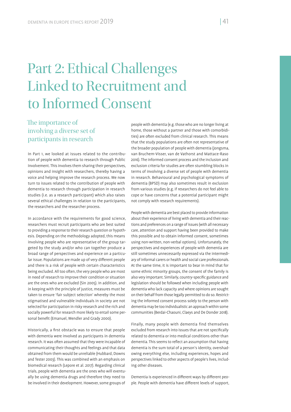# Part 2: Ethical Challenges Linked to Recruitment and to Informed Consent

# The importance of involving a diverse set of participants in research

In Part 1, we looked at issues related to the contribution of people with dementia to research through Public Involvement. This involves them sharing their perspectives, opinions and insight with researchers, thereby having a voice and helping improve the research process. We now turn to issues related to the contribution of people with dementia to research through participation in research studies (i.e. as a research participant) which also raises several ethical challenges in relation to the participants, the researchers and the researcher process.

In accordance with the requirements for good science, researchers must recruit participants who are best suited to providing a response to their research question or hypothesis. Depending on the methodology adopted, this means involving people who are representative of the group targeted by the study and/or who can together produce a broad range of perspectives and experience on a particular issue. Populations are made up of very different people and there is a risk of people with certain characteristics being excluded. All too often, the very people who are most in need of research to improve their condition or situation are the ones who are excluded (Sin 2005). In addition, and in keeping with the principle of justice, measures must be taken to ensure 'fair subject selection' whereby the most stigmatised and vulnerable individuals in society are not selected for participation in risky research and the rich and socially powerful for research more likely to entail some personal benefit (Emanuel, Wendler and Grady 2000).

Historically, a first obstacle was to ensure that people with dementia were involved as participants in dementia research. It was often assumed that they were incapable of communicating their thoughts and feelings and that data obtained from them would be unreliable (Hubbard, Downs and Tester 2003). This was combined with an emphasis on biomedical research (Lepore et al. 2017). Regarding clinical trials, people with dementia are the ones who will eventually be using dementia drugs and therefore they need to be involved in their development. However, some groups of

people with dementia (e.g. those who are no longer living at home, those without a partner and those with comorbidities) are often excluded from clinical research. This means that the study populations are often not representative of the broader population of people with dementia (Jongsma, van Bruchem-Visser, van de Vathorst and Mattace-Raso 2016). The informed consent process and the inclusion and exclusion criteria for studies are often stumbling blocks in terms of involving a diverse set of people with dementia in research. Behavioural and psychological symptoms of dementia (BPSD) may also sometimes result in exclusion from various studies (e.g. if researchers do not feel able to cope or have concerns that a potential participant might not comply with research requirements).

People with dementia are best placed to provide information about their experience of living with dementia and their reactions and preferences on a range of issues (with all necessary care, attention and support having been provided to make this possible and to obtain informed consent, sometimes using non-written, non-verbal options). Unfortunately, the perspectives and experiences of people with dementia are still sometimes unnecessarily expressed via the intermediary of informal carers or health and social care professionals. At the same time, it is important to bear in mind that for some ethnic minority groups, the consent of the family is also very important. Similarly, country-specific guidance and legislation should be followed when including people with dementia who lack capacity and where opinions are sought on their behalf from those legally permitted to do so. Restricting the informed consent process solely to the person with dementia may be too individualistic an approach within some communities (Berdai-Chaouni, Claeys and De Donder 2018).

Finally, many people with dementia find themselves excluded from research into issues that are not specifically related to dementia or into medical conditions other than dementia. This seems to reflect an assumption that having dementia is the sum total of a person's identity, overshadowing everything else, including experiences, hopes and perspectives linked to other aspects of people's lives, including other diseases.

Dementia is experienced in different ways by different people. People with dementia have different levels of support,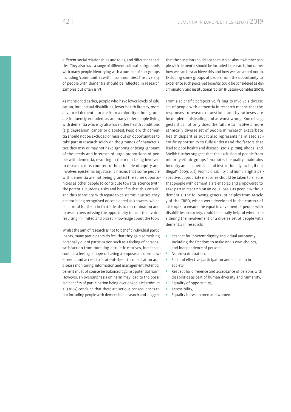different social relationships and roles, and different capacities. They also have a range of different cultural backgrounds with many people identifying with a number of sub-groups including 'communities within communities'. The diversity of people with dementia should be reflected in research samples but often isn't.

As mentioned earlier, people who have lower levels of education, intellectual disabilities, lower health literacy, more advanced dementia or are from a minority ethnic group are frequently excluded, as are many older people living with dementia who may also have other health conditions (e.g. depression, cancer or diabetes). People with dementia should not be excluded or miss out on opportunities to take part in research solely on the grounds of characteristics they may or may not have. Ignoring or being ignorant of the needs and interests of large proportions of people with dementia, resulting in them not being involved in research, runs counter to the principle of equity and involves epistemic injustice. It means that some people with dementia are not being granted the same opportunities as other people to contribute towards science (with the potential burdens, risks and benefits that this entails) and thus to society. With regard to epistemic injustice, they are not being recognised or considered as knowers, which is harmful for them in that it leads to discrimination and in researchers missing the opportunity to hear their voice, resulting in limited and biased knowledge about the topic.

Whilst the aim of research is not to benefit individual participants, many participants do feel that they gain something personally out of participation such as a feeling of personal satisfaction from pursuing altruistic motives, increased contact, a feeling of hope, of having a purpose and of empowerment, and access to 'state-of-the-art' consultation and disease monitoring, information and management. Potential benefit must of course be balanced against potential harm. However, an overemphasis on harm may lead to the possible benefits of participation being overlooked. Hellström et al. (2007) conclude that there are serious consequences to not including people with dementia in research and suggest

that the question should not so much be about whether people with dementia should be included in research, but rather how we can best achieve this and how we can afford not to. Excluding some groups of people from the opportunity to experience such perceived benefits could be considered as discriminatory and institutional racism (Hussain-Gambles 2003).

From a scientific perspective, failing to involve a diverse set of people with dementia in research means that the responses to research questions and hypotheses are incomplete, misleading and at worst wrong. Konkel suggests that not only does the failure to involve a more ethnically diverse set of people in research exacerbate health disparities but it also represents "a missed scientific opportunity to fully understand the factors that lead to poor health and disease" (2015, p. 298). Bhopal and Sheikh further suggest that the exclusion of people from minority ethnic groups "promotes inequality, maintains inequity and is unethical and institutionally racist, if not illegal" (2009, p. 2). From a disability and human rights perspective, appropriate measures should be taken to ensure that people with dementia are enabled and empowered to take part in research on an equal basis as people without dementia. The following general principles from Article 3 of the CRPD, which were developed in the context of attempts to ensure the equal involvement of people with disabilities in society, could be equally helpful when considering the involvement of a diverse set of people with dementia in research:

- Respect for inherent dignity, individual autonomy including the freedom to make one's own choices, and independence of persons,
- Non-discrimination,
- Full and effective participation and inclusion in society,
- Respect for difference and acceptance of persons with disabilities as part of human diversity and humanity,
- Equality of opportunity,
- **Accessibility**,
- Equality between men and women.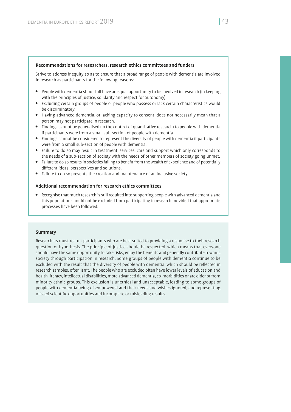#### Recommendations for researchers, research ethics committees and funders

Strive to address inequity so as to ensure that a broad range of people with dementia are involved in research as participants for the following reasons:

- People with dementia should all have an equal opportunity to be involved in research (in keeping with the principles of justice, solidarity and respect for autonomy).
- Excluding certain groups of people or people who possess or lack certain characteristics would be discriminatory.
- Having advanced dementia, or lacking capacity to consent, does not necessarily mean that a person may not participate in research.
- Findings cannot be generalised (in the context of quantitative research) to people with dementia if participants were from a small sub-section of people with dementia.
- Findings cannot be considered to represent the diversity of people with dementia if participants were from a small sub-section of people with dementia.
- Failure to do so may result in treatment, services, care and support which only corresponds to the needs of a sub-section of society with the needs of other members of society going unmet.
- Failure to do so results in societies failing to benefit from the wealth of experience and of potentially different ideas, perspectives and solutions.
- Failure to do so prevents the creation and maintenance of an inclusive society.

#### Additional recommendation for research ethics committees

 Recognise that much research is still required into supporting people with advanced dementia and this population should not be excluded from participating in research provided that appropriate processes have been followed.

#### Summary

Researchers must recruit participants who are best suited to providing a response to their research question or hypothesis. The principle of justice should be respected , which means that everyone should have the same opportunity to take risks, enjoy the benefits and generally contribute towards society through participation in research. Some groups of people with dementia continue to be excluded with the result that the diversity of people with dementia, which should be reflected in research samples, often isn't. The people who are excluded often have lower levels of education and health literacy, intellectual disabilities, more advanced dementia, co-morbidities or are older or from minority ethnic groups. This exclusion is unethical and unacceptable, leading to some groups of people with dementia being disempowered and their needs and wishes ignored, and representing missed scientific opportunities and incomplete or misleading results.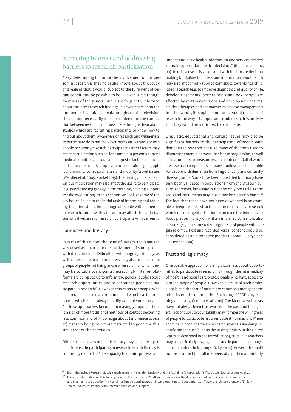# Attracting interest and addressing barriers to research participation

A key determining factor for the involvement of any person in research is that he or she knows about the study and realises that it would, subject to the fulfilment of certain conditions, be possible to be involved. Even though members of the general public are frequently informed about the latest research findings in newspapers or on the Internet, or hear about breakthroughs on the television, they do not necessarily make or understand the connection between research and those breakthroughs, hear about studies which are recruiting participants or know how to nd out about them. Awareness of research and willingness to participate does not, however, necessarily translate into people becoming research participants. Other factors may affect participation such as, for example, a person's current medical condition, cultural and linguistic factors, financial and time constraints, employment constraints, geographical proximity to research sites and mobility/travel issues (Wendler et al. 2005, Konkel 2015). The timing and effects of various medication may also affect the desire to participate (e.g. people feeling groggy in the morning, needing support to take medication). In this section, we look at some of the key issues linked to the initial task of informing and arousing the interest of a broad range of people with dementia in research, and how this in turn may affect the participation of a diverse set of research participants with dementia.

#### Language and literacy

In Part 1 of this report, the issue of literacy and language was raised as a barrier to the involvement of some people with dementia in PI. Difficulties with language, literacy, as well as the ability to use computers, may also result in some groups of people not being aware of research for which they may be suitable participants. Increasingly, Internet platforms are being set up to inform the general public about research opportunities and to encourage people to participate in research<sup>41</sup>. However, this caters for people who are literate, able to use computers and who have Internet access, which is not always readily available or affordable. As these approaches become increasingly popular, there is a risk of more traditional methods of contact becoming less common and of knowledge about (and hence access to) research being ever more restricted to people with a similar set of characteristics.

Differences in levels of health literacy may also affect people's interest in participating in research. Health literacy is commonly defined as "the capacity to obtain, process, and

understand basic health information and services needed to make appropriate health decisions" (Brach et al. 2012, p.1). In this sense, it is associated with healthcare decision making but failure to understand information about health may also affect motivation to contribute towards health-related research (e.g. to improve diagnosis and quality of life, develop treatments, better understand how people are affected by certain conditions and develop non-pharmaceutical therapies and approaches to disease management). In other words, if people do not understand the topic of research and why it is important to address it, it is unlikely that they would be motivated to participate.

Linguistic, educational and cultural issues may also be significant barriers to the participation of people with dementia in research because many of the tools used to diagnose dementia or measure disease progression, as well as instruments to measure research outcomes (all of which are essential components of many studies), are not suitable for people with dementia from linguistically and culturally diverse groups. Some have been translated but many have only been validated in populations from the Western culture. Moreover, language is not the only obstacle as the tools and instruments may in addition be culturally biased<sup>42</sup>. The fact that these have not been developed is an example of inequity and a structural barrier to inclusive research which needs urgent attention. Moreover, the tendency to focus predominantly on written informed consent is also a barrier (e.g. for some older migrants and people with language difficulties) and recorded verbal consent should be considered as an alternative (Berdai-Chaouni, Claeys and De Donder 2018).

# Trust and legitimacy

One possible approach to raising awareness about opportunities to participate in research is through the intermediary of health and social care professionals who have access to a broad range of people. However, distrust of such professionals and the fear of racism are common amongst some minority ethnic communities (Shah 2007, APPGD 2013, Kenning et al. 2017, Condon et al. 2019). The fact that scientists have not always been trustworthy in the past and their general lack of public accountability may hamper the willingness of people to participate in current scientific research. Where there have been healthcare research scandals involving scientific misconduct (such as the Tuskegee study in the United States as described in the introduction), trust in researchers may be particularly low, in general and in particular amongst some minority ethnic groups (Daigle 2019). However, it should not be assumed that all members of a particular minority

<sup>41</sup> Examples include ResearchMatch, the Alzheimer's Prevention Registry, and the Alzheimer's Association's TrialMatch (Source: Lepore et al. 2017)

<sup>42</sup> For more information on this topic, please see the section on "Challenges surrounding the development of culturally sensitive assessment and diagnostic tools section" in Alzheimer Europe's 2018 report on Intercultural care and support: https://www.alzheimer-europe.org/Ethics/ Ethical-issues-in-practice/2018-Intercultural-care-and-support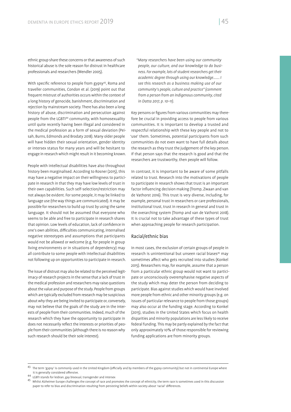ethnic group share these concerns or that awareness of such historical abuse is the sole reason for distrust in healthcare professionals and researchers (Wendler 2005).

With specific reference to people from gypsy<sup>43</sup>, Roma and traveller communities, Condon et al. (2019) point out that frequent mistrust of authorities occurs within the context of a long history of genocide, banishment, discrimination and rejection by mainstream society. There has also been a long history of abuse, discrimination and persecution against people from the LGBTI44 community, with homosexuality until quite recently having been illegal and considered in the medical profession as a form of sexual deviation (Peisah, Burns, Edmonds and Brodaty 2018). Many older people will have hidden their sexual orientation, gender identity or intersex status for many years and will be hesitant to engage in research which might result in it becoming known.

People with intellectual disabilities have also throughout history been marginalised. According to Rosner (2015), this may have a negative impact on their willingness to participate in research in that they may have low levels of trust in their own capabilities. Such self-selection/restriction may not always be evident. For some people, it may be linked to language use (the way things are communicated). It may be possible for researchers to build up trust by using the same language. It should not be assumed that everyone who seems to be able and free to participate in research shares that opinion. Low levels of education, lack of confidence in one's own abilities, difficulties communicating, internalised negative stereotypes and assumptions that participants would not be allowed or welcome (e.g. for people in group living environments or in situations of dependency) may all contribute to some people with intellectual disabilities not following up on opportunities to participate in research.

The issue of distrust may also be related to the perceived legitimacy of research projects in the sense that a lack of trust in the medical profession and researchers may raise questions about the value and purpose of the study. People from groups which are typically excluded from research may be suspicious about why they are being invited to participate or, conversely, may not believe that the goals of the study are in the interests of people from their communities. Indeed, much of the research which they have the opportunity to participate in does not necessarily reflect the interests or priorities of people from their communities (although there is no reason why such research should be their sole interest).

*"Many researchers have been using our community people, our culture, and our knowledge to do business. For example, lots of student researchers get their academic degree through using our knowledge……. I see this research as a business making use of our community's people, culture and practice" (comment from a person from an indigenous community, cited in Datta 2017, p. 10–11).*

Key persons or figures from various communities may therefore be crucial in providing access to people from various communities. It is important to develop a trusted and respectful relationship with these key people and not to 'use' them. Sometimes, potential participants from such communities do not even want to have full details about the research as they trust the judgement of the key person. If that person says that the research is good and that the researchers are trustworthy, then people will follow.

In contrast, it is important to be aware of some pitfalls related to trust. Research into the motivations of people to participate in research shows that trust is an important factor influencing decision making (Tromp, Zwaan and van de Vathorst 2016). This trust is very diverse, including, for example, personal trust in researchers or care professionals, institutional trust, trust in research in general and trust in the overarching system (Tromp and van de Vathorst 2018). It is crucial not to take advantage of these types of trust when approaching people for research participation.

#### Racial/ethnic bias

In most cases, the exclusion of certain groups of people in research is unintentional but unseen racial biases<sup>45</sup> may sometimes affect who gets recruited into studies (Konkel 2015). Researchers may, for example, assume that a person from a particular ethnic group would not want to participate or unconsciously overemphasise negative aspects of the study which may deter the person from deciding to participate. Bias against studies which would have involved more people from ethnic and other minority groups (e.g. on issues of particular relevance to people from those groups) may also occur at the funding stage. According to Konkel (2015), studies in the United States which focus on health disparities and minority populations are less likely to receive federal funding. This may be partly explained by the fact that only approximately 10% of those responsible for reviewing funding applications are from minority groups.

 $^{43}$  The term 'gypsy' is commonly used in the United Kingdom (officially and by members of the gypsy community) but not in continental Europe where it is generally considered offensive.<br><sup>44</sup> LGBTI stands for lesbian, gay bisexual, transgender and intersex<br><sup>45</sup> Whilst Alzheimer Europe challenges the concept of race and promotes the concept of ethnicity, the term race i

paper to refer to bias and discrimination resulting from persisting beliefs within society about 'racial' differences.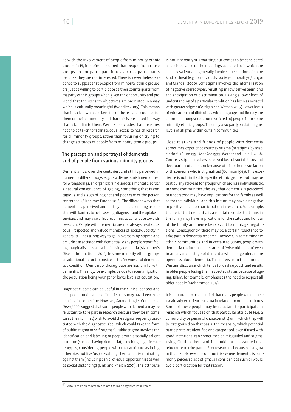As with the involvement of people from minority ethnic groups in PI, it is often assumed that people from those groups do not participate in research as participants because they are not interested. There is nevertheless evidence to suggest that people from minority ethnic groups are just as willing to participate as their counterparts from majority ethnic groups when given the opportunity and provided that the research objectives are presented in a way which is culturally meaningful (Wendler 2005). This means that it is clear what the benefits of the research could be for them or their community and that this is presented in a way that is familiar to them. Wendler concludes that measures need to be taken to facilitate equal access to health research for all minority groups, rather than focusing on trying to change attitudes of people from minority ethnic groups.

# The perception and portrayal of dementia and of people from various minority groups

Dementia has, over the centuries, and still is perceived in numerous different ways (e.g. as a divine punishment or test for wrongdoings, an organic brain disorder, a mental disorder, a natural consequence of ageing, something that is contagious and a sign of neglect and poor care of the person concerned) (Alzheimer Europe 2018). The different ways that dementia is perceived and portrayed has been long associated with barriers to help seeking, diagnosis and the uptake of services, and may also affect readiness to contribute towards research. People with dementia are not always treated as equal, respected and valued members of society. Society in general still has a long way to go in overcoming stigma and prejudice associated with dementia. Many people report feeling marginalised as a result of having dementia (Alzheimer's Disease International 2012). In some minority ethnic groups, an additional factor to consider is the 'newness' of dementia as a condition. Members of those groups are less familiar with dementia. This may, for example, be due to recent migration, the population being younger or lower levels of education.

Diagnostic labels can be useful in the clinical context and help people understand difficulties they may have been experiencing for some time. However, Garand, Lingler, Conner and Dew (2009) suggest that some people with dementia may be reluctant to take part in research because they (or in some cases their families) wish to avoid the stigma frequently associated with the diagnostic label, which could take the form of public stigma or self-stigma<sup>46</sup>. Public stigma involves the identification and labelling of people with a socially salient attribute (such as having dementia), attaching negative stereotypes, considering people with that attribute as being 'other' (i.e. not like 'us'), devaluing them and discriminating against them (including denial of equal opportunities as well as social distancing) (Link and Phelan 2001). The attribute

is not inherently stigmatising but comes to be considered as such because of the meanings attached to it which are socially salient and generally involve a perception of some kind of threat (e.g. to individuals, society or morality) (Stangor and Crandall 2000). Self-stigma involves the internalisation of negative stereotypes, resulting in low self-esteem and the anticipation of discrimination. Having a lower level of understanding of a particular condition has been associated with greater stigma (Corrigan and Watson 2007). Lower levels of education and difficulties with language and literacy are common amongst (but not restricted to) people from some minority ethnic groups. This may also partly explain higher levels of stigma within certain communities.

Close relatives and friends of people with dementia sometimes experience courtesy stigma (or 'stigma by association') (Blum 1991, MacRae 1999, Werner and Heinik 2008). Courtesy stigma involves perceived loss of social status and devaluation of a person because of his or her association with someone who is stigmatised (Goffman 1963). This experience is not limited to specific ethnic groups but may be particularly relevant for groups which are less individualistic. In some communities, the way that dementia is perceived or understood may have implications for the family as well as for the individual, and this in turn may have a negative or positive effect on participation in research. For example, the belief that dementia is a mental disorder that runs in the family may have implications for the status and honour of the family and hence be relevant to marriage negotiations. Consequently, there may be a certain reluctance to take part in dementia research. However, in some minority ethnic communities and in certain religions, people with dementia maintain their status of 'wise old person' even in an advanced stage of dementia which engenders more openness about dementia. This differs from the dominant Western discourse which tends to idealise youth and results in older people losing their respected status because of ageing. Islam, for example, emphasises the need to respect all older people (Mohammed 2017).

It is important to bear in mind that many people with dementia already experience stigma in relation to other attributes. Some of these people may be reluctant to participate in research which focuses on that particular attribute (e.g. a comorbidity or personal characteristic) or in which they will be categorised on that basis. The means by which potential participants are identified and categorised, even if used with good intentions, can sometimes be misguided and stigmatising. On the other hand, it should not be assumed that reluctance to take part in PI or research is because of stigma or that people, even in communities where dementia is commonly perceived as a stigma, all consider it as such or would avoid participation for that reason.

<sup>46</sup> Also in relation to research related to mild cognitive impairment.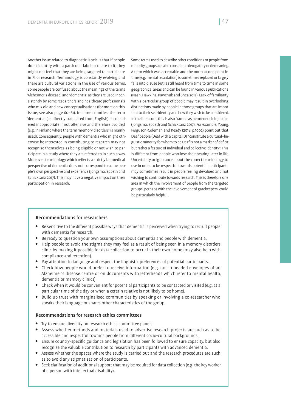Another issue related to diagnostic labels is that if people don't identify with a particular label or relate to it, they might not feel that they are being targeted to participate in PI or research. Terminology is constantly evolving and there are cultural variations in the use of various terms. Some people are confused about the meanings of the terms 'Alzheimer's disease' and 'dementia' as they are used inconsistently by some researchers and healthcare professionals who mix old and new conceptualisations (for more on this issue, see also page 60–61). In some counties, the term 'dementia' (as directly translated from English) is considered inappropriate if not offensive and therefore avoided (e.g. in Finland where the term 'memory disorders' is mainly used). Consequently, people with dementia who might otherwise be interested in contributing to research may not recognise themselves as being eligible or not wish to participate in a study where they are referred to in such a way. Moreover, terminology which reflects a strictly biomedical perspective of dementia does not correspond to some people's own perspective and experience (Jongsma, Spaeth and Schicktanz 2017). This may have a negative impact on their participation in research.

Some terms used to describe other conditions or people from minority groups are also considered derogatory or demeaning. A term which was acceptable and the norm at one point in time (e.g. mental retardation) is sometimes replaced or largely falls into disuse but is still heard from time to time in some geographical areas and can be found in various publications (Nash, Hawkins, Kawchuk and Shea 2012). Lack of familiarity with a particular group of people may result in overlooking distinctions made by people in those groups that are important to their self-identity and how they wish to be considered. In the literature, this is also framed as hermeneutic injustice (Jongsma, Spaeth and Schicktanz 2017). For example, Young, Ferguson-Coleman and Keady (2018, p.1002) point out that Deaf people (Deaf with a capital D) "constitute a cultural–linguistic minority for whom to be Deaf is not a marker of deficit but rather a feature of individual and collective identity". This is different from people who lose their hearing later in life. Uncertainty or ignorance about the correct terminology to use in order to be respectful towards potential participants may sometimes result in people feeling devalued and not wishing to contribute towards research. This is therefore one area in which the involvement of people from the targeted groups, perhaps with the involvement of gatekeepers, could be particularly helpful.

#### Recommendations for researchers

- Be sensitive to the different possible ways that dementia is perceived when trying to recruit people with dementia for research.
- Be ready to question your own assumptions about dementia and people with dementia.
- Help people to avoid the stigma they may feel as a result of being seen in a memory disorders clinic by making it possible for data collection to occur in their own home (may also help with compliance and retention).
- Pay attention to language and respect the linguistic preferences of potential participants.
- Check how people would prefer to receive information (e.g. not in headed envelopes of an Alzheimer's disease centre or on documents with letterheads which refer to mental health, dementia or memory clinics).
- Check when it would be convenient for potential participants to be contacted or visited (e.g. at a particular time of the day or when a certain relative is not likely to be home).
- Build up trust with marginalised communities by speaking or involving a co-researcher who speaks their language or shares other characteristics of the group.

#### Recommendations for research ethics committees

- Try to ensure diversity on research ethics committee panels.
- Assess whether methods and materials used to advertise research projects are such as to be accessible and respectful towards people from different socio-cultural backgrounds.
- Ensure country-specific guidance and legislation has been followed to ensure capacity, but also recognise the valuable contribution to research by participants with advanced dementia.
- Assess whether the spaces where the study is carried out and the research procedures are such as to avoid any stigmatisation of participants.
- Seek clarification of additional support that may be required for data collection (e.g. the key worker of a person with intellectual disability).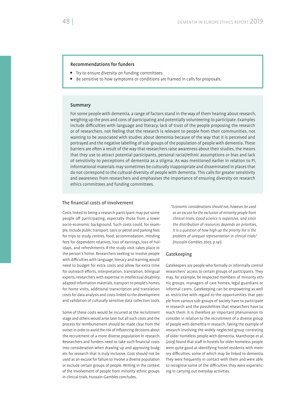#### Recommendations for funders

- Try to ensure diversity on funding committees.
- Be sensitive to how symptoms or conditions are framed in calls for proposals.

#### Summary

For some people with dementia, a range of factors stand in the way of them hearing about research, weighing up the pros and cons of participating and potentially volunteering to participate. Examples include difficulties with language and literacy, lack of trust of the people proposing the research or of researchers, not feeling that the research is relevant to people from their communities, not wanting to be associated with studies about dementia because of the way that it is perceived and portrayed and the negative labelling of sub-groups of the population of people with dementia. These barriers are often a result of the way that researchers raise awareness about their studies, the means that they use to attract potential participants, personal racial/ethnic assumptions or bias and lack of sensitivity to perceptions of dementia as a stigma. As was mentioned earlier in relation to PI, informational materials may sometimes be culturally inappropriate and disseminated in places that do not correspond to the cultural diversity of people with dementia. This calls for greater sensitivity and awareness from researchers and emphasises the importance of ensuring diversity on research ethics committees and funding committees.

#### The financial costs of involvement

Costs linked to being a research participant may put some people off participating, especially those from a lower socio-economic background. Such costs could, for example, include public transport, taxis or petrol and parking fees for trips to study centres, food, accommodation, minding fees for dependent relatives, loss of earnings, loss of holidays, and refreshments if the study visit takes place in the person's home. Researchers seeking to involve people with difficulties with language, literacy and learning would need to budget for extra costs and allow for extra time for outreach efforts, interpretation, translation, bilingual experts, researchers with expertise in intellectual disability, adapted information materials, transport to people's homes for home visits, additional transcription and translation costs for data analysis and costs linked to the development and validation of culturally sensitive data collection tools.

Some of these costs would be incurred at the recruitment stage and others would arise later but all such costs and the process for reimbursement should be made clear from the outset in order to avoid the risk of influencing decisions about the recruitment of a more diverse population in research. Researchers and funders need to take such financial costs into consideration when drawing up and approving budgets for research that is truly inclusive. Cost should not be used as an excuse for failure to involve a diverse population or exclude certain groups of people. Writing in the context of the involvement of people from minority ethnic groups in clinical trials, Hussain-Gambles concludes,

*"Economic considerations should not, however, be used as an excuse for the exclusion of minority people from clinical trials. Good science is expensive, and since the distribution of resources depends on priorities, it is a question of how high up the priority list is the problem of unequal representation in clinical trials" (Hussain-Gambles 2003, p.141).*

#### Gatekeeping

Gatekeepers are people who formally or informally control researchers' access to certain groups of participants. They may, for example, be respected members of minority ethnic groups, managers of care homes, legal guardians or informal carers. Gatekeeping can be empowering as well as restrictive with regard to the opportunities that people from various sub-groups of society have to participate in research and the possibilities that researchers have to reach them. It is therefore an important phenomenon to consider in relation to the recruitment of a diverse group of people with dementia in research. Taking the example of research involving the widely neglected group consisting of older homeless people with dementia, Manthorpe et al. (2019) found that staff in hostels for older homeless people were quite good at identifying hostel residents with memory difficulties, some of which may be linked to dementia. They were frequently in contact with them and were able to recognise some of the difficulties they were experiencing in carrying out everyday activities.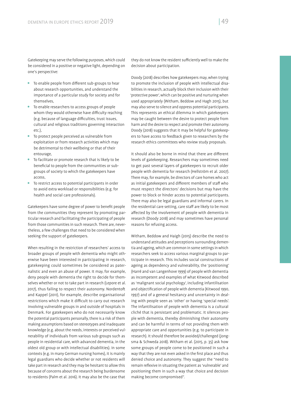Gatekeeping may serve the following purposes, which could be considered in a positive or negative light, depending on one's perspective:

- $\bullet$  To enable people from different sub-groups to hear about research opportunities, and understand the importance of a particular study for society and for themselves
- To enable researchers to access groups of people whom they would otherwise have difficulty reaching (e.g. because of language difficulties, trust issues, cultural and religious traditions governing interaction etc.),
- To protect people perceived as vulnerable from exploitation or from research activities which may be detrimental to their wellbeing or that of their entourage,
- To facilitate or promote research that is likely to be beneficial to people from the communities or subgroups of society to which the gatekeepers have access,
- To restrict access to potential participants in order to avoid extra workload or responsibilities (e.g. for health and social care professionals).

Gatekeepers have some degree of power to benefit people from the communities they represent by promoting particular research and facilitating the participating of people from those communities in such research. There are, nevertheless, a few challenges that need to be considered when seeking the support of gatekeepers.

When resulting in the restriction of researchers' access to broader groups of people with dementia who might otherwise have been interested in participating in research, gatekeeping could sometimes be considered as paternalistic and even an abuse of power. It may, for example, deny people with dementia the right to decide for themselves whether or not to take part in research (Lepore et al. 2017), thus failing to respect their autonomy. Nordento and Kappel (2011), for example, describe organisational restrictions which make it difficult to carry out research involving vulnerable groups in and outside of hospitals in Denmark. For gatekeepers who do not necessarily know the potential participants personally, there is a risk of them making assumptions based on stereotypes and inadequate knowledge (e.g. about the needs, interests or perceived vulnerability of individuals from various sub-groups such as people in residential care, with advanced dementia, in the oldest old group or with intellectual disabilities). In some contexts (e.g. in many German nursing homes), it is mainly legal guardians who decide whether or not residents will take part in research and they may be hesitant to allow this because of concerns about the research being burdensome to residents (Palm et al. 2016). It may also be the case that

they do not know the resident sufficiently well to make the decision about participation.

Doody (2018) describes how gatekeepers may, when trying to promote the inclusion of people with intellectual disabilities in research, actually block their inclusion with their 'protective power', which can be positive and nurturing when used appropriately (Witham, Beddow and Hagh 2015), but may also serve to silence and oppress potential participants. This represents an ethical dilemma in which gatekeepers may be caught between the desire to protect people from harm and the desire to respect and promote their autonomy. Doody (2018) suggests that it may be helpful for gatekeepers to have access to feedback given to researchers by the research ethics committees who review study proposals.

It should also be borne in mind that there are different levels of gatekeeping. Researchers may sometimes need to get past several layers of gatekeepers to recruit older people with dementia for research (Hellström et al. 2007). There may, for example, be directors of care homes who act as initial gatekeepers and different members of staff who must respect the directors' decisions but may have the power to block or hinder access to potential participants. There may also be legal guardians and informal carers. In the residential care setting, care staff are likely to be most affected by the involvement of people with dementia in research (Doody 2018) and may sometimes have personal reasons for refusing access.

Witham, Beddow and Haigh (2015) describe the need to understand attitudes and perceptions surrounding dementia and ageing, which are common in some settings in which researchers seek to access various marginal groups to participate in research. This includes social constructions of ageing as dependency and vulnerability, the 'positioning' (Harré and van Langenhove 1999) of people with dementia as incompetent and examples of what Kitwood described as 'malignant social psychology', including infantilisation and objectification of people with dementia (Kitwood 1990, 1997) and of a general hesitancy and uncertainty in dealing with people seen as 'other' or having 'special needs'. The infantilisation of people with dementia is a cultural cliché that is persistant and problematic. It silences people with dementia, thereby diminishing their autonomy and can be harmful in terms of not providing them with appropriate care and opportunities (e.g. to participate in research). It should therefore be avoided/challenged (Jongsma & Schweda 2018). Witham et al. (2015, p. 35) ask how some groups of people come to be positioned in such a way that they are not even asked in the first place and thus denied choice and autonomy. They suggest the "need to remain reflexive in situating the patient as 'vulnerable' and positioning them in such a way that choice and decision making become compromised".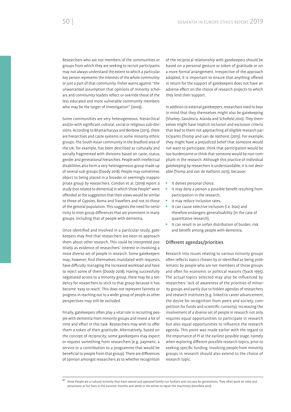Researchers who are not members of the communities or groups from which they are seeking to recruit participants may not always understand the extent to which a particular key person represents the interests of the whole community or just a part of that community. Fisher warns against "the unwarranted assumption that opinions of minority scholars and community leaders reflect or override those of the less educated and more vulnerable community members who may be the target of investigation" (2009).

Some communities are very heterogeneous, hierarchical and/or with significant cultural, social or religious sub-divisions. According to Bhattacharyya and Benbow (2013), there are hierarchies and caste systems in some minority ethnic groups. The South Asian community in the Bradford area of the UK, for example, has been described as culturally and socially fragmented with divisions based on caste, status, gender and generational hierarchies. People with intellectual disabilities also form a very heterogeneous group made up of several sub-groups (Doody 2018). People may sometimes object to being placed in a broader or seemingly inappropriate group by researchers. Condon et al. (2019) report a study (not related to dementia) in which Show People<sup>47</sup> were offended at the suggestion that their views would be similar to those of Gypsies, Roma and Travellers and not to those of the general population. This suggests the need for sensitivity to inter group differences that are prominent in many groups, including that of people with dementia.

Once identified and involved in a particular study, gatekeepers may find that researchers are keen to approach them about other research. This could be interpreted positively as evidence of researchers' interest in involving a more diverse set of people in research. Some gatekeepers may, however, find themselves inundated with requests, have difficulty managing the increased workload and have to reject some of them (Doody 2018). Having successfully negotiated access to a minority group, there may be a tendency for researchers to stick to that group because it has become 'easy to reach'. This does not represent fairness or progress in reaching out to a wider group of people as other perspectives may still be excluded.

Finally, gatekeepers often play a vital role in recruiting people with dementia from minority groups and invest a lot of time and effort in this task. Researchers may wish to offer them a token of their gratitude. Alternatively, based on the concept of reciprocity, some gatekeepers may expect or request something from researchers (e.g. payment, a service or a contribution to a programme that would be beneficial to people from that group). There are differences of opinion amongst researchers as to whether recognition

of the reciprocal relationship with gatekeepers should be based on a personal gesture or token of gratitude or on a more formal arrangement. Irrespective of the approach adopted, it is important to ensure that anything offered in return for the support of gatekeepers does not have an adverse effect on the choice of research projects to which they lend their support.

In addition to external gatekeepers, researchers need to bear in mind that they themselves might also be gatekeeping (Sharkey, Savulescu, Aranda and Schofield 2010). They themselves might have implicit inclusion and exclusion criteria that lead to them not approaching all eligible research participants (Tromp and van de Vathorst (2015). For example, they might have a prejudiced belief that someone would not want to participate, think that participation would be too burdensome or think that someone would be non-compliant in the research. Although this practice of individual gatekeeping by researchers is understandable, it is not desirable (Tromp and van de Vathorst 2015), because:

- **It denies personal choice,**
- It may deny a person a possible benefit resulting from participation in the research,
- It may reduce inclusion rates,
- It can cause selective inclusion (i.e. bias) and therefore endangers generalisability (in the case of quantitative research),
- It can result in an unfair distribution of burden, risk and benefit among people with dementia.

#### Different agendas/priorities

Research into issues relating to various minority groups often reflects topics chosen by or identified as being problematic by people who are not members of those groups and often for economic or political reasons (Tyack 1995). The actual topics selected may also be influenced by researchers' lack of awareness of the priorities of minority groups and partly due to hidden agendas of researchers and research institutes (e.g. linked to career advancement, the desire for recognition from peers and society, competition for funds and scientific curiosity). Increasing the involvement of a diverse set of people in research not only requires equal opportunities to participate in research but also equal opportunities to influence the research agenda. This point was made earlier with the regard to the importance of PI at the earliest possible stage, namely when exploring different possible research topics, prior to seeking specific funding. Involving people from minority groups in research should also extend to the choice of research topic.

 $47$  Show People are a cultural minority that have owned and operated family-run funfairs and circuses for generations. They often work on rides and attractions at fun fairs in the summer months and settle in the winter to repair the machinery (Horsfield 2017).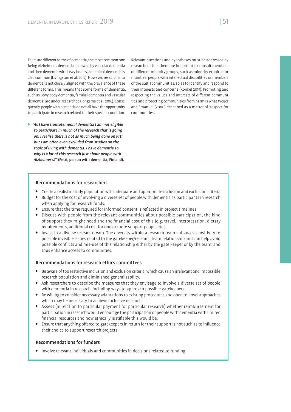There are different forms of dementia, the most common one being Alzheimer's dementia, followed by vascular dementia and then dementia with Lewy bodies, and mixed dementia is also common (Livingston et al. 2017). However, research into dementia is not closely aligned with the prevalence of these different forms. This means that some forms of demential such as Lewy body dementia, familial dementia and vascular dementia, are under-researched (Jongsma et al. 2016). Consequently, people with dementia do not all have the opportunity to participate in research related to their specific condition.

 $\triangleright$  "As I have frontotemporal dementia I am not eligible to participate in much of the research that is going on. I realise there is not as much being done on FTD but I am often even excluded from studies on the topic of living with dementia. I have dementia so why is a lot of this research just about people with Alzheimer's?" (Petri, person with dementia, Finland). Relevant questions and hypotheses must be addressed by researchers. It is therefore important to consult members of different minority groups, such as minority ethnic communities, people with intellectual disabilities or members of the LGBTI communities, so as to identify and respond to their interests and concerns (Konkel 2015). Promoting and respecting the values and interests of different communities and protecting communities from harm is what Weijer and Emanuel (2000) described as a matter of 'respect for communities'.

## Recommendations for researchers

- Create a realistic study population with adequate and appropriate inclusion and exclusion criteria.
- Budget for the cost of involving a diverse set of people with dementia as participants in research when applying for research funds.
- Ensure that the time required for informed consent is reflected in project timelines.
- Discuss with people from the relevant communities about possible participation, the kind of support they might need and the financial cost of this (e.g. travel, interpretation, dietary requirements, additional cost for one or more support people etc.).
- Invest in a diverse research team. The diversity within a research team enhances sensitivity to possible invisible issues related to the gatekeeper/research team relationship and can help avoid possible conflicts and mis-use of this relationship either by the gate keeper or by the team, and thus enhance access to communities.

#### Recommendations for research ethics committees

- $\bullet$  Be aware of too restrictive inclusion and exclusion criteria, which cause an irrelevant and impossible research population and diminished generalisability.
- Ask researchers to describe the measures that they envisage to involve a diverse set of people with dementia in research, including ways to approach possible gatekeepers.
- Be willing to consider necessary adaptations to existing procedures and open to novel approaches which may be necessary to achieve inclusive research.
- Assess (in relation to particular payment for particular research) whether reimbursement for participation in research would encourage the participation of people with dementia with limited financial resources and how ethically justifiable this would be.
- Ensure that anything offered to gatekeepers in return for their support is not such as to influence their choice to support research projects.

#### Recommendations for funders

• Involve relevant individuals and communities in decisions related to funding.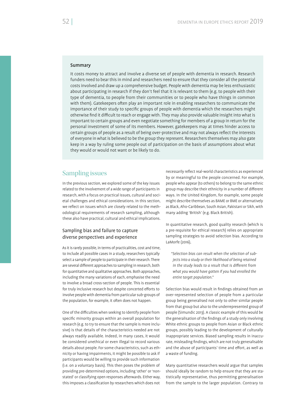#### Summary

It costs money to attract and involve a diverse set of people with dementia in research. Research funders need to bear this in mind and researchers need to ensure that they consider all the potential costs involved and draw up a comprehensive budget. People with dementia may be less enthusiastic about participating in research if they don't feel that it is relevant to them (e.g. to people with their type of dementia, to people from their communities or to people who have things in common with them). Gatekeepers often play an important role in enabling researchers to communicate the importance of their study to specific groups of people with dementia which the researchers might otherwise find it difficult to reach or engage with. They may also provide valuable insight into what is important to certain groups and even negotiate something for members of a group in return for the personal investment of some of its members. However, gatekeepers may at times hinder access to certain groups of people as a result of being over-protective and may not always reflect the interests of everyone in what is believed to be the group they represent. Researchers themselves may also gate keep in a way by ruling some people out of participation on the basis of assumptions about what they would or would not want or be likely to do.

# Sampling issues

In the previous section, we explored some of the key issues related to the involvement of a wide range of participants in research, with a focus on practical issues, cultural and societal challenges and ethical considerations. In this section, we reflect on issues which are closely related to the methodological requirements of research sampling, although these also have practical, cultural and ethical implications.

# Sampling bias and failure to capture diverse perspectives and experience

As it is rarely possible, in terms of practicalities, cost and time, to include all possible cases in a study, researchers typically select a sample of people to participate in their research. There are several different approaches to sampling in research, both for quantitative and qualitative approaches. Both approaches, including the many variations of each, emphasise the need to involve a broad cross-section of people. This is essential for truly inclusive research but despite concerted efforts to involve people with dementia from particular sub-groups of the population, for example, it often does not happen.

One of the difficulties when seeking to identify people from specific minority groups within an overall population for research (e.g. to try to ensure that the sample is more inclusive) is that details of the characteristics needed are not always readily available. Indeed, in many cases, it would be considered unethical or even illegal to record various details about people. For some characteristics, such as ethnicity or having impairments, it might be possible to ask if participants would be willing to provide such information (i.e. on a voluntary basis). This then poses the problem of providing pre-determined options, including 'other' or 'nonstated' or classifying open responses afterwards. Either way, this imposes a classification by researchers which does not

necessarily reflect real-world characteristics as experienced by or meaningful to the people concerned. For example, people who appear (to others) to belong to the same ethnic group may describe their ethnicity in a number of different ways. In the United Kingdom, for example, some people might describe themselves as BAME or BME or alternatively as Black, Afro-Caribbean, South Asian, Pakistani or Sikh, with many adding 'British' (e.g. Black British).

In quantitative research, good quality research (which is a pre-requisite for ethical research) relies on appropriate sampling strategies to avoid selection bias. According to LaMorfe (2016),

*"Selection bias can result when the selection of subjects into a study or their likelihood of being retained in the study leads to a result that is different from what you would have gotten if you had enrolled the entire target population."*

Selection bias would result in findings obtained from an over-represented selection of people from a particular group being generalised not only to other similar people from that group but also to the underrepresented group of people (Simundic 2013). A classic example of this would be the generalisation of the findings of a study only involving White ethnic groups to people from Asian or Black ethnic groups, possibly leading to the development of culturally inappropriate services. Biased sampling results in inaccurate, misleading findings, which are not truly generalisable and the abuse of participants' time and effort, as well as a waste of funding.

Many quantitative researchers would argue that samples should ideally be random to help ensure that they are statistically representative, thus permitting generalisation from the sample to the larger population. Contrary to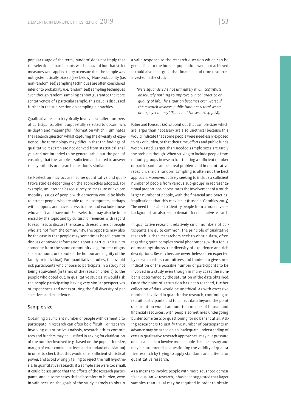popular usage of the term, 'random' does not imply that the selection of participants was haphazard but that strict measures were applied to try to ensure that the sample was not systematically biased (see below). Non-probability (i.e. non-randomised) sampling techniques are often considered inferior to probability (i.e. randomised) sampling techniques even though random sampling cannot guarantee the representativeness of a particular sample. This issue is discussed further in the sub-section on sampling hierarchies.

Qualitative research typically involves smaller numbers of participants, often purposefully selected to obtain rich, in-depth and meaningful information which illuminates the research question whilst capturing the diversity of experience. The terminology may differ in that the findings of qualitative research are not derived from statistical analysis and not intended to be generalisable but the goal of ensuring that the sample is sufficient and suited to answer the hypothesis or research question is similar.

Self-selection may occur in some quantitative and qualitative studies depending on the approaches adopted. For example, an Internet-based survey to measure or explore mobility issues of people with dementia would be likely to attract people who are able to use computers, perhaps with support, and have access to one, and exclude those who aren't and have not. Self-selection may also be influenced by the topic and by cultural differences with regard to readiness to discuss the issue with researchers or people who are not from the community. The opposite may also be the case in that people may sometimes be reluctant to discuss or provide information about a particular issue to someone from the same community (e.g. for fear of gossip or rumours, or to protect the honour and dignity of the family or individual). For quantitative studies, this would risk participants who choose to participate in a study not being equivalent (in terms of the research criteria) to the people who opted out. In qualitative studies, it would risk the people participating having very similar perspectives or experiences and not capturing the full diversity of perspectives and experience.

#### Sample size

Obtaining a sufficient number of people with dementia to participate in research can often be difficult. For research involving quantitative analysis, research ethics committees and funders may be justified in asking for clarification of the number involved (e.g. based on the population size, margin of error, confidence level and standard of deviation) in order to check that this would offer sufficient statistical power, and avoid wrongly failing to reject the null hypothesis. In quantitative research, if a sample size were too small, it could be assumed that the efforts of the research participants, and in some cases their discomfort or burden, were in vain because the goals of the study, namely to obtain

a valid response to the research question which can be generalised to the broader population, were not achieved. It could also be argued that financial and time resources invested in the study

*"were squandered since ultimately it will contribute absolutely nothing to improve clinical practice or quality of life. The situation becomes even worse if the research involves public funding: A total waste of taxpayer money" (Faber and Fonseca 2014, p.28).*

Faber and Fonseca (2014) point out that sample sizes which are larger than necessary are also unethical because this would indicate that some people were needlessly exposed to risk or burden, or that their time, efforts and public funds were wasted. Larger-than needed sample sizes are rarely the problem though. When striving to include people from minority groups in research, attracting a sufficient number of participants can be a real problem and in quantitative research, simple random sampling is often not the best approach. Moreover, actively seeking to include a sufficient number of people from various sub-groups in representational proportions necessitates the involvement of a much larger number of people, with the financial and practical implications that this may incur (Hussain-Gambles 2003). The need to be able to identify people from a more diverse background can also be problematic for qualitative research.

In qualitative research, relatively small numbers of participants are quite common. The principle of qualitative research is that researchers seek to obtain data, often regarding quite complex social phenomena, with a focus on meaningfulness, the diversity of experience and rich descriptions. Researchers are nevertheless often expected by research ethics committees and funders to give some indication of the possible number of participants to be involved in a study even though in many cases the number is determined by the saturation of the data obtained. Once the point of saturation has been reached, further collection of data would be unethical. As with excessive numbers involved in quantitative research, continuing to recruit participants and to collect data beyond the point of saturation would amount to a misuse of human and nancial resources, with people sometimes undergoing burdensome tests or questioning for no benefit at all. Asking researchers to justify the number of participants in advance may be based on an inadequate understanding of certain qualitative research approaches, may put pressure on researchers to involve more people than necessary and may be interpreted as questioning the validity of qualitative research by trying to apply standards and criteria for quantitative research.

As a means to involve people with more advanced dementia in qualitative research, it has been suggested that larger samples than usual may be required in order to obtain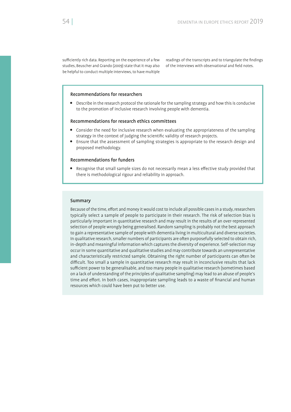sufficiently rich data. Reporting on the experience of a few studies, Beuscher and Grando (2009) state that it may also be helpful to conduct multiple interviews, to have multiple

readings of the transcripts and to triangulate the findings of the interviews with observational and field notes.

#### Recommendations for researchers

 Describe in the research protocol the rationale for the sampling strategy and how this is conducive to the promotion of inclusive research involving people with dementia.

#### Recommendations for research ethics committees

- Consider the need for inclusive research when evaluating the appropriateness of the sampling strategy in the context of judging the scientific validity of research projects.
- Ensure that the assessment of sampling strategies is appropriate to the research design and proposed methodology.

## Recommendations for funders

Recognise that small sample sizes do not necessarily mean a less effective study provided that there is methodological rigour and reliability in approach.

#### Summary

Because of the time, effort and money it would cost to include all possible cases in a study, researchers typically select a sample of people to participate in their research. The risk of selection bias is particularly important in quantitative research and may result in the results of an over-represented selection of people wrongly being generalised. Random sampling is probably not the best approach to gain a representative sample of people with dementia living in multicultural and diverse societies. In qualitative research, smaller numbers of participants are often purposefully selected to obtain rich, in-depth and meaningful information which captures the diversity of experience. Self-selection may occur in some quantitative and qualitative studies and may contribute towards an unrepresentative and characteristically restricted sample. Obtaining the right number of participants can often be difficult. Too small a sample in quantitative research may result in inconclusive results that lack sufficient power to be generalisable, and too many people in qualitative research (sometimes based on a lack of understanding of the principles of qualitative sampling) may lead to an abuse of people's time and effort. In both cases, inappropriate sampling leads to a waste of financial and human resources which could have been put to better use.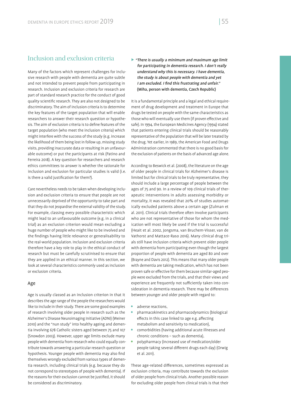# Inclusion and exclusion criteria

Many of the factors which represent challenges for inclusive research with people with dementia are quite subtle and not intended to prevent people from participating in research. Inclusion and exclusion criteria for research are part of standard research practice for the conduct of good quality scientific research. They are also not designed to be discriminatory. The aim of inclusion criteria is to determine the key features of the target population that will enable researchers to answer their research question or hypothesis. The aim of exclusion criteria is to define features of the target population (who meet the inclusion criteria) which might interfere with the success of the study (e.g. increase the likelihood of them being lost in follow up, missing study visits, providing inaccurate data or resulting in an unfavourable outcome) or put the participants at risk (Patino and Ferreira 2018). A key question for researchers and research ethics committees to answer is whether the rationale for inclusion and exclusion for particular studies is valid (i.e. is there a valid justification for them?).

Care nevertheless needs to be taken when developing inclusion and exclusion criteria to ensure that people are not unnecessarily deprived of the opportunity to take part and that they do not jeopardise the external validity of the study. For example, classing every possible characteristic which might lead to an unfavourable outcome (e.g. in a clinical trial) as an exclusion criterion would mean excluding a huge number of people who might like to be involved and the findings having little relevance or generalisability to the real-world population. Inclusion and exclusion criteria therefore have a key role to play in the ethical conduct of research but must be carefully scrutinised to ensure that they are applied in an ethical manner. In this section, we look at several characteristics commonly used as inclusion or exclusion criteria.

## Age

Age is usually classed as an inclusion criterion in that it describes the age range of the people the researchers would like to include in their study. There are some good examples of research involving older people in research such as the Alzheimer's Disease Neuroimaging Initiative (ADNI) (Weiner 2010) and the "nun study" into healthy ageing and dementia involving 678 Catholic sisters aged between 75 and 107 (Snowdon 2003). However, upper age limits exclude many people with dementia from research who could equally contribute towards answering a particular research question or hypothesis. Younger people with dementia may also find themselves wrongly excluded from various types of dementia research, including clinical trials (e.g. because they do not correspond to stereotypes of people with dementia). If the reasons for their exclusion cannot be justified, it should be considered as discriminatory.

 $\triangleright$  "There is usually a minimum and maximum age limit for participating in dementia research. I don't really understand why this is necessary. I have dementia, the study is about people with dementia and yet I am excluded. I find this frustrating and unfair." (Miha, person with dementia, Czech Republic)

It is a fundamental principle and a legal and ethical requirement of drug development and treatment in Europe that drugs be tested on people with the same characteristics as those who will eventually use them (if proven effective and safe). In 1994, the European Medicines Agency (1994) stated that patients entering clinical trials should be reasonably representative of the population that will be later treated by the drug. Yet earlier, in 1989, the American Food and Drugs Administration commented that there is no good basis for the exclusion of patients on the basis of advanced age alone.

According to Beswick et al. (2008), the literature on the age of older people in clinical trials for Alzheimer's disease is limited but for clinical trials to be truly representative, they should include a large percentage of people between the ages of 75 and 90. In a review of 109 clinical trials of therapeutic interventions in adults assessing morbidity or mortality, it was revealed that 20% of studies automatically excluded patients above a certain age (Zulman et al. 2011). Clinical trials therefore often involve participants who are not representative of those for whom the medication will most likely be used if the trial is successful (Heait et al. 2002, Jongsma, van Bruchem-Visser, van de Vathorst and Mattace-Raso 2016). Many clinical drug trials still have inclusion criteria which prevent older people with dementia from participating even though the largest proportion of people with dementia are aged 80 and over (Brayne and Davis 2012). This means that many older people with dementia are taking medication, which has not been proven safe or effective for them because similar-aged people were excluded from the trials, and that their views and experience are frequently not sufficiently taken into consideration in dementia research. There may be differences between younger and older people with regard to:

- adverse reactions,
- pharmacokinetics and pharmacodynamics (biological effects in this case linked to age e.g. affecting metabolism and sensitivity to medication),
- comorbidities (having additional acute illnesses and chronic conditions – such as dementia),
- polypharmacy (increased use of medication/older people taking several different drugs each day) (Orwig et al. 2011).

These age-related differences, sometimes expressed as exclusion criteria, may contribute towards the exclusion of older people from clinical trials. Another possible reason for excluding older people from clinical trials is that their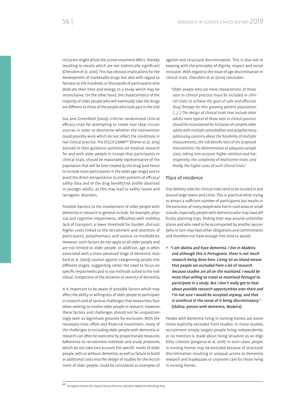inclusion might dilute the active treatment effect, thereby resulting in results which are not statistically significant (Cherubini et al. 2010). This has obvious implications for the development of marketable drugs but also with regard to fairness to the hundreds or thousands of participants who dedicate their time and energy to a study which may be inconclusive. On the other hand, the characteristics of the majority of older people who will eventually take the drugs are different to those of the people who took part in the trial.

Sox and Greenfield (2009) criticise randomised clinical efficacy trials for attempting to create near ideal circumstances in order to determine whether the intervention could possibly work which do not reflect the conditions in real clinical practice. The EFGCP GMWP48 (Diener et al. 2013) advised in their guidance synthesis on medical research for and with older people in Europe that participants in clinical trials, should be reasonably representative of the population that will be later treated by the drug (and hence to include more participants in the older age range) and to avoid the direct extrapolation to older patients of efficacy/ safety data and of the drug benefit/risk profile observed in younger adults, as this may lead to safety issues and iatrogenic disorders.

Possible barriers to the involvement of older people with dementia in research in general include, for example, physical and cognitive impairments, difficulties with mobility, lack of transport, a lower threshold for burden, distrust, higher costs linked to the recruitment and retention of participants, polypharmacy and various co-morbidities. However, such factors do not apply to all older people and are not limited to older people. In addition, age is often associated with a more advanced stage of dementia. Hubbard et al. (2003) caution against categorising people into different stages, suggesting rather the need to focus on specific impairments and to use methods suited to the individual, irrespective of the duration or severity of dementia.

It is important to be aware of possible factors which may affect the ability or willingness of older people to participate in research and of various challenges that researchers face when seeking to involve older people in research. However, these factors and challenges should not be unquestioningly seen as legitimate grounds for exclusion. With the necessary time, effort and financial investment, many of the challenges to including older people with dementia in research can often be overcome by proportionate measures. Adherence to recruitment methods and study protocols, which do not take into account the specific needs of older people, with or without dementia, as well as failure to build in additional costs into the design of studies for the recruitment of older people, could be considered as examples of

ageism and structural discrimination. This is also not in keeping with the principles of dignity, respect and social inclusion. With regard to the issue of age discrimination in clinical trials, Cherubini et al. (2010) concludes:

*"Older people who are more characteristic of those seen in clinical practice must be included in clinical trials to achieve the goal of safe and effective drug therapy for this growing patient population. (…/…) The design of clinical trials that include older adults more typical of those seen in clinical practice should be reconsidered for inclusion of complex older adults with multiple comorbidities and polypharmacy, addressing concerns about the feasibility of multiple measurements; the risk:benefit ratio of the proposed interventions; the determination of adequate sample sizes, taking into account higher attrition and heterogeneity; the complexity of multicenter trials; and nally, the higher costs of such clinical trials."*

#### Place of residence

Trial delivery sites for clinical trials tend to be located in and around large towns and cities. This is practical when trying to attract a sufficient number of participants but results in the exclusion of many people who live in rural areas or small islands, especially people with dementia who may have dif ficulty planning trips, finding their way around unfamiliar places and who need to be accompanied by another person (who in turn may have other obligations and commitments and therefore not have enough free time to assist).

 $\blacktriangleright$  "I am Idalina and have dementia. I live in Madeira and although this is Portuguese, there is not much research being done here. Living on an island means that people are excluded from a lot of research because studies are all on the mainland. I would be more than willing to travel to mainland Portugal to participate in a study. But I don't really get to hear about possible research opportunities over there and I'm not sure I would be accepted anyway, and that is unethical in the sense of it being discriminatory." (Idalina, person with dementia, Madeira)

People with dementia living in nursing homes are sometimes explicitly excluded from studies. In many studies, recruitment simply targets people living independently or no mention is made about living situation as an eligibility criterion (Jongsma et al. 2016). In such cases, people in nursing homes may be excluded because of structural discrimination resulting in unequal access to dementia research and inadequate or unproven care for those living in nursing homes.

<sup>48</sup> European Forum for Good Clinical Practice Geriatric Medicine Working Pary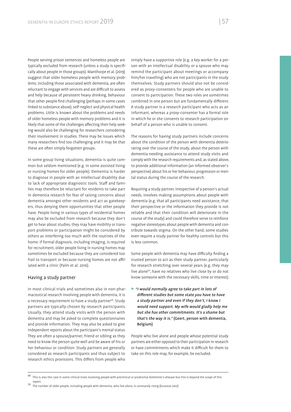People serving prison sentences and homeless people are typically excluded from research (unless a study is specifically about people in those groups). Manthorpe et al. (2019) suggest that older homeless people with memory problems, including those associated with dementia, are often reluctant to engage with services and are difficult to assess and help because of persistent heavy drinking, behaviour that other people find challenging (perhaps in some cases linked to substance abuse), self-neglect and physical health problems. Little is known about the problems and needs of older homeless people with memory problems and it is likely that some of the challenges affecting their help seeking would also be challenging for researchers considering their involvement in studies. There may be issues which many researchers find too challenging and it may be that these are often simply forgotten groups.

In some group living situations, dementia is quite common but seldom mentioned (e.g. in some assisted living or nursing homes for older people). Dementia is harder to diagnose in people with an intellectual disability due to lack of appropriate diagnostic tools. Staff and families may therefore be reluctant for residents to take part in dementia research for fear of raising concerns about dementia amongst other residents and act as gatekeepers, thus denying them opportunities that other people have. People living in various types of residential homes may also be excluded from research because they don't get to hear about studies, they may have mobility or transport problems or participation might be considered by others as interfering too much with the routines of the home. If formal diagnosis, including imaging, is required for recruitment, older people living in nursing homes may sometimes be excluded because they are considered too frail to transport or because nursing homes are not affiliated with a clinic (Palm et al. 2016).

## Having a study partner

In most clinical trials and sometimes also in non-pharmaceutical research involving people with dementia, it is a necessary requirement to have a study partner<sup>49</sup>. Study partners are typically chosen by research participants. Usually, they attend study visits with the person with dementia and may be asked to complete questionnaires and provide information. They may also be asked to give independent reports about the participant's mental status. They are often a spouse/partner, friend or sibling as they need to know the person quite well and be aware of his or her behaviour or condition. Study partners are generally considered as research participants and thus subject to research ethics provisions. This differs from people who

simply have a supportive role (e.g. a key worker for a person with an intellectual disability or a spouse who may remind the participant about meetings or accompany him/her travelling) who are not participants in the study themselves. Study partners should also not be considered as proxy-consenters for people who are unable to consent to participation. These two roles are sometimes combined in one person but are fundamentally different. A study partner is a research participant who acts as an informant, whereas a proxy-consenter has a formal role in which he or she consents to research participation on behalf of a person who is unable to consent.

The reasons for having study partners include concerns about the condition of the person with dementia deteriorating over the course of the study, about the person with dementia needing assistance to attend study visits and comply with the research requirements and, as stated above, to provide additional information (an informed observer's perspective) about his or her behaviour, progression or mental status during the course of the research.

Requiring a study partner, irrespective of a person's actual needs, involves making assumptions about people with dementia (e.g. that all participants need assistance, that their perspective or the information they provide is not reliable and that their condition will deteriorate in the course of the study) and could therefore serve to reinforce negative stereotypes about people with dementia and contribute towards stigma. On the other hand, some studies even require a study partner for healthy controls but this is less common.

Some people with dementia may have difficulty finding a trusted person to act as their study partner, particularly for research stretching over several years (e.g. they may live alone<sup>50</sup>, have no relatives who live close by or do not know someone with the necessary skills, time or interest).

▶ "I would normally agree to take part in lots of different studies but some state you have to have a study partner and even if they don't, I know I would need support. My wife would gladly help me but she has other commitments. It's a shame but that's the way it is." (Geert, person with dementia, Belgium)

People who live alone and people whose potential study partners are either opposed to their participation in research or have commitments which make it difficult for them to take on this role may, for example, be excluded.

<sup>49</sup> This is also the case in some clinical trials involving people with preclinical or prodromal Alzheimer's disease but this is beyond the scope of this

report. 50 The number of older people, including people with dementia, who live alone, is constantly rising (Eurostat 2017)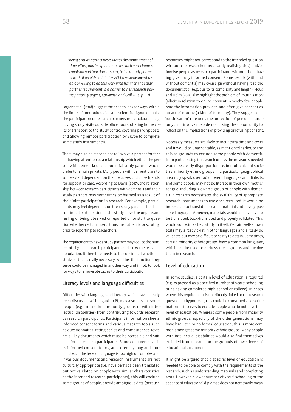*"Being a study partner necessitates the commitment of*  time, effort, and insight into the research participant's *cognition and function. In short, being a study partner is work. If an older adult doesn't have someone who's able or willing to do this work with her, then the study partner requirement is a barrier to her research participation" (Largent, Karlawish and Grill 2018, p-1–2)*

Largent et al. (2018) suggest the need to look for ways, within the limits of methodological and scientific rigour, to make the participation of research partners more palatable (e.g. having study visits outside office hours, offering home visits or transport to the study centre, covering parking costs and allowing remote participation by Skype to complete some study instruments).

There may also be reasons not to involve a partner for fear of drawing attention to a relationship which either the person with dementia or the potential study partner would prefer to remain private. Many people with dementia are to some extent dependent on their relatives and close friends for support or care. According to Davis (2017), the relationship between research participants with dementia and their study partners may sometimes be harmed as a result of their joint participation in research. For example, participants may feel dependent on their study partners for their continued participation in the study, have the unpleasant feeling of being observed or reported on or start to question whether certain interactions are authentic or scrutiny prior to reporting to researchers.

The requirement to have a study partner may reduce the number of eligible research participants and skew the research population. It therefore needs to be considered whether a study partner is really necessary, whether the function they serve could be managed in another way and if not, to look for ways to remove obstacles to their participation.

#### Literacy levels and language difficulties

Difficulties with language and literacy, which have already been discussed with regard to PI, may also prevent some people (e.g. from ethnic minority groups or with intellectual disabilities) from contributing towards research as research participants. Participant information sheets, informed consent forms and various research tools such as questionnaires, rating scales and computerised texts, are all key documents which must be accessible and suitable for all research participants. Some documents, such as informed consent forms, are extremely long and complicated. If the level of language is too high or complex and if various documents and research instruments are not culturally appropriate (i.e. have perhaps been translated but not validated on people with similar characteristics as the intended research participants), this will exclude some groups of people, provide ambiguous data (because

responses might not correspond to the intended question without the researcher necessarily realising this) and/or involve people as research participants without them having given fully informed consent. Some people (with and without dementia) may even sign without having read the document at all (e.g. due to its complexity and length). Plous and Holm (2015) also highlight the problem of 'routinisation' (albeit in relation to online consent) whereby few people read the information provided and often give consent as an act of routine (a kind of formality). They suggest that 'routinisation' threatens the protection of personal autonomy as it involves people not taking the opportunity to reflect on the implications of providing or refusing consent.

Necessary measures are likely to incur extra time and costs and it would be unacceptable, as mentioned earlier, to use this as grounds to exclude some people with dementia from participating in research unless the measures needed would be clearly disproportionate. In multicultural societies, minority ethnic groups in a particular geographical area may speak over 100 different languages and dialects, and some people may not be literate in their own mother tongue. Including a diverse group of people with dementia in research necessitates the availability of appropriate research instruments to use once recruited. It would be impossible to translate research materials into every possible language. Moreover, materials would ideally have to be translated, back-translated and properly validated. This would sometimes be a study in itself. Certain well-known tests may already exist in other languages and already be validated but may be difficult or costly to obtain. Sometimes, certain minority ethnic groups have a common language, which can be used to address these groups and involve them in research.

# Level of education

In some studies, a certain level of education is required (e.g. expressed as a specified number of years' schooling or as having completed high school or college). In cases where this requirement is not directly linked to the research question or hypothesis, this could be construed as discrimination as it serves to exclude people who do not have that level of education. Whereas some people from majority ethnic groups, especially of the older generations, may have had little or no formal education, this is more common amongst some minority ethnic groups. Many people with intellectual disabilities would also find themselves excluded from research on the grounds of lower levels of educational attainment.

It might be argued that a specific level of education is needed to be able to comply with the requirements of the research, such as understanding materials and completing tests. However, a lower number of years' schooling or the absence of educational diplomas does not necessarily mean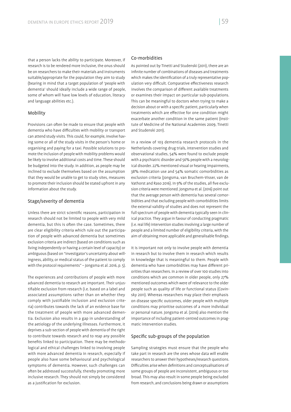that a person lacks the ability to participate. Moreover, if research is to be rendered more inclusive, the onus should be on researchers to make their materials and instruments suitable/appropriate for the population they aim to study (bearing in mind that a target population of 'people with dementia' should ideally include a wide range of people, some of whom will have low levels of education, literacy and language abilities etc.).

#### Mobility

Provisions can often be made to ensure that people with dementia who have difficulties with mobility or transport can attend study visits. This could, for example, involve having some or all of the study visits in the person's home or organising and paying for a taxi. Possible solutions to promote the inclusion of people with mobility problems would be likely to involve additional costs and time. These should be budgeted into the study. In addition, as people may be inclined to exclude themselves based on the assumption that they would be unable to get to study sites, measures to promote their inclusion should be stated upfront in any information about the study.

#### Stage/severity of dementia

Unless there are strict scientific reasons, participation in research should not be limited to people with very mild dementia, but this is often the case. Sometimes, there are clear eligibility criteria which rule out the participation of people with advanced dementia but sometimes exclusion criteria are indirect (based on conditions such as living independently or having a certain level of capacity) or ambiguous (based on "investigator's uncertainty about willingness, ability, or medical status of the patient to comply with the protocol requirements" – Jongsma et al. 2016, p. 5).

The experiences and contributions of people with more advanced dementia to research are important. Their unjustifiable exclusion from research (i.e. based on a label and associated assumptions rather than on whether they comply with justifiable inclusion and exclusion criteria) contributes towards the lack of an evidence base for the treatment of people with more advanced dementia. Exclusion also results in a gap in understanding of the aetiology of the underlying illnesses. Furthermore, it deprives a sub-section of people with dementia of the right to contribute towards research and to reap any possible benefits linked to participation. There may be methodological and ethical challenges linked to involving people with more advanced dementia in research, especially if people also have some behavioural and psychological symptoms of dementia. However, such challenges can often be addressed successfully, thereby promoting more inclusive research. They should not simply be considered as a justification for exclusion.

# Co-morbidities

As pointed out by Tinetti and Studenski (2011), there are an infinite number of combinations of diseases and treatments which makes the identification of a truly representative population very difficult. Comparative effectiveness research involves the comparison of different available treatments or examines their impact on particular sub-populations. This can be meaningful to doctors when trying to make a decision about or with a specific patient, particularly when treatments which are effective for one condition might exacerbate another condition in the same patient (Institute of Medicine of the National Academies 2009, Tinetti and Studenski 2011).

In a review of 103 dementia research protocols in the Netherlands covering drug trials, intervention studies and observational studies, 54% were found to exclude people with a psychiatric disorder and 56% people with a neurological disorder. 22% mentioned visual or hearing impairments, 38% medication use and 54% somatic comorbidities as exclusion criteria (Jongsma, van Bruchem-Visser, van de Vathorst and Raso 2016). In 9% of the studies, all five exclusion criteria were mentioned. Jongsma et al. (2016) point out that the average person with dementia has several comorbidities and that excluding people with comorbidities limits the external validity of studies and does not represent the full spectrum of people with dementia typically seen in clinical practice. They argue in favour of conducting pragmatic (i.e. real life) intervention studies involving a large number of people and a limited number of eligibility criteria, with the aim of obtaining more applicable and generalisable findings.

It is important not only to involve people with dementia in research but to involve them in research which results in knowledge that is meaningful to them. People with dementia who have comorbidities may have different priorities than researchers. In a review of over 100 studies into conditions which are common in older people, only 27% mentioned outcomes which were of relevance to the older people such as quality of life or functional status (Covinsky 2011). Whereas researchers may place their emphasis on disease specific outcomes, older people with multiple conditions may prioritise outcomes of a more individual or personal nature. Jongsma et al. (2016) also mention the importance of including patient-centred outcomes in pragmatic intervention studies.

#### Specific sub-groups of the population

Sampling strategies must ensure that the people who take part in research are the ones whose data will enable researchers to answer their hypotheses/research questions. Difficulties arise when definitions and conceptualisations of some groups of people are inconsistent, ambiguous or too broad. This may also result in some people being excluded from research, and conclusions being drawn or assumptions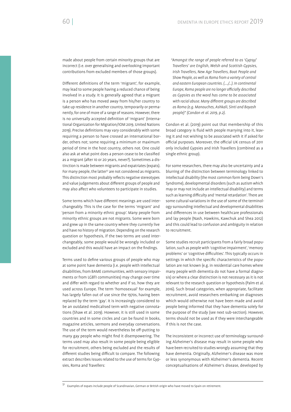made about people from certain minority groups that are incorrect (i.e. over generalising and overlooking important contributions from excluded members of those groups).

Different definitions of the term 'migrant', for example, may lead to some people having a reduced chance of being involved in a study. It is generally agreed that a migrant is a person who has moved away from his/her country to take up residence in another country, temporarily or permanently, for one of more of a range of reasons. However, there is no universally accepted definition of 'migrant' (International Organization for Migration/IOM 2019, United Nations 2019). Precise definitions may vary considerably with some requiring a person to have crossed an international border, others not; some requiring a minimum or maximum period of time in the host country, others not. One could also ask at what point does a person cease to be classified as a migrant (after 10 or 20 years, never?). Sometimes a distinction is made between migrants and expatriates (expats). For many people, the latter<sup>51</sup> are not considered as migrants. This distinction most probably reflects negative stereotypes and value judgements about different groups of people and may also affect who volunteers to participate in studies.

Some terms which have different meanings are used interchangeably. This is the case for the terms 'migrant' and 'person from a minority ethnic group'. Many people from minority ethnic groups are not migrants. Some were born and grew up in the same country where they currently live and have no history of migration. Depending on the research question or hypothesis, if the two terms are used interchangeably, some people would be wrongly included or excluded and this would have an impact on the findings.

Terms used to define various groups of people who may at some point have dementia (i.e. people with intellectual disabilities, from BAME communities, with sensory impairments or from LGBTI communities) may change over time and differ with regard to whether and if so, how they are used across Europe. The term 'homosexual' for example, has largely fallen out of use since the 1970s, having been replaced by the term 'gay'. It is increasingly considered to be an outdated medicalised term with negative connotations (Shaw et al. 2019). However, it is still used in some countries and in some circles and can be found in books, magazine articles, sermons and everyday conversations. The use of the term would nevertheless be off-putting to many gay people who might find it disempowering. The terms used may also result in some people being eligible for recruitment, others being excluded and the results of different studies being difficult to compare. The following extract describes issues related to the use of terms for Gypsies, Roma and Travellers:

*"Amongst the range of people referred to as 'Gypsy/ Travellers' are English, Welsh and Scottish Gypsies, Irish Travellers, New Age Travellers, Boat People and Show People, as well as Roma from a variety of central and eastern European countries. (…./…). In continental Europe, Roma people are no longer o cially described as Gypsies as the word has come to be associated*  with racial abuse. Many different groups are described *as Roma (e.g. Manouches, Ashkali, Sinti and Boyash people)" (Condon et al. 2019, p.2).*

Condon et al. (2019) point out that membership of this broad category is fluid with people marrying into it, leaving it and not wishing to be associated with it if asked for official purposes. Moreover, the official UK census of 2011 only included Gypsies and Irish Travellers (combined as a single ethnic group).

For some researchers, there may also be uncertainty and a blurring of the distinction between terminology linked to intellectual disability (the most common form being Down's Syndrome), developmental disorders (such as autism which may or may not include an intellectual disability) and terms such as learning difficulty and 'mental retardation'. There are some cultural variations in the use of some of the terminology surrounding intellectual and developmental disabilities and differences in use between healthcare professionals and lay people (Nash, Hawkins, Kawchuk and Shea 2012) and this could lead to confusion and ambiguity in relation to recruitment.

Some studies recruit participants from a fairly broad population, such as people with 'cognitive impairment', 'memory problems' or 'cognitive difficulties'. This typically occurs in settings in which the specific characteristics of the population are not known (e.g. in residential care homes where many people with dementia do not have a formal diagnosis) or where a clear distinction is not necessary as it is not relevant to the research question or hypothesis (Palm et al. 2016). Such broad categories, when appropriate, facilitate recruitment, avoid researchers embarking on diagnoses which would otherwise not have been made and avoid people being informed that they have dementia solely for the purpose of the study (see next sub-section). However, terms should not be used as if they were interchangeable if this is not the case.

The inconsistent or incorrect use of terminology surrounding Alzheimer's disease may result in some people who have been recruited to studies wrongly assuming that they have dementia. Originally, Alzheimer's disease was more or less synonymous with Alzheimer's dementia. Recent conceptualisations of Alzheimer's disease, developed by

<sup>51</sup> Examples of expats include people of Scandinavian, German or British origin who have moved to Spain on retirement.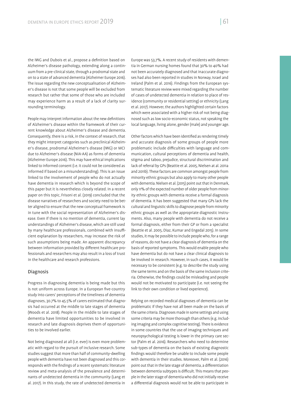the IWG and Dubois et al., propose a definition based on Alzheimer's disease pathology, extending along a continuum from a pre-clinical state, through a prodromal state and on to a state of advanced dementia (Alzheimer Europe 2016). The issue regarding the new conceptualisation of Alzheimer's disease is not that some people will be excluded from research but rather that some of those who are included may experience harm as a result of a lack of clarity surrounding terminology.

People may interpret information about the new definitions of Alzheimer's disease within the framework of their current knowledge about Alzheimer's disease and dementia. Consequently, there is a risk, in the context of research, that they might interpret categories such as preclinical Alzheimer's disease, prodromal Alzheimer's disease (IWG) or MCI due to Alzheimer's disease (NIA-AA) as forms of dementia (Alzheimer Europe 2016). This may have ethical implications linked to informed consent (i.e. it could not be considered as informed if based on a misunderstanding). This is an issue linked to the involvement of people who do not actually have dementia in research which is beyond the scope of this paper but it is nevertheless closely related. In a recent paper on this topic, Frisoni et al. (2019) concluded that the disease narratives of researchers and society need to be better aligned to ensure that the new conceptual framework is in tune with the social representation of Alzheimer's disease. Even if there is no mention of dementia, current lay understandings of Alzheimer's disease, which are still used by many healthcare professionals, combined with insufficient explanation by researchers, may increase the risk of such assumptions being made. An apparent discrepancy between information provided by different healthcare professionals and researchers may also result in a loss of trust in the healthcare and research professions.

#### Diagnosis

Progress in diagnosing dementia is being made but this is not uniform across Europe. In a European five-country study into carers' perceptions of the timeliness of dementia diagnoses, 30.7% to 45.5% of carers estimated that diagnosis had occurred at the middle to late stages of dementia (Woods et al. 2018). People in the middle to late stages of dementia have limited opportunities to be involved in research and late diagnosis deprives them of opportunities to be involved earlier.

Not being diagnosed at all (i.e. ever) is even more problematic with regard to the pursuit of inclusive research. Some studies suggest that more than half of community-dwelling people with dementia have not been diagnosed and this corresponds with the findings of a recent systematic literature review and meta-analysis of the prevalence and determinants of undetected dementia in the community (Lang et al. 2017). In this study, the rate of undetected dementia in

Europe was 53.7%. A recent study of residents with dementia in German nursing homes found that 30% to 40% had not been accurately diagnosed and that inaccurate diagnoses had also been reported in studies in Norway, Israel and Ireland (Palm et al. 2016). Findings from the European systematic literature review were mixed regarding the number of cases of undetected dementia in relation to place of residence (community or residential setting) or ethnicity (Lang et al. 2017). However, the authors highlighted certain factors which were associated with a higher risk of not being diagnosed such as low socio-economic status, not speaking the local language, living alone, gender (male) and younger age.

Other factors which have been identified as rendering timely and accurate diagnosis of some groups of people more problematic include difficulties with language and communication, cultural perceptions of dementia and health, stigma and taboo, prejudice, structural discrimination and lack of referral by GPs (Beattie et al. 2005, Nielsen at al. 2011a and 2011b). These factors are common amongst people from minority ethnic groups but also apply to many other people with dementia. Nielsen et al. (2015) point out that in Denmark, only 11% of the expected number of older people from minority ethnic groups with dementia receive a formal diagnosis of dementia. It has been suggested that many GPs lack the cultural and linguistic skills to diagnose people from minority ethnic groups as well as the appropriate diagnostic instruments. Also, many people with dementia do not receive a formal diagnosis, either from their GP or from a specialist (Beattie et al. 2005, Diaz, Kumar and Engedal 2015). In some studies, it may be possible to include people who, for a range of reasons, do not have a clear diagnosis of dementia on the basis of reported symptoms. This would enable people who have dementia but do not have a clear clinical diagnosis to be involved in research. However, in such cases, it would be necessary to be consistent (e.g. to describe the study using the same terms and on the basis of the same inclusion criteria. Otherwise, the findings could be misleading and people would not be motivated to participate (i.e. not seeing the link to their own condition or lived experience).

Relying on recorded medical diagnoses of dementia can be problematic if they have not all been made on the basis of the same criteria. Diagnoses made in some settings and using some criteria may be more thorough than others (e.g. including imaging and complex cognitive testing). There is evidence in some countries that the use of imaging techniques and neuropsychological testing is lower in the primary care sector (Palm et al. 2016). Researchers who need to determine sub-types of dementia on the basis of existing diagnostic ndings would therefore be unable to include some people with dementia in their studies. Moreover, Palm et al. (2016) point out that in the late stage of dementia, a differentiation between dementia subtypes is difficult. This means that people in the later stage of dementia who did not initially receive a differential diagnosis would not be able to participate in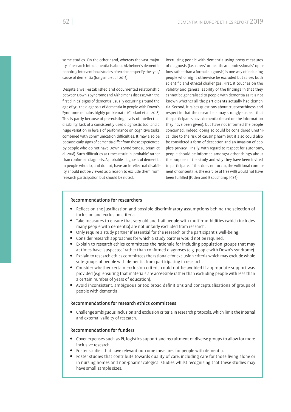some studies. On the other hand, whereas the vast majority of research into dementia is about Alzheimer's dementia, non-drug interventional studies often do not specify the type/ cause of dementia (Jongsma et al. 2016).

Despite a well-established and documented relationship between Down's Syndrome and Alzheimer's disease, with the first clinical signs of dementia usually occurring around the age of 50, the diagnosis of dementia in people with Down's Syndrome remains highly problematic (Cipriani et al. 2018). This is partly because of pre-existing levels of intellectual disability, lack of a consistently used diagnostic tool and a huge variation in levels of performance on cognitive tasks, combined with communication difficulties. It may also be because early signs of dementia differ from those experienced by people who do not have Down's Syndrome (Cipriani et al. 2018). Such difficulties at times result in 'probable' rather than confirmed diagnosis. A probable diagnosis of dementia, in people who do, and do not, have an intellectual disability should not be viewed as a reason to exclude them from research participation but should be noted.

Recruiting people with dementia using proxy measures of diagnosis (i.e. carers' or healthcare professionals' opinions rather than a formal diagnosis) is one way of including people who might otherwise be excluded but raises both scientific and ethical challenges. First, it touches on the validity and generalisability of the findings in that they cannot be generalised to people with dementia as it is not known whether all the participants actually had dementia. Second, it raises questions about trustworthiness and respect in that the researchers may strongly suspect that the participants have dementia (based on the information they have been given), but have not informed the people concerned. Indeed, doing so could be considered unethical due to the risk of causing harm but it also could also be considered a form of deception and an invasion of people's privacy. Finally, with regard to respect for autonomy, people should be informed amongst other things about the purpose of the study and why they have been invited to participate. If this does not occur, the volitional component of consent (i.e. the exercise of free will) would not have been fulfilled (Faden and Beauchamp 1986).

#### Recommendations for researchers

- Reflect on the justification and possible discriminatory assumptions behind the selection of inclusion and exclusion criteria.
- Take measures to ensure that very old and frail people with multi-morbidities (which includes many people with dementia) are not unfairly excluded from research.
- Only require a study partner if essential for the research or the participant's well-being.
- Consider research approaches for which a study partner would not be required.
- Explain to research ethics committees the rationale for including population groups that may at times have 'suspected' rather than confirmed diagnoses (e.g. people with Down's syndrome).
- Explain to research ethics committees the rationale for exclusion criteria which may exclude whole sub-groups of people with dementia from participating in research.
- Consider whether certain exclusion criteria could not be avoided if appropriate support was provided (e.g. ensuring that materials are accessible rather than excluding people with less than a certain number of years of education).
- Avoid inconsistent, ambiguous or too broad definitions and conceptualisations of groups of people with dementia.

#### Recommendations for research ethics committees

 Challenge ambiguous inclusion and exclusion criteria in research protocols, which limit the internal and external validity of research.

#### Recommendations for funders

- Cover expenses such as PI, logistics support and recruitment of diverse groups to allow for more inclusive research.
- Foster studies that have relevant outcome measures for people with dementia.
- Foster studies that contribute towards quality of care, including care for those living alone or in nursing homes and non-pharmacological studies whilst recognising that these studies may have small sample sizes.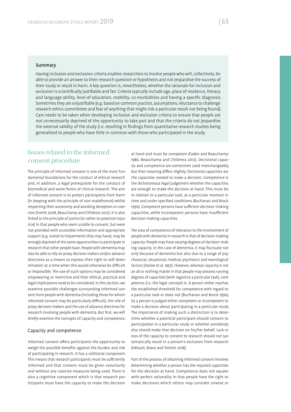#### Summary

Having inclusion and exclusion criteria enables researchers to involve people who will, collectively, be able to provide an answer to their research question or hypothesis and not jeopardise the success of their study or result in harm. A key question is, nevertheless, whether the rationale for inclusion and exclusion is scientifically justifiable and fair. Criteria typically include age, place of residence, literacy and language ability, level of education, mobility, co-morbidities and having a specific diagnosis. Sometimes they are unjustifiable (e.g. based on common practice, assumptions, reluctance to challenge research ethics committees and fear of anything that might risk a particular result not being found). Care needs to be taken when developing inclusion and exclusion criteria to ensure that people are not unnecessarily deprived of the opportunity to take part and that the criteria do not jeopardise the external validity of the study (i.e. resulting in findings from quantitative research studies being generalised to people who have little in common with those who participated in the study.

# Issues related to the informed consent procedure

The principle of informed consent is one of the most fundamental foundations for the conduct of ethical research and, in addition, a legal prerequisite for the conduct of biomedical and some forms of clinical research. The aim of informed consent is to protect participants from harm (in keeping with the principle of non-maleficence) whilst respecting their autonomy and avoiding deception or coercion (Smith 2008, Beauchamp and Childress 2012). It is also linked to the principle of justice (or rather to potential injustice) in that people who seem unable to consent, but were not provided with accessible information and appropriate support (e.g. suited to impairments they may have), may be wrongly deprived of the same opportunities to participate in research that other people have. People with dementia may also be able to rely on proxy decision makers and/or advance directives as a means to express their right to self-determination at a time when this would otherwise be difficult or impossible. The use of such options may be considered empowering or restrictive and their ethical, practical and legal implications need to be considered. In this section, we examine possible challenges surrounding informed consent from people with dementia (including those for whom informed consent may be particularly difficult), the role of proxy decision makers and the use of advance directives for research involving people with dementia. But first, we will briefly examine the concepts of capacity and competence.

#### Capacity and competence

Informed consent offers participants the opportunity to weigh the possible benefits against the burden and risk of participating in research. It has a volitional component. This means that research participants must be sufficiently informed and that consent must be given voluntarily and without any coercive measures being used. There is also a cognitive component which is that research participants must have the capacity to make the decision

at hand and must be competent (Faden and Beauchamp 1986, Beauchamp and Childress 2012). Decisional capacity and competence are sometimes used interchangeably, but their meaning differs slightly. Decisional capacities are the capacities needed to make a decision. Competence is the dichotomous legal judgement whether the capacities are enough to make the decision at hand. This must be in relation to a particular task, at a particular moment in time and under specified conditions (Buchanan and Brock 1990). Competent persons have sufficient decision-making capacities, while incompetent persons have insufficient decision-making capacities.

The area of competence of relevance to the involvement of people with dementia in research is that of decision-making capacity. People may have varying degrees of decision-making capacity. In the case of dementia, it may fluctuate not only because of dementia but also due to a range of psychosocial, situational, medical, psychiatric and neurological factors (Holzer et al. 1997). However, whereas capacity is not an all or nothing matter in that people may possess varying degrees of capacities (with regard to a particular task), competence (i.e. the legal concept) is. A person either reaches the established threshold for competence with regard to a particular task or does not (Buchanan and Brock 1990). So a person is judged either competent or incompetent to make a decision about participating in a particular study. The importance of making such a distinction is to determine whether a potential participant should consent to participation in a particular study or whether somebody else should make that decision on his/her behalf. Lack or loss of the capacity to consent to research should not systematically result in a person's exclusion from research (Hérault, Bravo and Trottier 2018).

Part of the process of obtaining informed consent involves determining whether a person has the required capacities for the decision at hand. Competence does not equate with perfect rationality in that people have the right to make decisions which others may consider unwise or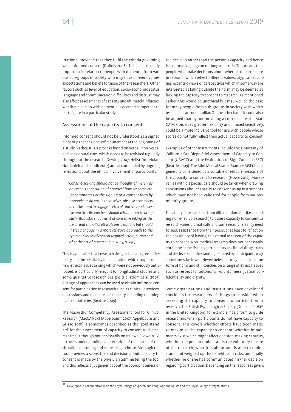irrational provided that they fulfil the criteria governing valid informed consent (DuBois 2008). This is particularly important in relation to people with dementia from various sub-groups in society who may have different values, expectations and beliefs to those of the researchers. Other factors such as level of education, socio-economic status, language and communication difficulties and distrust may also affect assessments of capacity and ultimately influence whether a person with dementia is deemed competent to participate in a particular study.

#### Assessment of the capacity to consent

Informed consent should not be understood as a signed piece of paper or a one-off requirement at the beginning of a study. Rather, it is a process based on verbal, non-verbal and behavioural cues, which needs to be revisited regularly throughout the research (Dewing 2007, Hellström, Nolan, Nordenfelt and Lundh 2007) and accompanied by ongoing reflection about the ethical involvement of participants.

*"Consent-seeking should not be thought of merely as an event. The securing of approval from research ethics committees or the signing of a consent form by respondents do not, in themselves, absolve researchers*  of further need to engage in ethical concerns and reflex*ive practice. Researchers should refrain from treating such ritualistic enactment of consent-seeking as the be-all and end-all of ethical considerations but should instead engage in a more reflexive approach to the types and levels of consent required before, during and a er the act of research" (Sin 2005, p. 290).*

This is applicable to all research designs but a degree of flexibility and the possibility for adaptation, which may result in new ethical issues arising which were not previously anticipated, is particularly relevant for longitudinal studies and some qualitative research designs (Hellström et al. 2007). A range of approaches can be used to obtain informed consent for participation in research such as clinical interviews, discussions and measures of capacity, including neurological test batteries (Beattie 2009).

The MacArthur Competency Assessment Tool for Clinical Research (MacCAT-CR) (Appelbaum 2007, Appelbaum and Grisso 2001) is sometimes described as the 'gold standard' for the assessment of capacity to consent to clinical research, although not necessarily on its own (Howe 2012). It covers understanding, appreciation of the nature of the situation, reasoning and expressing a choice. Although the tool provides a score, the end decision about capacity to consent is made by the physician administering the tool and this reflects a judgement about the appropriateness of

the decision rather than the person's capacity and hence is a normative judgement (Jongsma 2016). This means that people who make decisions about whether to participate in research which reflect different values, atypical reasoning, eccentric views or perspectives which in some way are interpreted as falling outside the norm, may be deemed as lacking the capacity to consent to research. As mentioned earlier, this would be unethical but may well be the case for many people from sub-groups in society with which researchers are not familiar. On the other hand, it could also be argued that by not providing a cut-off score, the Mac-CAT-CR provides greater flexibility and, if used sensitively, could be a more inclusive tool for use with people whose scores do not fully reflect their actual capacity to consent.

Examples of other instruments include the University of California San Diego Brief Assessment of Capacity to Consent (UBACC) and the Evaluation to Sign Consent (ESC) (Beattie 2009). The Mini Mental Status Exam (MMSE) is not generally considered as a suitable or reliable measure of the capacity to consent to research (Howe 2012). Moreover, as with diagnosis, care should be taken when drawing conclusions about capacity to consent using instruments which have not been validated for people from various minority groups.

The ability of researchers from different domains (i.e. including non-medical research) to assess capacity to consent to research varies dramatically and some researchers may need to seek assistance from their peers, or at least to reflect on the possibility of having an external assessor of the capacity to consent. Non-medical research does not necessarily entail the same risks to participants as clinical drugs trials and the level of understanding required by participants may sometimes be lower. Nevertheless, it may result in some form of harm and still touches on a range of ethical issues such as respect for autonomy, voluntariness, justice, con dentiality and dignity.

Some organisations and institutions have developed checklists for researchers of things to consider when assessing the capacity to consent to participation in research. The British Psychological Society (Dobson 2008)<sup>52</sup> in the United Kingdom, for example, has a form to guide researchers when participants do not have capacity to consent. This covers whether efforts have been made to maximise the capacity to consent, whether impairments exist which might affect decision-making capacity, whether the person understands the voluntary nature of the research, what it is about and is able to understand and weighed up the benefits and risks, and finally whether he or she has communicated his/her decision regarding participation. Depending on the responses given,

52 Developed in collaboration with the Royal College of Speech and Language Therapists and the Royal College of Psychiatrists.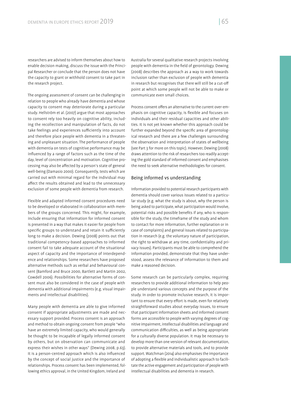researchers are advised to inform themselves about how to enable decision making, discuss the issue with the Principal Researcher or conclude that the person does not have the capacity to grant or withhold consent to take part in the research project.

The ongoing assessment of consent can be challenging in relation to people who already have dementia and whose capacity to consent may deteriorate during a particular study. Hellström et al. (2007) argue that most approaches to consent rely too heavily on cognitive ability, including the recollection and manipulation of facts, do not take feelings and experiences sufficiently into account and therefore place people with dementia in a threatening and unpleasant situation. The performance of people with dementia on tests of cognitive performance may be influenced by a range of factors such as the time of the day, level of concentration and motivation. Cognitive processing may also be affected by a person's state of general well-being (Damasio 2000). Consequently, tests which are carried out with minimal regard for the individual may affect the results obtained and lead to the unnecessary exclusion of some people with dementia from research.

Flexible and adapted informed consent procedures need to be developed or elaborated in collaboration with members of the groups concerned. This might, for example, include ensuring that information for informed consent is presented in a way that makes it easier for people from specific groups to understand and retain it sufficiently long to make a decision. Dewing (2008) points out that traditional competency-based approaches to informed consent fail to take adequate account of the situational aspect of capacity and the importance of interdependence and relationships. Some researchers have proposed alternative methods such as verbal and behavioural consent (Bamford and Bruce 2000, Bartlett and Martin 2002, Cowdell 2006). Possibilities for alternative forms of consent must also be considered in the case of people with dementia with additional impairments (e.g. visual impairments and intellectual disabilities).

Many people with dementia are able to give informed consent if appropriate adjustments are made and necessary support provided. Process consent is an approach and method to obtain ongoing consent from people "who have an extremely limited capacity, who would generally be thought to be incapable of legally informed consent by others, but on observation can communicate and express their wishes in other ways" (Dewing 2008, p.63). It is a person-centred approach which is also influenced by the concept of social justice and the importance of relationships. Process consent has been implemented, following ethics approval, in the United Kingdom, Ireland and

Australia for several qualitative research projects involving people with dementia in the field of gerontology. Dewing (2008) describes the approach as a way to work towards inclusion rather than exclusion of people with dementia in research but recognises that there will still be a cut-off point at which some people will not be able to make or communicate even small choices.

Process consent offers an alternative to the current over-emphasis on cognitive capacity, is flexible and focuses on individuals and their residual capacities and other abilities. It is not yet known whether this approach could be further expanded beyond the specific area of gerontological research and there are a few challenges surrounding the observation and interpretation of states of wellbeing (see Part 3 for more on this topic). However, Dewing (2008) draws attention to the risk of researchers too readily accepting the gold standard of informed consent and emphasises the need to seek alternative methodologies for consent.

#### Being informed vs understanding

Information provided to potential research participants with dementia should cover various issues related to a particular study (e.g. what the study is about, why the person is being asked to participate, what participation would involve, potential risks and possible benefits if any, who is responsible for the study, the timeframe of the study and whom to contact for more information, further explanation or in case of complaints) and general issues related to participation in research (e.g. the voluntary nature of participation, the right to withdraw at any time, confidentiality and privacy issues). Participants must be able to comprehend the information provided, demonstrate that they have understood, assess the relevance of information to them and make a reasoned decision.

Some research can be particularly complex, requiring researchers to provide additional information to help people understand various concepts and the purpose of the study. In order to promote inclusive research, it is important to ensure that every effort is made, even for relatively straightforward studies about everyday issues, to ensure that participant information sheets and informed consent forms are accessible to people with varying degrees of cognitive impairment, intellectual disabilities and language and communication difficulties, as well as being appropriate for a culturally diverse population. It may be necessary to develop more than one version of relevant documentation, to provide alternative materials and tools, and to provide support. Watchman (2014) also emphasises the importance of adopting a flexible and individualistic approach to facilitate the active engagement and participation of people with intellectual disabilities and dementia in research.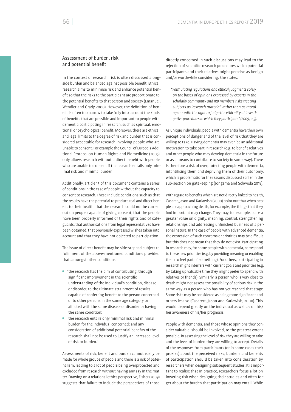# Assessment of burden, risk and potential benefit

In the context of research, risk is often discussed alongside burden and balanced against possible benefit. Ethical research aims to minimise risk and enhance potential benefit so that the risks to the participant are proportionate to the potential benefits to that person and society (Emanuel, Wendler and Grady 2000). However, the definition of benefit is often too narrow to take fully into account the kinds of benefits that are possible and important to people with dementia participating in research, such as spiritual, emotional or psychological benefit. Moreover, there are ethical and legal limits to the degree of risk and burden that is considered acceptable for research involving people who are unable to consent. For example the Council of Europe's Additional Protocol on Human Rights and Biomedicine (2005) only allows research without a direct benefit with people who are unable to consent if the research entails only minimal risk and minimal burden.

Additionally, article 15 of this document contains a series of conditions in the case of people without the capacity to consent to research. These include conditions such as that the results have the potential to produce real and direct benefit to their health, that the research could not be carried out on people capable of giving consent, that the people have been properly informed of their rights and of safeguards, that authorisations from legal representatives have been obtained, that previously expressed wishes taken into account and that they have not objected to participation.

The issue of direct benefit may be side-stepped subject to ful filment of the above-mentioned conditions provided that, amongst other conditions:

- "the research has the aim of contributing, through significant improvement in the scientific understanding of the individual's condition, disease or disorder, to the ultimate attainment of results capable of conferring benefit to the person concerned or to other persons in the same age category or afflicted with the same disease or disorder or having the same condition;
- the research entails only minimal risk and minimal burden for the individual concerned; and any consideration of additional potential benefits of the research shall not be used to justify an increased level of risk or burden."

Assessments of risk, benefit and burden cannot easily be made for whole groups of people and there is a risk of paternalism, leading to a lot of people being overprotected and excluded from research without having any say in the matter. Drawing on a relational ethics perspective, Fisher (2009) suggests that failure to include the perspectives of those

directly concerned in such discussions may lead to the rejection of scientific research procedures which potential participants and their relatives might perceive as benign and/or worthwhile considering. She states:

*"Formulating regulations and ethical judgments solely on the bases of opinions expressed by experts in the scholarly community and IRB members risks treating subjects as 'research material' rather than as moral agents with the right to judge the ethicality of investigative procedures in which they participate" (2009, p.5).*

As unique individuals, people with dementia have their own perceptions of danger and of the level of risk that they are willing to take. Having dementia may even be an additional motivation to take part in research (e.g. to benefit relatives and other people who may develop dementia in the future or as a means to contribute to society in some way). There is therefore a risk of overprotecting people with dementia, infantilising them and depriving them of their autonomy, which is problematic for the reasons discussed earlier in the sub-section on gatekeeping (Jongsma and Schweda 2018).

With regard to benefits which are not directly linked to health, Casaret, Jason and Karlawish (2000) point out that when people are approaching death, for example, the things that they find important may change. They may, for example, place a greater value on dignity, meaning, control, strengthening relationships and addressing unfinished business of a personal nature. In the case of people with advanced dementia, the expression of such concerns or priorities may be difficult but this does not mean that they do not exist. Participating in research may, for some people with dementia, correspond to these new priorities (e.g. by providing meaning or enabling them to feel part of something). For others, participating in research might interfere with current goals and priorities (e.g. by taking up valuable time they might prefer to spend with relatives or friends). Similarly, a person who is very close to death might not assess the possibility of serious risk in the same way as a person who has not yet reached that stage. Some risks may be considered as being more significant and others less so (Casarett, Jason and Karlawish, 2000). This would depend greatly on the individual as well as on his/ her awareness of his/her prognosis.

People with dementia, and those whose opinions they consider valuable, should be involved, to the greatest extent possible, in assessing the level of risk they are willing to take and the level of burden they are willing to accept. Details of the responses from participants (or in some cases their proxies) about the perceived risks, burdens and benefits of participation should be taken into consideration by researchers when designing subsequent studies. It is important to realise that in practice, researchers focus a lot on lowering risk when designing their studies and often forget about the burden that participation may entail. While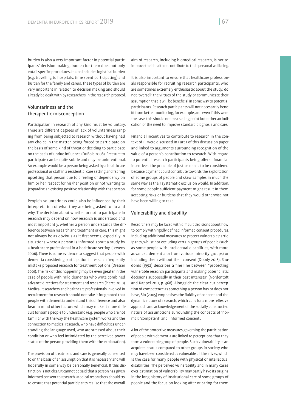burden is also a very important factor in potential participants' decision making, burden for them does not only entail specific procedures. It also includes logistical burden (e.g. travelling to hospitals, time spent participating) and burden for the family and carers. These types of burden are very important in relation to decision making and should already be dealt with by researchers in the research protocol.

# Voluntariness and the therapeutic misconception

Participation in research of any kind must be voluntary. There are different degrees of lack of voluntariness ranging from being subjected to research without having had any choice in the matter, being forced to participate on the basis of some kind of threat or deciding to participate on the basis of undue influence (DuBois 2008). Pressure to participate can be quite subtle and may be unintentional. An example would be a person being asked by a healthcare professional or staff in a residential care setting and fearing upsetting that person due to a feeling of dependency on him or her, respect for his/her position or not wanting to jeopardise an existing positive relationship with that person.

People's voluntariness could also be influenced by their interpretation of what they are being asked to do and why. The decision about whether or not to participate in research may depend on how research is understood and most importantly, whether a person understands the difference between research and treatment or care. This might not always be as obvious as it first seems, especially in situations where a person is informed about a study by a healthcare professional in a healthcare setting (Lewens 2006). There is some evidence to suggest that people with dementia considering participation in research frequently mistake proposed research for treatment options (Dresser 2001). The risk of this happening may be even greater in the case of people with mild dementia who write combined advance directives for treatment and research (Pierce 2010). Medical researchers and healthcare professionals involved in recruitment for research should not take it for granted that people with dementia understand this difference and also bear in mind other factors which may make it more difficult for some people to understand (e.g. people who are not familiar with the way the healthcare system works and the connection to medical research, who have difficulties understanding the language used, who are stressed about their condition or who feel intimidated by the perceived power status of the person providing them with the explanation).

The provision of treatment and care is generally consented to on the basis of an assumption that it is necessary and will hopefully in some way be personally beneficial. If this distinction is not clear, it cannot be said that a person has given informed consent to research. Medical researchers should try to ensure that potential participants realise that the overall

aim of research, including biomedical research, is not to improve their health or contribute to their personal wellbeing.

It is also important to ensure that healthcare professionals responsible for recruiting research participants, who are sometimes extremely enthusiastic about the study, do not 'oversell' the virtues of the study or communicate their assumption that it will be beneficial in some way to potential participants. Research participants will not necessarily bene fit from better monitoring, for example, and even if this were the case, this should not be a selling point but rather an indication of the need to improve standard diagnosis and care.

Financial incentives to contribute to research in the context of PI were discussed in Part 1 of this discussion paper and linked to arguments surrounding recognition of the value of a person's contribution to research. With regard to potential research participants being offered financial incentives, the principle of justice needs to be considered because payment could contribute towards the exploitation of some groups of people and skew samples in much the same way as their systematic exclusion would. In addition, for some people sufficient payment might result in them accepting risks or burdens that they would otherwise not have been willing to take.

#### Vulnerability and disability

Researchers may be faced with difficult decisions about how to comply with rigidly defined informed consent procedures, including additional measures to protect vulnerable participants, whilst not excluding certain groups of people (such as some people with intellectual disabilities, with more advanced dementia or from various minority groups) or including them without their consent (Doody 2018). Raudonis (1992) describes a fine line between "protecting vulnerable research participants and making paternalistic decisions supposedly in their best interests" (Nordento and Kappel 2011, p. 368). Alongside the clear-cut perception of competence as something a person has or does not have, Sin (2005) emphasises the fluidity of consent and the dynamic nature of research, which calls for a more reflexive approach and acknowledgement of the socially constructed nature of assumptions surrounding the concepts of 'normal', 'competent' and 'informed consent'.

A lot of the protective measures governing the participation of people with dementia are linked to perceptions that they form a vulnerable group of people. Such vulnerability is an acquired status compared to other groups in society who may have been considered as vulnerable all their lives, which is the case for many people with physical or intellectual disabilities. The perceived vulnerability and in many cases over-estimation of vulnerability may partly have its origins in the long history of institutional care of some groups of people and the focus on looking after or caring for them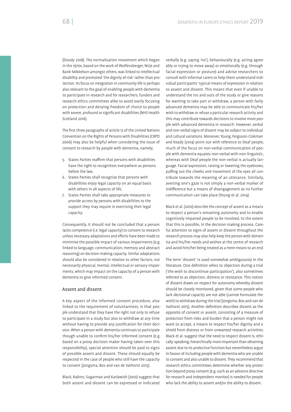(Doody 2018). The normalisation movement which began in the 1970s, based on the work of Wolfensberger, Nirje and Bank-Mikkelson amongst others, was linked to intellectual disability and promoted 'the dignity of risk' rather than protection. Its focus on integration in community life is perhaps also relevant to the goal of enabling people with dementia to participate in research and for researchers, funders and research ethics committees alike to avoid overly focusing on protection and denying freedom of choice to people with severe, profound or significant disabilities (NHS Health Scotland 2016).

The first three paragraphs of article 12 of the United Nations Convention on the Rights of Persons with Disabilities (CRPD 2006) may also be helpful when considering the issue of consent to research by people with dementia, namely,

- 5. States Parties reaffirm that persons with disabilities have the right to recognition everywhere as persons before the law,
- 6. States Parties shall recognize that persons with disabilities enjoy legal capacity on an equal basis with others in all aspects of life,
- 7. States Parties shall take appropriate measures to provide access by persons with disabilities to the support they may require in exercising their legal capacity.

Consequently, it should not be concluded that a person lacks competence (i.e. legal capacity) to consent to research unless necessary adaptations and efforts have been made to minimise the possible impact of various impairments (e.g. linked to language, communication, memory and abstract reasoning) on decision-making capacity. Similar adaptations should also be considered in relation to other factors, not necessarily physical, mental, intellectual or sensory impairments, which may impact on the capacity of a person with dementia to give informed consent.

#### Assent and dissent

A key aspect of the informed consent procedure, also linked to the requirement of voluntariness, is that people understand that they have the right not only to refuse to participate in a study but also to withdraw at any time without having to provide any justification for their decision. When a person with dementia continues to participate though unable to confirm his/her informed consent (e.g. based on a proxy decision maker having taken over this responsibility), special attention should be paid to signs of possible assent and dissent. These should equally be respected in the case of people who still have the capacity to consent (Jongsma, Bos and van de Vathorst 2015).

Black, Rabins, Sugarman and Karlawish (2010) suggest that both assent and dissent can be expressed or indicated verbally (e.g. saying 'no'), behaviourally (e.g. acting agreeably or trying to move away) or emotionally (e.g. through facial expression or posture) and advise researchers to consult with informal carers to help them understand individual participants' typical means of expression in relation to assent and dissent. This means that even if unable to understand the ins and outs of the study or give reasons for wanting to take part or withdraw, a person with fairly advanced dementia may be able to communicate his/her wish to withdraw or refuse a particular research activity and this may contribute towards decisions to involve more people with advanced dementia in research. However, verbal and non-verbal signs of dissent may be subject to individual and cultural variations. Moreover, Young, Ferguson-Coleman and Keady (2014) point out with reference to Deaf people, much of the focus on non-verbal communication of people with dementia equates non-verbal with non-linguistic, whereas with Deaf people the non-verbal is actually language. Facial expression, raising or lowering the eyebrows, puffing out the cheeks and movement of the eyes all contribute towards the meaning of an utterance. Similarly, averting one's gaze is not simply a non-verbal marker of indifference but a means of disengagement as no further communication can take place (Young et al. 2014).

Black et al. (2010) describe the concept of assent as a means to respect a person's remaining autonomy and to enable cognitively impaired people to be involved, to the extent that this is possible, in the decision making process. Careful attention to signs of assent or dissent throughout the research process may also help keep the person with dementia and his/her needs and wishes at the centre of research and avoid him/her being treated as a mere means to an end.

The term 'dissent' is used somewhat ambiguously in the literature. One definition refers to objection during a trial ('the wish to discontinue participation'), also sometimes referred to as objection, distress or resistance. This notion of dissent draws on respect for autonomy whereby dissent should be closely monitored, given that some people who lack decisional capacity are not able (cannot formulate the wish) to withdraw during the trial (Jongsma, Bos and van de Vathorst 2015). Another definition describes dissent as the opposite of consent or assent, consisting of a measure of protection from risks and burden that a person might not want to accept, a means to respect his/her dignity and a shield from distress or from unwanted research activities. Black et al. suggest that the need to respect dissent is, ethically-speaking, hierarchically more important than obtaining assent due to its protective function but nevertheless argue in favour of including people with dementia who are unable to consent and also unable to dissent. They recommend that research ethics committees determine whether any protection beyond proxy consent (e.g. such as an advance directive for research and independent monitor) is needed for people who lack the ability to assent and/or the ability to dissent.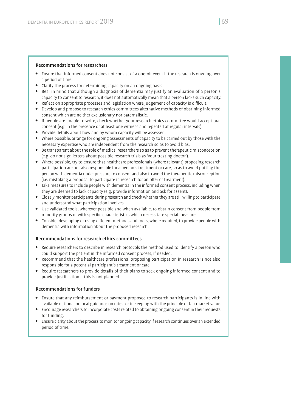# Recommendations for researchers

- Ensure that informed consent does not consist of a one-off event if the research is ongoing over a period of time.
- Clarify the process for determining capacity on an ongoing basis.
- Bear in mind that although a diagnosis of dementia may justify an evaluation of a person's capacity to consent to research, it does not automatically mean that a person lacks such capacity.
- Reflect on appropriate processes and legislation where judgement of capacity is difficult.
- Develop and propose to research ethics committees alternative methods of obtaining informed consent which are neither exclusionary nor paternalistic.
- If people are unable to write, check whether your research ethics committee would accept oral consent (e.g. in the presence of at least one witness and repeated at regular intervals).
- Provide details about how and by whom capacity will be assessed.
- Where possible, arrange for ongoing assessments of capacity to be carried out by those with the necessary expertise who are independent from the research so as to avoid bias.
- Be transparent about the role of medical researchers so as to prevent therapeutic misconception (e.g. do not sign letters about possible research trials as 'your treating doctor').
- Where possible, try to ensure that healthcare professionals (where relevant) proposing research participation are not also responsible for a person's treatment or care, so as to avoid putting the person with dementia under pressure to consent and also to avoid the therapeutic misconception (i.e. mistaking a proposal to participate in research for an offer of treatment).
- Take measures to include people with dementia in the informed consent process, including when they are deemed to lack capacity (e.g. provide information and ask for assent).
- Closely monitor participants during research and check whether they are still willing to participate and understand what participation involves.
- Use validated tools, wherever possible and when available, to obtain consent from people from minority groups or with specific characteristics which necessitate special measures.
- Consider developing or using different methods and tools, where required, to provide people with dementia with information about the proposed research.

# Recommendations for research ethics committees

- Require researchers to describe in research protocols the method used to identify a person who could support the patient in the informed consent process, if needed.
- Recommend that the healthcare professional proposing participation in research is not also responsible for a potential participant's treatment or care.
- Require researchers to provide details of their plans to seek ongoing informed consent and to provide justification if this is not planned.

# Recommendations for funders

- Ensure that any reimbursement or payment proposed to research participants is in line with available national or local guidance on rates, or in keeping with the principle of fair market value.
- Encourage researchers to incorporate costs related to obtaining ongoing consent in their requests for funding.
- Ensure clarity about the process to monitor ongoing capacity if research continues over an extended period of time.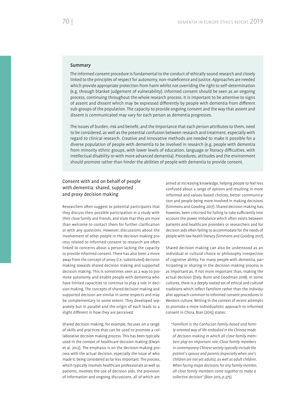# Summary

The informed consent procedure is fundamental to the conduct of ethically sound research and closely linked to the principles of respect for autonomy, non-maleficence and justice. Approaches are needed which provide appropriate protection from harm whilst not overriding the right to self-determination (e.g. through blanket judgement of vulnerability). Informed consent should be seen as an ongoing process, continuing throughout the whole research process. It is important to be attentive to signs of assent and dissent which may be expressed differently by people with dementia from different sub-groups of the population. The capacity to provide ongoing consent and the way that assent and dissent is communicated may vary for each person as dementia progresses.

The issues of burden, risk and benefit, and the importance that each person attributes to them, need to be considered, as well as the potential confusion between research and treatment, especially with regard to clinical research. Creative and innovative methods are needed to make it possible for a diverse population of people with dementia to be involved in research (e.g. people with dementia from minority ethnic groups, with lower levels of education, language or literacy difficulties, with intellectual disability or with more advanced dementia). Procedures, attitudes and the environment should promote rather than hinder the abilities of people with dementia to provide consent.

# Consent with and on behalf of people with dementia: shared, supported and proxy decision making

Researchers often suggest to potential participants that they discuss their possible participation in a study with their close family and friends, and state that they are more than welcome to contact them for further clarification or with any questions. However, discussions about the involvement of other people in the decision-making process related to informed consent to research are often linked to concerns about a person lacking the capacity to provide informed consent. There has also been a move away from the concept of proxy (i.e. substituted) decision making towards shared decision making and supported decision making. This is sometimes seen as a way to promote autonomy and enable people with dementia who have limited capacities to continue to play a role in decision making. The concepts of shared decision making and supported decision are similar in some respects and may be complementary to some extent. They developed separately but in parallel and the origin of each leads to a slight different in how they are perceived.

Shared decision making, for example, focuses on a range of skills and practices that can be used to promote a collaborative decision making process. This has been typically used in the context of healthcare decision making (Elwyn et al. 2012). The emphasis is on the decision-making process with the actual decision, especially the issue of who made it, being considered as far less important. The process, which typically involves healthcare professionals as well as patients, involves the use of decision aids, the provision of information and ongoing discussions, all of which are

aimed at increasing knowledge, helping people to feel less confused about a range of options and resulting in more informed and values-based choices, better communication and people being more involved in making decisions (Simmons and Gooding 2017). Shared decision making has, however, been criticised for failing to take sufficiently into account the power imbalance which often exists between patients and healthcare providers or researchers and for decision aids often failing to accommodate for the needs of people with low health literacy (Simmons and Gooding 2017).

Shared decision making can also be understood as an individual or cultural choice or philosophy irrespective of cognitive ability. For many people with dementia, participating or sharing in the decision-making process is as important as, if not more important than, making the actual decision (Daly, Bunn and Goodman 2018). In some cultures, there is a deeply rooted set of ethical and cultural traditions which reflect familism rather than the individualist approach common to informed consent procedures in Western culture. Writing in the context of recent attempts to promote a more individualistic approach to informed consent in China, Bian (2015) states:

*"Familism is the Confucian family-based and family-oriented way of life embodied in the Chinese mode of decision-making in which all close family members play an important role. Close family members in contemporary Chinese society typically include the patient's spouse and parents (especially when one's children are not yet adults), as well as adult children. When facing major decisions for any family member, all close family members come together to make a collective decision" (Bian 2015, p.375).*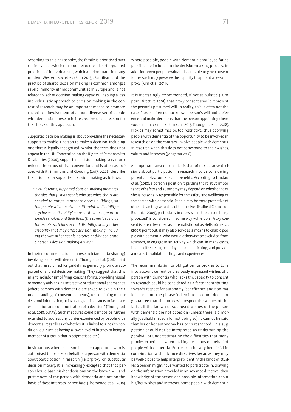According to this philosophy, the family is prioritised over the individual, which runs counter to the taken-for-granted practices of individualism, which are dominant in many modern Western societies (Bian 2015). Familism and the practice of shared decision making is common amongst several minority ethnic communities in Europe and is not related to lack of decision-making capacity. Enabling a less individualistic approach to decision making in the context of research may be an important means to promote the ethical involvement of a more diverse set of people with dementia in research, irrespective of the reason for the choice of this approach.

Supported decision making is about providing the necessary support to enable a person to make a decision, including one that is legally recognised. Whilst the term does not appear in the UN Convention on the Rights of Persons with Disabilities (2006), supported decision making very much reflects the ethos of that convention and is often associated with it. Simmons and Gooding (2017, p.276) describe the rationale for supported decision making as follows:

*"In crude terms, supported decision-making promotes the idea that just as people who use wheelchairs are entitled to ramps in order to access buildings, so too people with mental health-related disability – 'psychosocial disability' – are entitled to support to exercise choices and their lives. (The same idea holds for people with intellectual disability, or any other*  disability that may affect decision-making, includ*ing the way other people perceive and/or denigrate a person's decision-making ability)."*

In their recommendations on research (and data sharing) involving people with dementia, Thorogood et al. (2018) point out that research ethics guidelines generally promote supported or shared decision-making. They suggest that this might include "simplifying consent forms, providing visual or memory aids, taking interactive or educational approaches (where persons with dementia are asked to explain their understanding of consent elements), re-explaining misunderstood information, or involving familiar carers to facilitate explanation and communication of a decision" (Thorogood et al. 2018, p.1338). Such measures could perhaps be further extended to address any barrier experienced by people with dementia, regardless of whether it is linked to a health condition (e.g. such as having a lower level of literacy or being a member of a group that is stigmatised etc.).

In situations where a person has been appointed who is authorised to decide on behalf of a person with dementia about participation in research (i.e. a 'proxy' or 'substitute' decision maker), it is increasingly excepted that that person should base his/her decisions on the known will and preferences of the person with dementia and not on the basis of 'best interests' or 'welfare' (Thorogood et al. 2018).

Where possible, people with dementia should, as far as possible, be included in the decision-making process. In addition, even people evaluated as unable to give consent for research may preserve the capacity to appoint a research proxy (Kim et al. 2011).

It is increasingly recommended, if not stipulated (European Directive 2001), that proxy consent should represent the person's presumed will. In reality, this is often not the case. Proxies often do not know a person's will and preference and make decisions that the person appointing them would not have made (Kim et al. 2013, Thorogood et al. 2018). Proxies may sometimes be too restrictive, thus depriving people with dementia of the opportunity to be involved in research or, on the contrary, involve people with dementia in research when this does not correspond to their wishes, values and interests (Jongsma 2016).

An important area to consider is that of risk because decisions about participation in research involve considering potential risks, burdens and benefits. According to Landau et al. (2010), a person's position regarding the relative importance of safety and autonomy may depend on whether he or she is personally responsible for the safety and wellbeing of the person with dementia. People may be more protective of others, than they would be of themselves (Nuffield Council on Bioethics 2009), particularly in cases where the person being 'protected' is considered in some way vulnerable. Proxy consent is often described as paternalistic but as Hellström et al. (2007) point out, it may also serve as a means to enable people with dementia, who would otherwise be excluded from research, to engage in an activity which can, in many cases, boost self-esteem, be enjoyable and enriching, and provide a means to validate feelings and experiences.

The recommendation or obligation for proxies to take into account current or previously expressed wishes of a person with dementia who lacks the capacity to consent to research could be considered as a factor contributing towards respect for autonomy, beneficence and non-maleficence, but the phrase 'taken into account' does not guarantee that the proxy will respect the wishes of the latter. If the known or supposed wishes of the person with dementia are not acted on (unless there is a morally justifiable reason for not doing so), it cannot be said that his or her autonomy has been respected. This suggestion should not be interpreted as undermining the goodwill or underestimating the difficulties that many proxies experience when making decisions on behalf of people with dementia. Proxies can be very beneficial in combination with advance directives because they may be well-placed to help interpret/identify the kinds of studies a person might have wanted to participate in, drawing on the information provided in an advance directive, their knowledge of the person and possible information about his/her wishes and interests. Some people with dementia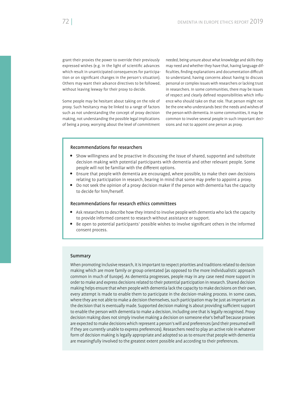grant their proxies the power to override their previously expressed wishes (e.g. in the light of scientific advances which result in unanticipated consequences for participation or on significant changes in the person's situation). Others may want their advance directives to be followed, without leaving leeway for their proxy to decide.

Some people may be hesitant about taking on the role of proxy. Such hesitancy may be linked to a range of factors such as not understanding the concept of proxy decision making, not understanding the possible legal implications of being a proxy, worrying about the level of commitment

needed, being unsure about what knowledge and skills they may need and whether they have that, having language dif ficulties, finding explanations and documentation difficult to understand, having concerns about having to discuss personal or complex issues with researchers or lacking trust in researchers. In some communities, there may be issues of respect and clearly defined responsibilities which influence who should take on that role. That person might not be the one who understands best the needs and wishes of the person with dementia. In some communities, it may be common to involve several people in such important decisions and not to appoint one person as proxy.

## Recommendations for researchers

- Show willingness and be proactive in discussing the issue of shared, supported and substitute decision making with potential participants with dementia and other relevant people. Some people will not be familiar with the different options.
- Ensure that people with dementia are encouraged, where possible, to make their own decisions relating to participation in research, bearing in mind that some may prefer to appoint a proxy.
- Do not seek the opinion of a proxy decision maker if the person with dementia has the capacity to decide for him/herself.

### Recommendations for research ethics committees

- Ask researchers to describe how they intend to involve people with dementia who lack the capacity to provide informed consent to research without assistance or support.
- Be open to potential participants' possible wishes to involve significant others in the informed consent process.

### Summary

When promoting inclusive research, it is important to respect priorities and traditions related to decision making which are more family or group orientated (as opposed to the more individualistic approach common in much of Europe). As dementia progresses, people may in any case need more support in order to make and express decisions related to their potential participation in research. Shared decision making helps ensure that when people with dementia lack the capacity to make decisions on their own, every attempt is made to enable them to participate in the decision-making process. In some cases, where they are not able to make a decision themselves, such participation may be just as important as the decision that is eventually made. Supported decision making is about providing sufficient support to enable the person with dementia to make a decision, including one that is legally recognised. Proxy decision making does not simply involve making a decision on someone else's behalf because proxies are expected to make decisions which represent a person's will and preferences (and their presumed will if they are currently unable to express preferences). Researchers need to play an active role in whatever form of decision making is legally appropriate and adopted so as to ensure that people with dementia are meaningfully involved to the greatest extent possible and according to their preferences.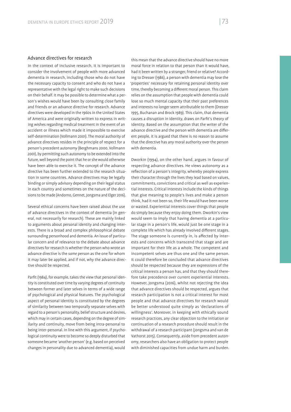## Advance directives for research

In the context of inclusive research, it is important to consider the involvement of people with more advanced dementia in research, including those who do not have the necessary capacity to consent and who do not have a representative with the legal right to make such decisions on their behalf. It may be possible to determine what a person's wishes would have been by consulting close family and friends or an advance directive for research. Advance directives were developed in the 1960s in the United States of America and were originally written to express in writing wishes regarding medical treatment in the event of an accident or illness which made it impossible to exercise self-determination (Vollmann 2001). The moral authority of advance directives resides in the principle of respect for a person's precedent autonomy (Berghmans 2000, Vollmann 2001), by permitting such autonomy to be extended into the future, well beyond the point that he or she would otherwise have been able to exercise it. The concept of the advance directive has been further extended to the research situation in some countries. Advance directives may be legally binding or simply advisory depending on their legal status in each country and sometimes on the nature of the decisions to be made (Andorno, Gennet, Jongsma and Elger 2016).

Several ethical concerns have been raised about the use of advance directives in the context of dementia (in general, not necessarily for research). These are mainly linked to arguments about personal identity and changing interests. There is a broad and complex philosophical debate surrounding personhood and dementia. An issue of particular concern and of relevance to the debate about advance directives for research is whether the person who wrote an advance directive is the *same* person as the one for whom it may later be applied, and if not, why the advance directive should be respected.

Parfit (1984), for example, takes the view that personal identity is constituted over time by varying degrees of continuity between former and later selves in terms of a wide range of psychological and physical features. The psychological aspect of personal identity is constituted by the degrees of similarity between two temporally separate selves with regard to a person's personality, belief structure and desires, which may in certain cases, depending on the degree of similarity and continuity, move from being intra-personal to being inter-personal. In line with this argument, if psychological continuity were to become so deeply disturbed that someone became 'another person' (e.g. based on perceived changes in personality due to advanced dementia), would

this mean that the advance directive should have no more moral force in relation to that person than it would have, had it been written by a stranger, friend or relative? According to Dresser (1986), a person with dementia may lose the 'properties' necessary for retaining personal identity over time, thereby becoming a different moral person. This claim relies on the assumption that people with dementia could lose so much mental capacity that their past preferences and interests no longer seem attributable to them (Dresser 1995, Buchanan and Brock 1989). This claim, that dementia causes a disruption in identity, draws on Parfit's theory of identity. Based on the assumption that the writer of the advance directive and the person with dementia are different people, it is argued that there is no reason to assume that the directive has any moral authority over the person with dementia.

Dworkin (1994), on the other hand, argues in favour of respecting advance directives. He views autonomy as a reflection of a person's integrity, whereby people express their character through the lives they lead based on values, commitments, convictions and critical as well as experiential interests. Critical interests include the kinds of things that give meaning to people's lives and make a person think, had it not been so, their life would have been worse or wasted. Experiential interests cover things that people do simply because they enjoy doing them. Dworkin's view would seem to imply that having dementia at a particular stage in a person's life, would just be one stage in a complete life which has already involved different stages. The stage someone is currently in, is affected by interests and concerns which transcend that stage and are important for their life as a whole. The competent and incompetent selves are thus one and the same person. It could therefore be concluded that advance directives should be respected because they are expressions of the critical interests a person has, and that they should therefore take precedence over current experiential interests. However, Jongsma (2016), whilst not rejecting the idea that advance directives should be respected, argues that research participation is not a critical interest for most people and that advance directives for research would be better understood quite simply as 'declarations of willingness'. Moreover, in keeping with ethically sound research practices, any clear objection to the initiation or continuation of a research procedure should result in the withdrawal of a research participant (Jongsma and van de Vathorst 2015). Consequently, aside from precedent autonomy, researchers also have an obligation to protect people with diminished capacities from undue harm and burden.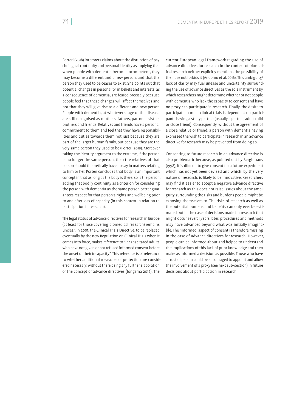Porteri (2018) interprets claims about the disruption of psychological continuity and personal identity as implying that when people with dementia become incompetent, they may become a different and a new person, and that the person they used to be ceases to exist. She points out that potential changes in personality, in beliefs and interests, as a consequence of dementia, are feared precisely because people feel that these changes will affect themselves and not that they will give rise to a different and new person. People with dementia, at whatever stage of the disease, are still recognised as mothers, fathers, partners, sisters, brothers and friends. Relatives and friends have a personal commitment to them and feel that they have responsibilities and duties towards them not just because they are part of the larger human family, but because they are the very same person they used to be (Porteri 2018). Moreover, taking the identity argument to the extreme, if the person is no longer the same person, then the relatives of that person should theoretically have no say in matters relating to him or her. Porteri concludes that body is an important concept in that as long as the body is there, so is the person, adding that bodily continuity as a criterion for considering the person with dementia as the same person better guarantees respect for that person's rights and wellbeing prior to and after loss of capacity (in this context in relation to participation in research).

The legal status of advance directives for research in Europe (at least for those covering biomedical research) remains unclear. In 2001, the Clinical Trials Directive, to be replaced eventually by the new Regulation on Clinical Trials when it comes into force, makes reference to "incapacitated adults who have not given or not refused informed consent before the onset of their incapacity". This reference is of relevance to whether additional measures of protection are considered necessary, without there being any further elaboration of the concept of advance directives (Jongsma 2016). The

current European legal framework regarding the use of advance directives for research in the context of biomedical research neither explicitly mentions the possibility of their use not forbids it (Andorno et al. 2016). This ambiguity/ lack of clarity may fuel unease and uncertainty surrounding the use of advance directives as the sole instrument by which researchers might determine whether or not people with dementia who lack the capacity to consent and have no proxy can participate in research. Finally, the desire to participate in most clinical trials is dependent on participants having a study partner (usually a partner, adult child or close friend). Consequently, without the agreement of a close relative or friend, a person with dementia having expressed the wish to participate in research in an advance directive for research may be prevented from doing so.

Consenting to future research in an advance directive is also problematic because, as pointed out by Berghmans (1998), it is difficult to give consent for a future experiment which has not yet been devised and which, by the very nature of research, is likely to be innovative. Researchers may find it easier to accept a negative advance directive for research as this does not raise issues about the ambiguity surrounding the risks and burdens people might be exposing themselves to. The risks of research as well as the potential burdens and benefits can only ever be estimated but in the case of decisions made for research that might occur several years later, procedures and methods may have advanced beyond what was initially imaginable. The 'informed' aspect of consent is therefore missing in the case of advance directives for research. However, people can be informed about and helped to understand the implications of this lack of prior knowledge and then make as informed a decision as possible. Those who have a trusted person could be encouraged to appoint and allow the involvement of a proxy (see next sub-section) in future decisions about participation in research.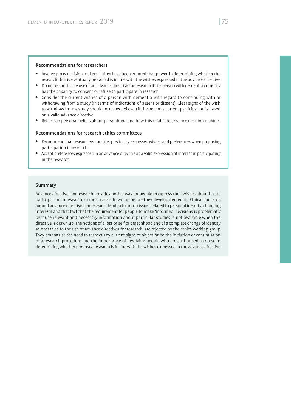## Recommendations for researchers

- Involve proxy decision makers, if they have been granted that power, in determining whether the research that is eventually proposed is in line with the wishes expressed in the advance directive.
- Do not resort to the use of an advance directive for research if the person with dementia currently has the capacity to consent or refuse to participate in research.
- Consider the current wishes of a person with dementia with regard to continuing with or withdrawing from a study (in terms of indications of assent or dissent). Clear signs of the wish to withdraw from a study should be respected even if the person's current participation is based on a valid advance directive.
- Reflect on personal beliefs about personhood and how this relates to advance decision making.

## Recommendations for research ethics committees

- Recommend that researchers consider previously expressed wishes and preferences when proposing participation in research.
- Accept preferences expressed in an advance directive as a valid expression of interest in participating in the research.

#### Summary

Advance directives for research provide another way for people to express their wishes about future participation in research, in most cases drawn up before they develop dementia. Ethical concerns around advance directives for research tend to focus on issues related to personal identity, changing interests and that fact that the requirement for people to make 'informed' decisions is problematic because relevant and necessary information about particular studies is not available when the directive is drawn up. The notions of a loss of self or personhood and of a complete change of identity, as obstacles to the use of advance directives for research, are rejected by the ethics working group. They emphasise the need to respect any current signs of objection to the initiation or continuation of a research procedure and the importance of involving people who are authorised to do so in determining whether proposed research is in line with the wishes expressed in the advance directive.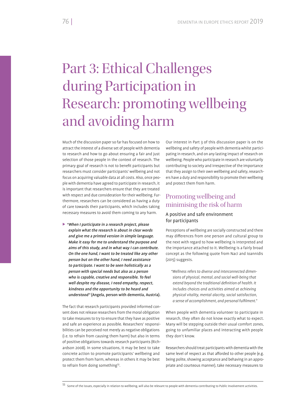## Part 3: Ethical Challenges during Participation in Research: promoting wellbeing and avoiding harm

Much of the discussion paper so far has focused on how to attract the interest of a diverse set of people with dementia to research and how to go about ensuring a fair and just selection of those people in the context of research. The primary goal of research is not to benefit participants but researchers must consider participants' wellbeing and not focus on acquiring valuable data at all costs. Also, once people with dementia have agreed to participate in research, it is important that researchers ensure that they are treated with respect and due consideration for their wellbeing. Furthermore, researchers can be considered as having a duty of care towards their participants, which includes taking necessary measures to avoid them coming to any harm.

 $\blacktriangleright$  "When I participate in a research project, please explain what the research is about in clear words and give me a printed version in simple language. Make it easy for me to understand the purpose and aims of this study, and in what way I can contribute. On the one hand, I want to be treated like any other person but on the other hand, I need assistance to participate. I want to be seen holistically as a person with special needs but also as a person who is capable, creative and responsible. To feel well despite my disease, I need empathy, respect, kindness and the opportunity to be heard and understood" (Angela, person with dementia, Austria).

The fact that research participants provided informed consent does not release researchers from the moral obligation to take measures to try to ensure that they have as positive and safe an experience as possible. Researchers' responsibilities can be perceived not merely as negative obligations (i.e. to refrain from causing them harm) but also in terms of positive obligations towards research participants (Richardson 2008). In some situations, it may be best to take concrete action to promote participants' wellbeing and protect them from harm, whereas in others it may be best to refrain from doing something<sup>53</sup>.

Our interest in Part 3 of this discussion paper is on the wellbeing and safety of people with dementia whilst participating in research, and on any lasting impact of research on wellbeing. People who participate in research are voluntarily contributing to society and irrespective of the importance that they assign to their own wellbeing and safety, researchers have a duty and responsibility to promote their wellbeing and protect them from harm.

## Promoting wellbeing and minimising the risk of harm

## A positive and safe environment for participants

Perceptions of wellbeing are socially constructed and there may differences from one person and cultural group to the next with regard to how wellbeing is interpreted and the importance attached to it. Wellbeing is a fairly broad concept as the following quote from Naci and Ioannidis (2015) suggests.

*"Wellness refers to diverse and interconnected dimensions of physical, mental, and social well-being that*  extend beyond the traditional definition of health. It *includes choices and activities aimed at achieving physical vitality, mental alacrity, social satisfaction, a sense of accomplishment, and personal fulfilment."* 

When people with dementia volunteer to participate in research, they often do not know exactly what to expect. Many will be stepping outside their usual comfort zones, going to unfamiliar places and interacting with people they don't know.

Researchers should treat participants with dementia with the same level of respect as that afforded to other people (e.g. being polite, showing acceptance and behaving in an appropriate and courteous manner), take necessary measures to

<sup>53</sup> Some of the issues, especially in relation to wellbeing, will also be relevant to people with dementia contributing to Public Involvement activities.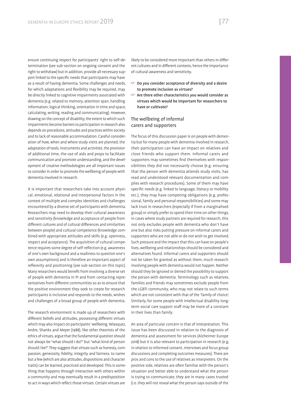ensure continuing respect for participants' right to self-determination (see sub-section on ongoing consent and the right to withdraw) but in addition, provide all necessary support linked to the specific needs that participants may have as a result of having dementia. Some challenges and needs, for which adaptations and flexibility may be required, may be directly linked to cognitive impairments associated with dementia (e.g. related to memory, attention span, handling information, logical thinking, orientation in time and space, calculating, writing, reading and communicating). However, drawing on the concept of disability, the extent to which such impairments become barriers to participation in research also depends on procedures, attitudes and practices within society and to lack of reasonable accommodation. Careful consideration of how, when and where study visits are planned, the adaptation of tools, instruments and activities, the provision of additional time, the use of aids and props to facilitate communication and promote understanding, and the development of creative methodologies are all important issues to consider in order to promote the wellbeing of people with dementia involved in research.

It is important that researchers take into account physical, emotional, relational and interpersonal factors in the context of multiple and complex identities and challenges encountered by a diverse set of participants with dementia. Researchers may need to develop their cultural awareness and sensitivity (knowledge and acceptance of people from different cultures and of cultural differences and similarities between people) and cultural competence (knowledge combined with appropriate attitudes and skills (e.g. openness, respect and acceptance). The acquisition of cultural competence requires some degree of self-reflection (e.g. awareness of one's own background and a readiness to question one's own assumptions) and is therefore an important aspect of reflexivity and positioning (see sub-section on this topic). Many researchers would benefit from involving a diverse set of people with dementia in PI and from contacting representatives from different communities so as to ensure that the positive environment they seek to create for research participants is inclusive and responds to the needs, wishes and challenges of a broad group of people with dementia.

The research environment is made up of researchers with different beliefs and attitudes, possessing different virtues which may also impact on participants' wellbeing. Velasquez, Andre, Shanks and Meyer (1988), like other theorists of the ethics of virtues, argue that the fundamental question should not always be "what should I do?" but "what kind of person should I be?" They suggest that virtues such as honesty, compassion, generosity, fidelity, integrity and fairness, to name but a few (which are also attitudes, dispositions and character traits) can be learned, practiced and developed. This is something that happens through interaction with others within a community and may eventually result in a predisposition to act in ways which reflect those virtues. Certain virtues are

likely to be considered more important than others in different cultures and in different contexts, hence the importance of cultural awareness and sensitivity.

- $\heartsuit$  Do you consider acceptance of diversity and a desire to promote inclusion as virtues?
- $\heartsuit$  Are there other characteristics you would consider as virtues which would be important for researchers to have or cultivate?

## The wellbeing of informal carers and supporters

The focus of this discussion paper is on people with dementia but for many people with dementia involved in research, their participation can have an impact on relatives and close friends who support them. Informal carers and supporters may sometimes find themselves with responsibilities they did not necessarily choose (e.g. ensuring that the person with dementia attends study visits, has read and understood relevant documentation and complies with research procedures). Some of them may have specific needs (e.g. linked to language, literacy or mobility etc.), they may have competing obligations (e.g. professional, family and personal responsibilities) and some may lack trust in researchers (especially if from a marginalised group) or simply prefer to spend their time on other things. In cases where study partners are required for research, this not only excludes people with dementia who don't have one but also risks putting pressure on informal carers and supporters who are not able or do not wish to get involved. Such pressure and the impact that this can have on people's lives, wellbeing and relationships should be considered and alternatives found. Informal carers and supporters should not be taken for granted as without them, much research involving people with dementia would not happen. Neither should they be ignored or denied the possibility to support the person with dementia. Terminology such as relatives, families and friends may sometimes exclude people from the LGBTI community, who may not relate to such terms which are not consistent with that of the 'family of choice'. Similarly, for some people with intellectual disability longterm social care support staff may be more of a constant in their lives than family.

An area of particular concern is that of interpretation. This issue has been discussed in relation to the diagnosis of dementia and assessment for services (Alzheimer Europe 2018) but it is also relevant to participation in research (e.g. in relation to informed consent, interviews and focus group discussions and completing outcomes measures). There are pros and cons to the use of relatives as interpreters. On the positive side, relatives are often familiar with the person's situation and better able to understand what the person is trying to communicate, they are in many cases trusted (i.e. they will not reveal what the person says outside of the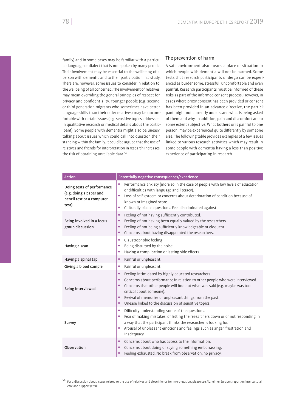family) and in some cases may be familiar with a particular language or dialect that is not spoken by many people. Their involvement may be essential to the wellbeing of a person with dementia and to their participation in a study. There are, however, some issues to consider in relation to the wellbeing of all concerned. The involvement of relatives may mean overriding the general principles of respect for privacy and confidentiality. Younger people (e.g. second or third generation migrants who sometimes have better language skills than their older relatives) may be uncomfortable with certain issues (e.g. sensitive topics addressed in qualitative research or medical details about the participant). Some people with dementia might also be uneasy talking about issues which could call into question their standing within the family. It could be argued that the use of relatives and friends for interpretation in research increases the risk of obtaining unreliable data.<sup>54</sup>

## The prevention of harm

A safe environment also means a place or situation in which people with dementia will not be harmed. Some tests that research participants undergo can be experienced as burdensome, stressful, uncomfortable and even painful. Research participants must be informed of these risks as part of the informed consent process. However, in cases where proxy consent has been provided or consent has been provided in an advance directive, the participant might not currently understand what is being asked of them and why. In addition, pain and discomfort are to some extent subjective. What bothers or is painful to one person, may be experienced quite differently by someone else. The following table provides examples of a few issues linked to various research activities which may result in some people with dementia having a less than positive experience of participating in research.

| <b>Action</b>                                                                               | Potentially negative consequences/experience                                                                                                                                                                                                                                                                                                                                                                              |
|---------------------------------------------------------------------------------------------|---------------------------------------------------------------------------------------------------------------------------------------------------------------------------------------------------------------------------------------------------------------------------------------------------------------------------------------------------------------------------------------------------------------------------|
| Doing tests of performance<br>(e.g. doing a paper and<br>pencil test or a computer<br>test) | Performance anxiety (more so in the case of people with low levels of education<br>۰<br>or difficulties with language and literacy).<br>Loss of self-esteem or concerns about deterioration of condition because of<br>$\bullet$<br>known or imagined score.<br>Culturally biased questions. Feel discriminated against.<br>۰                                                                                             |
| Being involved in a focus<br>group discussion                                               | Feeling of not having sufficiently contributed.<br>$\bullet$<br>Feeling of not having been equally valued by the researchers.<br>٠<br>Feeling of not being sufficiently knowledgeable or eloquent.<br>۰<br>Concerns about having disappointed the researchers.<br>$\bullet$                                                                                                                                               |
| Having a scan                                                                               | Claustrophobic feeling.<br>$\bullet$<br>Being disturbed by the noise.<br>۰<br>Having a complication or lasting side effects.<br>$\bullet$                                                                                                                                                                                                                                                                                 |
| Having a spinal tap                                                                         | Painful or unpleasant.<br>$\bullet$                                                                                                                                                                                                                                                                                                                                                                                       |
| Giving a blood sample                                                                       | Painful or unpleasant.<br>۰                                                                                                                                                                                                                                                                                                                                                                                               |
| Being interviewed                                                                           | Feeling intimidated by highly educated researchers.<br>$\bullet$<br>Concerns about performance in relation to other people who were interviewed.<br>$\bullet$<br>Concerns that other people will find out what was said (e.g. maybe was too<br>$\bullet$<br>critical about someone).<br>Revival of memories of unpleasant things from the past.<br>$\bullet$<br>Unease linked to the discussion of sensitive topics.<br>٠ |
| Survey                                                                                      | Difficulty understanding some of the questions.<br>۰<br>Fear of making mistakes, of letting the researchers down or of not responding in<br>$\bullet$<br>a way that the participant thinks the researcher is looking for.<br>Arousal of unpleasant emotions and feelings such as anger, frustration and<br>$\bullet$<br>inadequacy.                                                                                       |
| Observation                                                                                 | Concerns about who has access to the information.<br>$\bullet$<br>Concerns about doing or saying something embarrassing.<br>$\bullet$<br>Feeling exhausted. No break from observation, no privacy.<br>$\bullet$                                                                                                                                                                                                           |

<sup>54</sup> For a discussion about issues related to the use of relatives and close friends for interpretation, please see Alzheimer Europe's report on intercultural care and support (2018).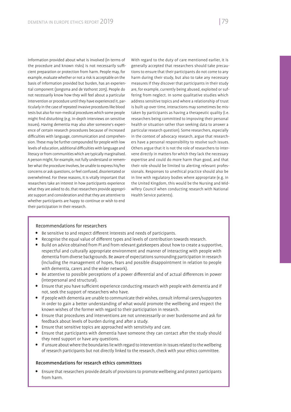Information provided about what is involved (in terms of the procedure and known risks) is not necessarily sufficient preparation or protection from harm. People may, for example, evaluate whether or not a risk is acceptable on the basis of information provided but burden, has an experiential component (Jongsma and de Vathorst 2015). People do not necessarily know how they will feel about a particular intervention or procedure until they have experienced it, particularly in the case of repeated invasive procedures like blood tests but also for non-medical procedures which some people might find disturbing (e.g. in-depth interviews on sensitive issues). Having dementia may also alter someone's experience of certain research procedures because of increased difficulties with language, communication and comprehension. These may be further compounded for people with low levels of education, additional difficulties with language and literacy or from communities which are typically marginalised. A person might, for example, not fully understand or remember what the procedure involves, be unable to express his/her concerns or ask questions, or feel confused, disorientated or overwhelmed. For these reasons, it is vitally important that researchers take an interest in how participants experience what they are asked to do, that researchers provide appropriate support and consideration and that they are attentive to whether participants are happy to continue or wish to end their participation in their research.

With regard to the duty of care mentioned earlier, it is generally accepted that researchers should take precautions to ensure that their participants do not come to any harm during their study, but also to take any necessary measures if they discover that participants in their study are, for example, currently being abused, exploited or suffering from neglect. In some qualitative studies which address sensitive topics and where a relationship of trust is built up over time, interactions may sometimes be mistaken by participants as having a therapeutic quality (i.e. researchers being committed to improving their personal health or situation rather than seeking data to answer a particular research question). Some researchers, especially in the context of advocacy research, argue that researchers have a personal responsibility to resolve such issues. Others argue that it is not the role of researchers to intervene directly in matters for which they lack the necessary expertise and could do more harm than good, and that their role should be limited to alerting relevant professionals. Responses to unethical practice should also be in line with regulatory bodies where appropriate (e.g. in the United Kingdom, this would be the Nursing and Midwifery Council when conducting research with National Health Service patients).

## Recommendations for researchers

- $\bullet$  Be sensitive to and respect different interests and needs of participants.
- Recognise the equal value of different types and levels of contribution towards research.
- **•** Build on advice obtained from PI and from relevant gatekeepers about how to create a supportive, respectful and culturally appropriate environment and manner of interacting with people with dementia from diverse backgrounds. Be aware of expectations surrounding participation in research (including the management of hopes, fears and possible disappointment in relation to people with dementia, carers and the wider network).
- Be attentive to possible perceptions of a power differential and of actual differences in power (interpersonal and structural).
- Ensure that you have sufficient experience conducting research with people with dementia and if not, seek the support of researchers who have.
- If people with dementia are unable to communicate their wishes, consult informal carers/supporters in order to gain a better understanding of what would promote the wellbeing and respect the known wishes of the former with regard to their participation in research.
- Ensure that procedures and interventions are not unnecessarily or over burdensome and ask for feedback about levels of burden during and after a study.
- Ensure that sensitive topics are approached with sensitivity and care.
- Ensure that participants with dementia have someone they can contact after the study should they need support or have any questions.
- If unsure about where the boundaries lie with regard to intervention in issues related to the wellbeing of research participants but not directly linked to the research, check with your ethics committee.

## Recommendations for research ethics committees

 Ensure that researchers provide details of provisions to promote wellbeing and protect participants from harm.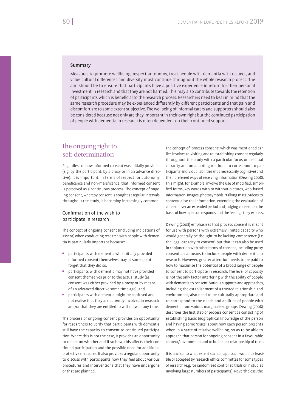## Summary

Measures to promote wellbeing, respect autonomy, treat people with dementia with respect, and value cultural differences and diversity must continue throughout the whole research process. The aim should be to ensure that participants have a positive experience in return for their personal investment in research and that they are not harmed. This may also contribute towards the retention of participants which is beneficial to the research process. Researchers need to bear in mind that the same research procedure may be experienced differently by different participants and that pain and discomfort are to some extent subjective. The wellbeing of informal carers and supporters should also be considered because not only are they important in their own right but the continued participation of people with dementia in research is often dependent on their continued support.

## The ongoing right to self-determination

Regardless of how informed consent was initially provided (e.g. by the participant, by a proxy or in an advance directive), it is important, in terms of respect for autonomy, beneficence and non-maleficence, that informed consent is perceived as a continuous process. The concept of ongoing consent, whereby consent is sought at regular intervals throughout the study, is becoming increasingly common.

## Confirmation of the wish to participate in research

The concept of ongoing consent (including indications of assent) when conducting research with people with dementia is particularly important because:

- participants with dementia who initially provided informed consent themselves may at some point forget that they did so,
- participants with dementia may not have provided consent themselves prior to the actual study (as consent was either provided by a proxy or by means of an advanced directive some time ago), and
- participants with dementia might be confused and not realise that they are currently involved in research and/or that they are entitled to withdraw at any time.

The process of ongoing consent provides an opportunity for researchers to verify that participants with dementia still have the capacity to consent to continued participation. Where this is not the case, it provides an opportunity to reflect on whether and if so how, this affects their continued participation and the possible need for additional protective measures. It also provides a regular opportunity to discuss with participants how they feel about various procedures and interventions that they have undergone or that are planned.

The concept of 'process consent', which was mentioned earlier, involves re-visiting and re-establishing consent regularly throughout the study with a particular focus on residual capacity and on adapting methods to correspond to participants' individual abilities (not necessarily cognitive) and their preferred ways of receiving information (Dewing 2008). This might, for example, involve the use of modified, simplified forms, key words with or without pictures, web-based information, images, photosymbols, 'talking mats', videos to contextualise the information, extending the evaluation of consent over an extended period and judging consent on the basis of how a person responds and the feelings they express.

Dewing (2008) emphasises that process consent is meant for use with persons with extremely limited capacity who would generally be thought to be lacking competence (i.e. the legal capacity to consent) but that it can also be used in conjunction with other forms of consent, including proxy consent, as a means to include people with dementia in research. However, greater attention needs to be paid to how to maximise the potential of a broad range of people to consent to participate in research. The level of capacity is not the only factor interfering with the ability of people with dementia to consent. Various supports and approaches, including the establishment of a trusted relationship and environment, also need to be culturally appropriate and to correspond to the needs and abilities of people with dementia from various marginalised groups. Dewing (2008) describes the first step of process consent as consisting of establishing basic biographical knowledge of the person and having some 'clues' about how each person presents when in a state of relative wellbeing, so as to be able to approach that person for ongoing consent in a favourable context/environment and to build up a relationship of trust.

It is unclear to what extent such an approach would be feasible or accepted by research ethics committee for some types of research (e.g. for randomised controlled trials or in studies involving large numbers of participants). Nevertheless, the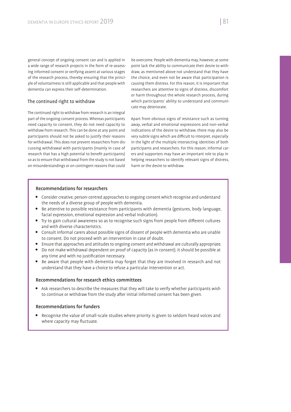general concept of ongoing consent can and is applied in a wide range of research projects in the form of re-assessing informed consent or verifying assent at various stages of the research process, thereby ensuring that the principle of voluntariness is still applicable and that people with dementia can express their self-determination.

## The continued right to withdraw

The continued right to withdraw from research is an integral part of the ongoing consent process. Whereas participants need capacity to consent, they do not need capacity to withdraw from research. This can be done at any point and participants should not be asked to justify their reasons for withdrawal. This does not prevent researchers from discussing withdrawal with participants (mainly in case of research that has a high potential to benefit participants) so as to ensure that withdrawal from the study is not based on misunderstandings or on contingent reasons that could

be overcome. People with dementia may, however, at some point lack the ability to communicate their desire to withdraw, as mentioned above not understand that they have the choice, and even not be aware that participation is causing them distress. For this reason, it is important that researchers are attentive to signs of distress, discomfort or harm throughout the whole research process, during which participants' ability to understand and communicate may deteriorate.

Apart from obvious signs of resistance such as turning away, verbal and emotional expressions and non-verbal indications of the desire to withdraw, there may also be very subtle signs which are difficult to interpret, especially in the light of the multiple intersecting identities of both participants and researchers. For this reason, informal carers and supporters may have an important role to play in helping researchers to identify relevant signs of distress, harm or the desire to withdraw.

## Recommendations for researchers

- Consider creative, person-centred approaches to ongoing consent which recognise and understand the needs of a diverse group of people with dementia.
- Be attentive to possible resistance from participants with dementia (gestures, body language, facial expression, emotional expression and verbal indication).
- Try to gain cultural awareness so as to recognise such signs from people from different cultures and with diverse characteristics.
- Consult informal carers about possible signs of dissent of people with dementia who are unable to consent. Do not proceed with an intervention in case of doubt.
- Ensure that approaches and attitudes to ongoing consent and withdrawal are culturally appropriate.
- Do not make withdrawal dependent on proof of capacity (as in consent); it should be possible at any time and with no justification necessary.
- Be aware that people with dementia may forget that they are involved in research and not understand that they have a choice to refuse a particular intervention or act.

## Recommendations for research ethics committees

 Ask researchers to describe the measures that they will take to verify whether participants wish to continue or withdraw from the study after initial informed consent has been given.

## Recommendations for funders

 Recognise the value of small-scale studies where priority is given to seldom heard voices and where capacity may fluctuate.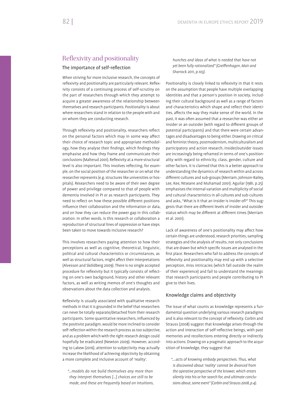## Reflexivity and positionality

## The importance of self-reflection

When striving for more inclusive research, the concepts of reflexivity and positionality are particularly relevant. Reflexivity consists of a continuing process of self-scrutiny on the part of researchers through which they attempt to acquire a greater awareness of the relationship between themselves and research participants. Positionality is about where researchers stand in relation to the people with and on whom they are conducting research.

Through reflexivity and positionality, researchers reflect on the personal factors which may in some way affect their choice of research topic and appropriate methodology, how they analyse their findings, which findings they emphasise and how they frame and communicate their conclusions (Malterud 2001). Reflexivity at a more structural level is also important. This involves reflecting, for example, on the social position of the researcher or on what the researcher represents (e.g. structures like universities or hospitals). Researchers need to be aware of their own degree of power and privilege compared to that of people with dementia involved in PI or as research participants. They need to reflect on how these possible different positions influence their collaboration and the information or data, and on how they can reduce the power gap in this collaboration. In other words, is this research or collaboration a reproduction of structural lines of oppression or have steps been taken to move towards inclusive research?

This involves researchers paying attention to how their perceptions as well as cognitive, theoretical, linguistic, political and cultural characteristics or circumstances, as well as structural factors, might affect their interpretations (Alvesson and Sköldberg 2009). There is no single accepted procedure for reflexivity but it typically consists of reflecting on one's own background, history and other relevant factors, as well as writing memos of one's thoughts and observations about the data collection and analysis.

Reflexivity is usually associated with qualitative research methods in that it is grounded in the belief that researchers can never be totally separate/detached from their research participants. Some quantitative researchers, influenced by the positivist paradigm, would be more inclined to consider self-reflection within the research process as too subjective, and as a problem which with the right research design could hopefully be eradicated (Newton 2009). However, according to Lakew (2016), attention to subjectivity may actually increase the likelihood of achieving objectivity by obtaining a more complete and inclusive account of 'reality'.

*"…models do not build themselves any more than they interpret themselves […] choices are still to be made, and these are frequently based on intuitions,*  *hunches and ideas of what is needed that have not*  yet been fully rationalized" (Greiffenhagen, Mair and *Sharrock 2011, p.103).*

Positionality is closely linked to reflexivity in that it rests on the assumption that people have multiple overlapping identities and that a person's position in society, including their cultural background as well as a range of factors and characteristics which shape and reflect their identities, affects the way they make sense of the world. In the past, it was often assumed that a researcher was either an insider or an outsider (with regard to different groups of potential participants) and that there were certain advantages and disadvantages to being either. Drawing on critical and feminist theory, postmodernism, multiculturalism and participatory and action research, insider/outsider issues are increasingly being reframed in terms of one's positionality with regard to ethnicity, class, gender, culture and other factors. It is claimed that this is a better approach to understanding the dynamics of research within and across different cultures and sub-groups (Merriam, Johnson-Bailey, Lee, Kee, Ntseane and Muhamad 2001). Aguilar (1981, p.25) emphasises the internal variation and multiplicity of social and cultural characteristics in all cultures and sub-cultures and asks, "What is it that an insider is insider of?" This suggests that there are different levels of insider and outsider status which may be different at different times (Merriam et al. 2001).

Lack of awareness of one's positionality may affect how certain things are understood, research priorities, sampling strategies and the analysis of results, not only conclusions that are drawn but which specific issues are analysed in the first place. Researchers who fail to address the concepts of reflexivity and positionality may end up with a selective perception, miss intricacies (which fall outside the realm of their experience) and fail to understand the meanings that research participants and people contributing to PI give to their lives.

#### Knowledge claims and objectivity

The issue of what counts as knowledge represents a fundamental question underlying various research paradigms and is also relevant to the concept of reflexivity. Corbin and Strauss (2008) suggest that knowledge arises through the action and interaction of self-reflective beings, with past memories and recollections entering directly or indirectly into actions. Drawing on a pragmatic approach to the acquisition of knowledge, they suggest that

*"….acts of knowing embody perspectives. Thus, what is discovered about 'reality' cannot be divorced from the operative perspective of the knower, which enters silently into his or her search for, and ultimate conclusions about, some event" (Corbin and Strauss 2008, p.4).*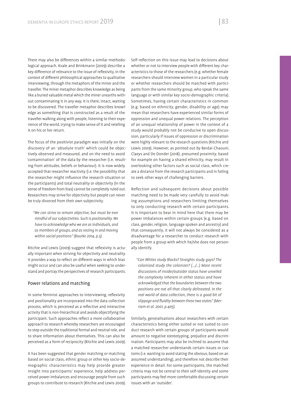There may also be differences within a similar methodological approach. Kvale and Brinkmann (2009) describe a key difference of relevance to the issue of reflexivity, in the context of different philosophical approaches to qualitative interviewing, through the metaphors of the miner and the traveller. The miner metaphor describes knowledge as being like a buried valuable metal which the miner unearths without contaminating it in any way. It is there, intact, waiting to be discovered. The traveller metaphor describes knowledge as something that is constructed as a result of the traveller walking along with people, listening to their experience of the world, trying to make sense of it and retelling it on his or her return.

The focus of the positivist paradigm was initially on the discovery of an 'absolute truth' which could be objectively observed and measured, and on the need to avoid 'contamination' of the data by the researcher (i.e. resulting from attitudes, beliefs or behaviour). It is now widely accepted that researcher reactivity (i.e. the possibility that the researcher might influence the research situation or the participants) and total neutrality or objectivity (in the sense of freedom from bias) cannot be completely ruled out. Researchers may strive for objectivity but people can never be truly divorced from their own subjectivity.

*"We can strive to remain objective, but must be ever mindful of our subjectivities. Such is positionality. We have to acknowledge who we are as individuals, and as members of groups, and as resting in and moving within social positions" (Bourke 2014, p.3).*

Ritchie and Lewis (2009) suggest that reflexivity is actually important when striving for objectivity and neutrality. It provides a way to reflect on different ways in which bias might occur and can also be useful when seeking to understand and portray the perspectives of research participants.

## Power relations and matching

In some feminist approaches to interviewing, reflexivity and positionality are incorporated into the data collection process, which is perceived as a reflective and interactive activity that is non-hierarchical and avoids objectifying the participant. Such approaches reflect a more collaborative approach to research whereby researchers are encouraged to step outside the traditional formal and neutral role, and to share information about themselves. This can also be perceived as a form of reciprocity (Ritchie and Lewis 2009).

It has been suggested that gender matching or matching based on social class, ethnic group or other key socio-demographic characteristics may help provide greater insight into participants' experience, help address perceived power imbalances and encourage people from such groups to contribute to research (Ritchie and Lewis 2009).

Self-reflection on this issue may lead to decisions about whether or not to interview people with different key characteristics to those of the researchers (e.g. whether female researchers should interview women in a particular study or whether researchers should be matched with participants from the same minority group, who speak the same language or with similar key socio-demographic criteria). Sometimes, having certain characteristics in common (e.g. based on ethnicity, gender, disability or age) may mean that researchers have experienced similar forms of oppression and unequal power relations. The perception of an unequal relationship of power in the context of a study would probably not be conducive to open discussion, particularly if issues of oppression or discrimination were highly relevant to the research questions (Ritchie and Lewis 2009). However, as pointed out by Berdai-Chaouni, Claeys and De Donder (2018), presumed proximity, based for example on having a shared ethnicity, may result in overlooking other factors such as social class, which create a distance from the research participants and in failing to seek other ways of challenging barriers.

Reflection and subsequent decisions about possible matching need to be made very carefully to avoid making assumptions and researchers limiting themselves to only conducting research with certain participants. It is important to bear in mind here that there may be power imbalances within certain groups (e.g. based on class, gender, religion, language spoken and ancestry) and that consequently, it will not always be considered as a disadvantage for a researcher to conduct research with people from a group with which he/she does not personally identify.

*"Can Whites study Blacks? Straights study gays? The colonized study the colonizer? (…/…) More recent discussions of insider/outsider status have unveiled the complexity inherent in either status and have acknowledged that the boundaries between the two positions are not all that clearly delineated. In the real world of data collection, there is a good bit of*  slippage and fluidity between these two states" (Mer*riam et al. 2001, p.405).*

Similarly, generalisations about researchers with certain characteristics being either suited or not suited to conduct research with certain groups of participants would amount to negative stereotyping, prejudice and discrimination. Participants may also be inclined to assume that a matched researcher understands certain issues or customs (i.e. wanting to avoid stating the obvious, based on an assumed understanding), and therefore not describe their experience in detail. For some participants, the matched criteria may not be central to their self-identity and some participants may feel more comfortable discussing certain issues with an 'outsider'.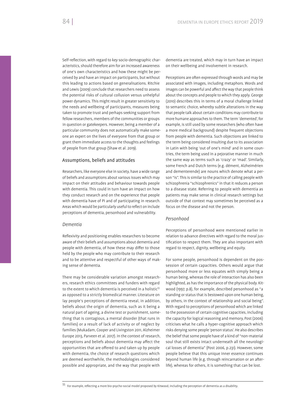Self-reflection, with regard to key socio-demographic characteristics, should therefore aim for an increased awareness of one's own characteristics and how these might be perceived by and have an impact on participants, but without this leading to actions based on generalisations. Ritchie and Lewis (2009) conclude that researchers need to assess the potential risks of cultural collusion versus unhelpful power dynamics. This might result in greater sensitivity to the needs and wellbeing of participants, measures being taken to promote trust and perhaps seeking support from fellow researchers, members of the communities or groups

in question or gatekeepers. However, being a member of a particular community does not automatically make someone an expert on the lives of everyone from that group or grant them immediate access to the thoughts and feelings of people from that group (Shaw et al. 2019).

## Assumptions, beliefs and attitudes

Researchers, like everyone else in society, have a wide range of beliefs and assumptions about various issues which may impact on their attitudes and behaviour towards people with dementia. This could in turn have an impact on how they conduct research and on the experience that people with dementia have of PI and of participating in research. Areas which would be particularly useful to reflect on include perceptions of dementia, personhood and vulnerability.

### *Dementia*

Reflexivity and positioning enables researchers to become aware of their beliefs and assumptions about dementia and people with dementia, of how these may differ to those held by the people who may contribute to their research and to be attentive and respectful of other ways of making sense of dementia.

There may be considerable variation amongst researchers, research ethics committees and funders with regard to the extent to which dementia is perceived in a holistic<sup>55</sup> as opposed to a strictly biomedical manner. Literature on lay people's perceptions of dementia reveal, in addition, beliefs about the origin of dementia, such as it being a natural part of ageing, a divine test or punishment, something that is contagious, a mental disorder (that runs in families) or a result of lack of activity or of neglect by families (Mukadam, Cooper and Livingston 2011, Alzheimer Europe 2013, Parveen et al. 2017). In the context of research, perceptions and beliefs about dementia may affect the opportunities that are offered to and taken up by people with dementia, the choice of research questions which are deemed worthwhile, the methodologies considered possible and appropriate, and the way that people with

dementia are treated, which may in turn have an impact on their wellbeing and involvement in research.

Perceptions are often expressed through words and may be associated with images, including metaphors. Words and images can be powerful and affect the way that people think about the concepts and people to which they apply. George (2010) describes this in terms of a moral challenge linked to semantic choice, whereby subtle alterations in the way that people talk about certain conditions may contribute to more humane approaches to them. The term 'demented', for example, is still used by some researchers (who often have a more medical background) despite frequent objections from people with dementia. Such objections are linked to the term being considered insulting due to its association in Latin with being 'out of one's mind' and in some countries, the term being used in a pejorative manner in much the same way as terms such as 'crazy' or 'mad'. Similarly, some French and Dutch terms (e.g. dément, Alzheimérien and dementerende) are nouns which denote what a person "is". This is similar to the practice of calling people with schizophrenia "schizophrenics" in that it reduces a person to a disease state. Referring to people with dementia as patients may make sense in clinical research settings but outside of that context may sometimes be perceived as a focus on the disease and not the person.

## *Personhood*

Perceptions of personhood were mentioned earlier in relation to advance directives with regard to the moral justification to respect them. They are also important with regard to respect, dignity, wellbeing and equity.

For some people, personhood is dependent on the possession of certain capacities. Others would argue that personhood more or less equates with simply being a human being, whereas the role of interaction has also been highlighted, as has the importance of the physical body. Kitwood (1997, p.8), for example, described personhood as "a standing or status that is bestowed upon one human being, by others, in the context of relationship and social being". With regard to perceptions of personhood which are linked to the possession of certain cognitive capacities, including the capacity for logical reasoning and memory, Post (2006) criticises what he calls a hyper-cognitive approach which risks denying some people 'person status'. He also describes the belief that some people have of a kind of "non-material soul that still exists intact underneath all the neurological losses of dementia" (Post 2006, p.231). However, some people believe that this unique inner essence continues beyond human life (e.g. through reincarnation or an afterlife), whereas for others, it is something that can be lost.

 $55$  For example, reflecting a more bio-psycho-social model proposed by Kitwood, including the perception of dementia as a disability.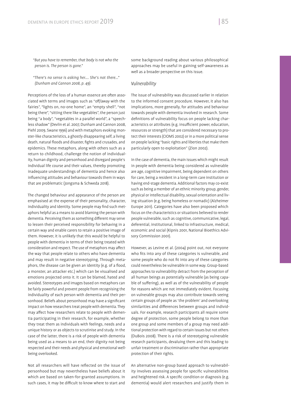*"But you have to remember, that body is not who the person is. The person is gone."*

*"There's no sense is asking her…. She's not there…" (Dunham and Cannon 2008, p. 49).*

Perceptions of the loss of a human essence are often associated with terms and images such as "off/away with the fairies". "lights on, no-one home", an "empty shell", "not being there", "sitting there like vegetables", the person just being "a body", "vegetables in a parallel world", a "speechless shadow" (Devlin et al. 2007, Dunham and Cannon 2008, Piehl 2009, Swane 1996) and with metaphors evoking monster-like characteristics, a ghostly disappearing self, a living death, natural floods and disaster, fights and crusades, and epidemics. These metaphors, along with others such as a return to childhood, challenge the notion of individuality, human dignity and personhood and disregard people's individual life course and their values, thereby promoting inadequate understandings of dementia and hence also influencing attitudes and behaviour towards them in ways that are problematic (Jongsma & Schweda 2018).

The changed behaviour and appearance of the person are emphasised at the expense of their personality, character, individuality and identity. Some people may find such metaphors helpful as a means to avoid blaming the person with dementia. Perceiving them as something different may serve to lessen their perceived responsibility for behaving in a certain way and enable carers to retain a positive image of them. However, it is unlikely that this would be helpful to people with dementia in terms of their being treated with consideration and respect. The use of metaphors may affect the way that people relate to others who have dementia and may result in negative stereotyping. Through metaphors, the disease can be given an identity (e.g. of a flood, a monster, an attacker etc.) which can be visualised and emotions projected onto it. It can be blamed, hated and avoided. Stereotypes and images based on metaphors can be fairly powerful and prevent people from recognising the individuality of each person with dementia and their personhood. Beliefs about personhood may have a significant impact on how researchers treat people with dementia. They may affect how researchers relate to people with dementia participating in their research, for example, whether they treat them as individuals with feelings, needs and a unique history or as objects to scrutinise and study. In the case of the latter, there is a risk of people with dementia being used as a means to an end, their dignity not being respected and their needs and physical and emotional wellbeing overlooked.

Not all researchers will have reflected on the issue of personhood but may nevertheless have beliefs about it which are based on taken-for-granted assumptions. In such cases, it may be difficult to know where to start and

some background reading about various philosophical approaches may be useful in gaining self-awareness as well as a broader perspective on this issue.

## *Vulnerability*

The issue of vulnerability was discussed earlier in relation to the informed consent procedure. However, it also has implications, more generally, for attitudes and behaviour towards people with dementia involved in research. Some definitions of vulnerability focus on people lacking characteristics or attributes (e.g. insufficient power, education, resources or strength) that are considered necessary to protect their interests (CIOMS 2002) or in a more political sense on people lacking "basic rights and liberties that make them particularly open to exploitation" (Zion 2002).

In the case of dementia, the main issues which might result in people with dementia being considered as vulnerable are age, cognitive impairment, being dependent on others for care, being a resident in a long-term care institution or having end-stage dementia. Additional factors may co-exist such as being a member of an ethnic minority group, gender, physical or intellectual disability, sexual orientation and living situation (e.g. being homeless or nomadic) (Alzheimer Europe 2011). Categories have also been proposed which focus on the characteristics or situations believed to render people vulnerable, such as cognitive, communicative, legal, deferential, institutional, linked to infrastructure, medical, economic and social (Kipnis 2001, National Bioethics Advisory Commission 2001).

However, as Levine et al. (2004) point out, not everyone who fits into any of these categories is vulnerable, and some people who do not fit into any of these categories could nevertheless be vulnerable in some way. Group-based approaches to vulnerability detract from the perception of all human beings as potentially vulnerable (as being capable of suffering), as well as of the vulnerability of people for reasons which are not immediately evident. Focusing on vulnerable groups may also contribute towards seeing certain groups of people as 'the problem' and overlooking similarities and differences between groups and individuals. For example, research participants all require some degree of protection, some people belong to more than one group and some members of a group may need additional protection with regard to certain issues but not others (DuBois 2008). There is a risk of stereotyping vulnerable research participants, devaluing them and this leading to unfair treatment or discrimination rather than appropriate protection of their rights.

An alternative non-group based approach to vulnerability involves assessing people for specific vulnerabilities and heightened risk. A specific condition or diagnosis (e.g. dementia) would alert researchers and justify them in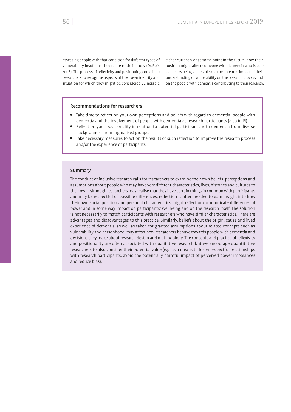assessing people with that condition for different types of vulnerability insofar as they relate to their study (DuBois 2008). The process of reflexivity and positioning could help researchers to recognise aspects of their own identity and situation for which they might be considered vulnerable, either currently or at some point in the future, how their position might affect someone with dementia who is considered as being vulnerable and the potential impact of their understanding of vulnerability on the research process and on the people with dementia contributing to their research.

## Recommendations for researchers

- Take time to reflect on your own perceptions and beliefs with regard to dementia, people with dementia and the involvement of people with dementia as research participants (also in PI).
- Reflect on your positionality in relation to potential participants with dementia from diverse backgrounds and marginalised groups.
- Take necessary measures to act on the results of such reflection to improve the research process and/or the experience of participants.

## Summary

The conduct of inclusive research calls for researchers to examine their own beliefs, perceptions and assumptions about people who may have very different characteristics, lives, histories and cultures to their own. Although researchers may realise that they have certain things in common with participants and may be respectful of possible differences, reflection is often needed to gain insight into how their own social position and personal characteristics might reflect or communicate differences of power and in some way impact on participants' wellbeing and on the research itself. The solution is not necessarily to match participants with researchers who have similar characteristics. There are advantages and disadvantages to this practice. Similarly, beliefs about the origin, cause and lived experience of dementia, as well as taken-for-granted assumptions about related concepts such as vulnerability and personhood, may affect how researchers behave towards people with dementia and decisions they make about research design and methodology. The concepts and practice of reflexivity and positionality are often associated with qualitative research but we encourage quantitative researchers to also consider their potential value (e.g. as a means to foster respectful relationships with research participants, avoid the potentially harmful impact of perceived power imbalances and reduce bias).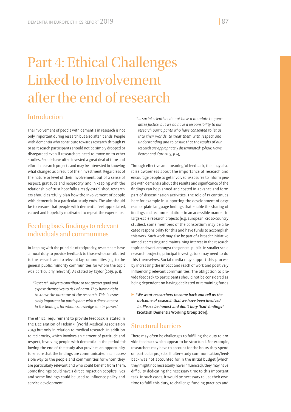## Part 4: Ethical Challenges Linked to Involvement after the end of research

## Introduction

The involvement of people with dementia in research is not only important during research but also after it ends. People with dementia who contribute towards research through PI or as research participants should not be simply dropped or disregarded even if researchers need to move on to other studies. People have often invested a great deal of time and effort in research projects and may be interested in knowing what changed as a result of their investment. Regardless of the nature or level of their involvement, out of a sense of respect, gratitude and reciprocity, and in keeping with the relationship of trust hopefully already established, researchers should carefully plan how the involvement of people with dementia in a particular study ends. The aim should be to ensure that people with dementia feel appreciated, valued and hopefully motivated to repeat the experience.

## Feeding back findings to relevant individuals and communities

In keeping with the principle of reciprocity, researchers have a moral duty to provide feedback to those who contributed to the research and to relevant lay communities (e.g. to the general public, minority communities for whom the topic was particularly relevant). As stated by Taylor (2019, p. 1),

*"Research subjects contribute to the greater good and expose themselves to risk of harm. They have a right to know the outcome of the research. This is especially important for participants with a direct interest*  in the findings, for whom knowledge can be power."

The ethical requirement to provide feedback is stated in the Declaration of Helsinki (World Medical Association 2013) but only in relation to medical research. In addition to reciprocity, which involves an element of gratitude and respect, involving people with dementia in the period following the end of the study also provides an opportunity to ensure that the findings are communicated in an accessible way to the people and communities for whom they are particularly relevant and who could benefit from them. Some findings could have a direct impact on people's lives and some findings could be used to influence policy and service development.

*"…. social scientists do not have a mandate to guarantee justice, but we do have a responsibility to our research participants who have consented to let us into their worlds, to treat them with respect and understanding and to ensure that the results of our research are appropriately disseminated" (Shaw, Howe, Beazer and Carr 2019, p.14).*

Through effective and meaningful feedback, this may also raise awareness about the importance of research and encourage people to get involved. Measures to inform people with dementia about the results and significance of the ndings can be planned and costed in advance and form part of dissemination activities. The role of PI continues here for example in supporting the development of easyread or plain language findings that enable the sharing of ndings and recommendations in an accessible manner. In large-scale research projects (e.g. European, cross-country studies), some members of the consortium may be allocated responsibility for this and have funds to accomplish this work. Such work may also be part of a broader initiative aimed at creating and maintaining interest in the research topic and work amongst the general public. In smaller scale research projects, principal investigators may need to do this themselves. Social media may support this process by increasing the impact and reach of work and positively influencing relevant communities. The obligation to provide feedback to participants should not be considered as being dependent on having dedicated or remaining funds.

 "We want researchers to come back and tell us the outcome of research that we have been involved in. Please be honest and don't bury 'bad' findings" (Scottish Dementia Working Group 2014).

## Structural barriers

There may often be challenges to fulfilling the duty to provide feedback which appear to be structural. For example, researchers may have to account for the hours they spend on particular projects. If after-study communication/feedback was not accounted for in the initial budget (which they might not necessarily have influenced), they may have difficulty dedicating the necessary time to this important task. In such cases, it would be necessary to use their own time to fulfil this duty, to challenge funding practices and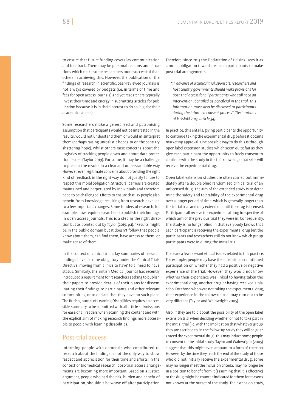to ensure that future funding covers lay communication and feedback. There may be personal reasons and situations which make some researchers more successful than others in achieving this. However, the publication of the findings of research in scientific, peer-reviewed journals is not always covered by budgets (i.e. in terms of time and fees for open access journals) and yet researchers typically invest their time and energy in submitting articles for publication because it is in their interest to do so (e.g. for their academic careers).

Some researchers make a generalised and patronising assumption that participants would not be interested in the results, would not understand them or would misinterpret them (perhaps raising unrealistic hopes, or on the contrary shattering hope), whilst others raise concerns about the logistics of tracking people down and about data protection issues (Taylor 2019). For some, it may be a challenge to present the results in a clear and understandable way. However, even legitimate concerns about providing the right kind of feedback in the right way do not justify failure to respect this moral obligation. Structural barriers are created, maintained and perpetuated by individuals and therefore need to be challenged. Efforts to ensure that lay people also benefit from knowledge resulting from research have led to a few important changes. Some funders of research, for example, now require researchers to publish their findings in open access journals. This is a step in the right direction but as pointed out by Taylor (2019, p.1), "Results might be in the public domain but it doesn't follow that people know about them, can find them, have access to them, or make sense of them".

In the context of clinical trials, lay summaries of research ndings have become obligatory under the Clinical Trials Directive, moving from a 'nice to have' to a 'need to have' status. Similarly, the British Medical Journal has recently introduced a requirement for researchers seeking to publish their papers to provide details of their plans for disseminating their findings to participants and other relevant communities, or to declare that they have no such plans. The British Journal of Learning Disabilities requires an accessible summary to be submitted with all article submissions for ease of all readers when scanning the content and with the explicit aim of making research findings more accessible to people with learning disabilities.

## Post-trial access

Informing people with dementia who contributed to research about the findings is not the only way to show respect and appreciation for their time and efforts. In the context of biomedical research, post-trial access arrangements are becoming more important. Based on a justice argument, people who had the risk, burden and benefit of participation, shouldn't be worse off after participation.

Therefore, since 2013 the Declaration of Helsinki sees it as a moral obligation towards research participants to make post trial arrangements.

*"In advance of a clinical trial, sponsors, researchers and host country governments should make provisions for post-trial access for all participants who still need an intervention identified as beneficial in the trial. This information must also be disclosed to participants during the informed consent process" (Declarations of Helsinki 2013, article 34).*

In practice, this entails, giving participants the opportunity to continue taking the experimental drug before it obtains marketing approval. One possible way to do this is through open label extension studies which seem quite fair as they give each participant the opportunity to freely consent to continue with the study in the full knowledge that s/he will receive the experimental drug.

Open label extension studies are often carried out immediately after a double blind randomised clinical trial of an unlicensed drug. The aim of the extended study is to determine the safety and tolerability of the experimental drug over a longer period of time, which is generally longer than the initial trial and may extend up until the drug is licensed. Participants all receive the experimental drug irrespective of which arm of the previous trial they were in. Consequently, the study is no longer blind in that everybody knows that each participant is receiving the experimental drug but the participants and researchers still do not know which group participants were in during the initial trial.

There are a few relevant ethical issues related to this practice. For example, people may base their decision on continued participation on whether they had a positive or negative experience of the trial. However, they would not know whether their experience was linked to having taken the experimental drug, another drug or having received a placebo. For those who were not taking the experimental drug, their experience in the follow-up trial may turn out to be very different (Taylor and Wainwright 2005).

Also, if they are told about the possibility of the open label extension trial when deciding whether or not to take part in the initial trial (i.e. with the implication that whatever group they are ascribed to, in the follow-up study they will be guaranteed the experimental drug), this may induce some people to consent to the initial study. Taylor and Wainwright (2005) suggest that this might even amount to a form of coercion. However, by the time they reach the end of the study, of those who did not initially receive the experimental drug, some may no longer meet the inclusion criteria, may no longer be in a position to benefit from it (assuming that it is effective) or the drug might be counter-indicated for them for reasons not known at the outset of the study. The extension study,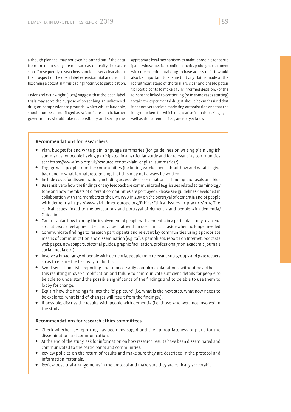although planned, may not even be carried out if the data from the main study are not such as to justify the extension. Consequently, researchers should be very clear about the prospect of the open label extension trial and avoid it becoming a potentially misleading incentive to participation.

Taylor and Wainwright (2005) suggest that the open label trials may serve the purpose of prescribing an unlicensed drug on compassionate grounds, which whilst laudable, should not be camouflaged as scientific research. Rather governments should take responsibility and set up the

appropriate legal mechanisms to make it possible for participants whose medical condition merits prolonged treatment with the experimental drug to have access to it. It would also be important to ensure that any claims made at the recruitment stage of the trial are clear and enable potential participants to make a fully informed decision. For the re-consent linked to continuing (or in some cases starting) to take the experimental drug, it should be emphasised that it has not yet received marketing authorisation and that the long-term benefits which might arise from the taking it, as well as the potential risks, are not yet known.

## Recommendations for researchers

- Plan, budget for and write plain language summaries (for guidelines on writing plain English summaries for people having participated in a particular study and for relevant lay communities, see: https://www.invo.org.uk/resource-centre/plain-english-summaries/).
- Engage with people from the communities (including gatekeepers) about how and what to give back and in what format, recognising that this may not always be written.
- Include costs for dissemination, including accessible dissemination, in funding proposals and bids.
- Be sensitive to how the findings or any feedback are communicated (e.g. issues related to terminology, tone and how members of different communities are portrayed). Please see guidelines developed in collaboration with the members of the EWGPWD in 2013 on the portrayal of dementia and of people with dementia https://www.alzheimer-europe.org/Ethics/Ethical-issues-in-practice/2013-Theethical-issues-linked-to-the-perceptions-and-portrayal-of-dementia-and-people-with-dementia/ Guidelines
- Carefully plan how to bring the involvement of people with dementia in a particular study to an end so that people feel appreciated and valued rather than used and cast aside when no longer needed.
- $\bullet$  Communicate findings to research participants and relevant lay communities using appropriate means of communication and dissemination (e.g. talks, pamphlets, reports on Internet, podcasts, web pages, newspapers, pictorial guides, graphic facilitation, professional/non-academic journals, social media etc.).
- Involve a broad range of people with dementia, people from relevant sub-groups and gatekeepers so as to ensure the best way to do this.
- Avoid sensationalistic reporting and unnecessarily complex explanations, without nevertheless this resulting in over-simplification and failure to communicate sufficient details for people to be able to understand the possible significance of the findings and to be able to use them to lobby for change.
- Explain how the findings fit into the 'big picture' (i.e. what is the next step, what now needs to be explored, what kind of changes will result from the findings?).
- If possible, discuss the results with people with dementia (i.e. those who were not involved in the study).

## Recommendations for research ethics committees

- Check whether lay reporting has been envisaged and the appropriateness of plans for the dissemination and communication.
- At the end of the study, ask for information on how research results have been disseminated and communicated to the participants and communities.
- Review policies on the return of results and make sure they are described in the protocol and information materials.
- Review post-trial arrangements in the protocol and make sure they are ethically acceptable.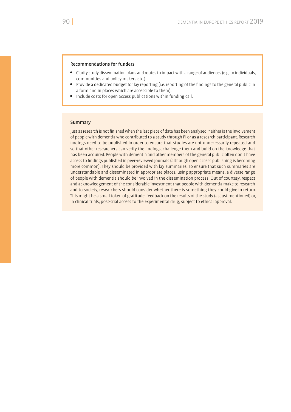## Recommendations for funders

- Clarify study dissemination plans and routes to impact with a range of audiences (e.g. to individuals, communities and policy makers etc.).
- Provide a dedicated budget for lay reporting (i.e. reporting of the findings to the general public in a form and in places which are accessible to them).
- Include costs for open access publications within funding call.

## **Summary**

Just as research is not finished when the last piece of data has been analysed, neither is the involvement of people with dementia who contributed to a study through PI or as a research participant. Research findings need to be published in order to ensure that studies are not unnecessarily repeated and so that other researchers can verify the findings, challenge them and build on the knowledge that has been acquired. People with dementia and other members of the general public often don't have access to findings published in peer-reviewed journals (although open access publishing is becoming more common). They should be provided with lay summaries. To ensure that such summaries are understandable and disseminated in appropriate places, using appropriate means, a diverse range of people with dementia should be involved in the dissemination process. Out of courtesy, respect and acknowledgement of the considerable investment that people with dementia make to research and to society, researchers should consider whether there is something they could give in return. This might be a small token of gratitude, feedback on the results of the study (as just mentioned) or, in clinical trials, post-trial access to the experimental drug, subject to ethical approval.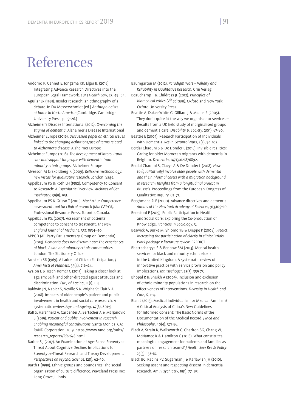## References

- Andorno R, Gennet E, Jongsma KR, Elger B. (2016) Integrating Advance Research Directives into the European Legal Framework. *Eur J Health Law*, 23, 49–64.
- Aguilar LR (1981). Insider research: an ethnography of a debate. In DA Messerschmidt (ed.) *Anthropologists at home in North America* (Cambridge: Cambridge University Press, p. 15–26.)
- Alzheimer's Disease International (2012). *Overcoming the stigma of dementia*. Alzheimer's Disease International
- Alzheimer Europe (2016). *Discussion paper on ethical issues*  linked to the changing definitions/use of terms related *to Alzheimer's disease*. Alzheimer Europe
- Alzheimer Europe (2018). *The development of intercultural care and support for people with dementia from minority ethnic groups*. Alzheimer Europe
- Alvesson M & Sköldberg K (2009). Reflexive methodology: *new vistas for qualitative research*. London: Sage.
- Appelbaum PS & Roth LH (1982). Competency to Consent to Research: A Psychiatric Overview. *Archives of Gen Psychiatry*, 39(8), 951.
- Appelbaum PS & Grisso T (2001). *MacArthur Competence assessment tool for clinical research (MacCAT-CR)*. Professional Resource Press: Toronto, Canada.
- Appelbaum PS. (2007). Assessment of patients' competence to consent to treatment. *The New England Journal of Medicine*, 357, 1834–40.
- APPGD (All-Party Parliamentary Group on Dementia) (2013). *Dementia does not discriminate: The experiences of black, Asian and minority ethnic communities*. London: The Stationery Office.
- Arnstein SR (1969). A Ladder of Citizen Participation, *J Amer Insti of Planners*, 35(4), 216–24.
- Ayalon L & Tesch-Römer C (2017). Taking a closer look at ageism: Self- and other-directed ageist attitudes and discrimination. *Eur J of Ageing*, 14(1), 1-4.
- Baldwin JN, Napier S, Neville S & Wright-St Clair V A (2018). Impacts of older people's patient and public involvement in health and social care research: A systematic review. *Age and Ageing*, 47(6), 801-9.
- Ball S, Harshfield A, Carpenter A, Bertscher A & Marjanovic S (2019). *Patient and public involvement in research. Enabling meaningful contributions*. Santa Monica, CA: RAND Corporation, 2019. https://www.rand.org/pubs/ research\_reports/RR2678.html
- Barber S J (2017). An Examination of Age-Based Stereotype Threat About Cognitive Decline: Implications for Stereotype-Threat Research and Theory Development. *Perspectives on Psychol Science*, 12(1), 62-90.
- Barth F (1998). Ethnic groups and boundaries: The social organization of culture difference. Waveland Press Inc: Long Grove, Illinois.
- Baumgarten M (2012). *Paradigm Wars Validity and Reliability in Qualitative Research*. Grin Verlag
- Beauchamp T & Childress JF (2012). *Principles of biomedical ethics (7th edition)*. Oxford and New York: Oxford University Press
- Beattie A, Daker-White G, Gilliard J & Means R (2005). 'They don't quite fit the way we organise our services'-Results from a UK field study of marginalised groups and dementia care. *Disability & Society*, 20(1), 67-80.
- Beattie E (2009). Research Participation of Individuals with Dementia. *Res in Gerontol Nurs*, 2(2), 94-102.
- Berdai Chaouni S & De Donder L (2018). Invisible realities: Caring for older Moroccan migrants with dementia in Belgium. *Dementia*, 147130121876892.
- Berdai Chaouni S, Claeys A & De Donder L (2018). *How to (qualitatively) involve older people with dementia and their informal carers with a migration background in research? Insights from a longitudinal project in Brussels*. Proceedings from the European Congress of Qualitative Inquiry, 63–71.
- Berghmans RLP (2000). Advance directives and dementia. *Annals of the New York Academy of Sciences*, 913,105–10.
- Beresford P (2019). Public Participation in Health and Social Care: Exploring the Co-production of Knowledge. *Frontiers in Sociology*, 3.
- Beswick A, Burke M, Shlomo YB & Dieppe P (2008). *Predict: increasing the participation of elderly in clinical trials. Work package 1: literature review*. PREDICT
- Bhattacharyya S & Benbow SM (2013). Mental health services for black and minority ethnic elders in the United Kingdom: A systematic review of innovative practice with service provision and policy implications. *Int Psychoger*, 25(3), 359-73.
- Bhopal R & Sheikh A (2009). Inclusion and exclusion of ethnic-minority populations in research on the effectiveness of interventions. Diversity in Health and *Care*, 6, 1–4.
- Bian L (2015). Medical Individualism or Medical Familism? A Critical Analysis of China's New Guidelines for Informed Consent: The Basic Norms of the Documentation of the Medical Record. *J Med and Philosophy*, 40(4), 371-86.
- Black A, Strain K, Wallsworth C, Charlton SG, Chang W, McNamee K & Hamilton C (2018). What constitutes meaningful engagement for patients and families as partners on research teams? *J Health Serv Res & Policy*, 23(3), 158-67.
- Black BC, Rabins PV, Sugarman J & Karlawish JH (2010). Seeking assent and respecting dissent in dementia research. *Am J Psychiatry*, 18(1), 77–85.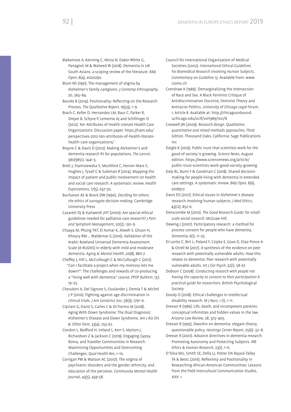- Blakemore A, Kenning C, Mirza N, Daker-White G, Panagioti M & Waheed W (2018). Dementia in UK South Asians: a scoping review of the literature. *BMJ Open*, 8(4), e020290.
- Blum NS (1991). The management of stigma by Alzheimer's family caregivers. *J Contemp Ethnography*, 20, 263–84.
- Bourke B (2014). Positionality: Reflecting on the Research Process. *The Qualitative Report*, 19(33), 1–9.
- Brach C, Keller D, Hernandez LM, Baur C, Parker R, Dreyer B, Schyve P, Lemerise AJ and Schillinger D (2012). Ten Attributes of Health Literate Health Care Organizations: Discussion paper. https://nam.edu/ perspectives-2012-ten-attributes-of-health-literatehealth-care-organizations/
- Brayne C & Davis D (2012). Making Alzheimer's and dementia research fit for populations. The Lancet, 380(9851), 1441-3.
- Brett J, Staniszewska S, Mockford C, Herron-Marx S, Hughes J, Tysall C & Suleman R (2014). Mapping the impact of patient and public involvement on health and social care research: A systematic review. *Health Expectations*, 17(5), 637-50.
- Buchanan AE & Brock DW (1990), *Deciding for others: the ethics of surrogate decision making*. Cambridge University Press
- Casarett DJ & Karlawish JHT (2000). Are special ethical guidelines needed for palliative care research? *J Pain and Symptom Management*, 20(2), 130–9.
- Chaaya M, Phung TKT, El Asmar K, Atweh S, Ghusn H, Khoury RM … Waldemar G (2016). Validation of the Arabic Rowland Universal Dementia Assessment Scale (A-RUDAS) in elderly with mild and moderate dementia. *Aging & Mental Health*, 20(8), 880-7.
- Cheffey J, Hill L, McCullough C & McCullough C (2017). "Can I facilitate a project when my memory lets me down?": The challenges and rewards of co-producing a "living well with dementia" course. *FPOP Bulletin*, 137, 19–25.
- Cherubini A, Del Signore S, Ouslander J, Demla T & Michel J-P (2010). Fighting against age discrimination in clinical trials. *J Am Geriatrics Soc*, 58(9), 1791–6.
- Cipriani G, Danti S, Carles C & Di Fiorino M (2018). Aging With Down Syndrome: The Dual Diagnosis: Alzheimer's Disease and Down Syndrome. *Am J Alz Dis & Other Dem*, 33(4), 253-62.
- Condon L, Bedford H, Ireland L, Kerr S, Mytton J, Richardson Z & Jackson C (2019). Engaging Gypsy, Roma, and Traveller Communities in Research: Maximizing Opportunities and Overcoming Challenges. *Qual Health Res*, 1–10.
- Corrigan PW & Watson AC (2007). The stigma of psychiatric disorders and the gender, ethnicity, and education of the perceiver. *Community Mental Health Journal*, 43(5), 439-58.
- Council for International Organization of Medical Societies (2002). *International Ethical Guidelines for Biomedical Research Involving Human Subjects, Commentary on Guideline 13*. Available from: www. cioms.ch
- Crenshaw K (1989). Demarginalizing the Intersection of Race and Sex: A Black Feminist Critique of Antidiscrimination Doctrine, Feminist Theory and Antiracist Politics. *University of Chicago Legal Forum*, 1, Article 8. Available at: http://chicagounbound. uchicago.edu/uclf/vol1989/iss1/8
- Creswell JW (2009). *Research design. Qualitative, quantitative and mixed methods approaches. Third Edition*. Thousand Oaks, California: Sage Publications Inc
- Daigle K (2019). Public trust that scientists work for the good of society is growing. *Science News*, August edition. https://www.sciencenews.org/article/ public-trust-scientists-work-good-society-growing
- Daly RL, Bunn F & Goodman C (2018). Shared decisionmaking for people living with dementia in extended care settings: A systematic review. *BMJ Open*, 8(6), e018977.
- Davis DS (2017). Ethical issues in Alzheimer's disease research involving human subjects. *J Med Ethics*, 43(12), 852-6.
- Denscombe M (2010). *The Good Research Guide: for smallscale social research*. McGraw Hill.
- Dewing J (2007). Participatory research: a method for process consent for people who have dementia, *Dementia*, 6(1), 11–25.
- Di Lorito C, Birt L, Poland F, Csipke E, Gove D, Diaz-Ponce A & Orrell M (2017). A synthesis of the evidence on peer research with potentially vulnerable adults: How this relates to dementia: Peer research with potentially vulnerable adults. *Int J Ger Psych*, 32(1), 58-67.
- Dobson C (2008). *Conducting research with people not having the capacity to consent to their participation A practical guide for researchers*. British Psychological Society
- Doody O (2018). Ethical challenges in intellectual disability research. *M J Nurs*, 1 (1), 1–11.
- Dresser R (1986). Life, death, and incompetent patients: conceptual infirmities and hidden values in the law. *Arizona Law Review*, 28, 373–405.
- Dresser R (1995). Dworkin on dementia: elegant theory, questionable policy. *Hastings Center Report*, 25(6): 32–8.
- Dresser R (2001). Advance directives in dementia research. Promoting Autonomy and Protecting Subjects. *IRB Ethics & Human Research*, 23(1), 1–6.
- D'Silva MU, Smith SE, Della LJ, Potter DA Rajack-Talley TA & BestL (2016). Reflexivity and Positionality in Researching African-American Communities: Lessons from the Field *Intercultural Communication Studies*,  $XXV:1$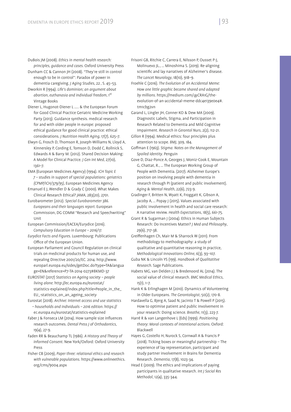DuBois JM (2008). *Ethics in mental health research: principles, guidance and cases*. Oxford University Press

- Dunham CC & Cannon JH (2008). "They're still in control enough to be in control": Paradox of power in dementia caregiving. *J Aging Studies*, 22 , S. 45–53.
- Dworkin R (1994). *Life's dominion; an argument about*  abortion, euthanasia and individual freedom, 1st Vintage Books
- Diener L, Hugonot-Diener L ….. & the European Forum for Good Clinical Practice Geriatric Medicine Working Party (2013). Guidance synthesis. medical research for and with older people in europe: proposed ethical guidance for good clinical practice: ethical considerations. *J Nutrition Health Aging*, 17(7), 625–7.
- Elwyn G, Frosch D, Thomson R, Joseph-Williams N, Lloyd A, Kinnersley P, Cording E, Tomson D, Dodd C, Rollnick S, Edwards A & Barry M. (2012). Shared Decision Making: A Model for Clinical Practice. *J Gen Int Med*, 27(10), 1361–7.
- EMA (European Medicines Agency) (1994). *ICH Topic E 7 – studies in support of special populations: geriatrics (CPMP/ICH/379/95)*, European Medicines Agency
- Emanuel E J, Wendler D & Grady C (2000). What Makes Clinical Research Ethical? *JAMA*, 283(20), 2701.
- Eurobarometer (2012). *Special Eurobarometer 386. Europeans and their languages report*. European Commission, DG COMM "Research and Speechwriting" Unit
- European Commission/EACEA/Eurydice (2016). *Compulsory Education in Europe – 2016/17.*
- *Eurydice Facts and Figures*. Luxembourg: Publications Office of the European Union.
- European Parliament and Council Regulation on clinical trials on medicinal products for human use, and repealing Directive 2001/20/EC. 2014. http://www. europarl.europa.eu/sides/getDoc.do?type=TA&langua ge=EN&reference=P7-TA-2014-0273#BKMD-37
- EUROSTAT (2017) *Statistics on Ageing society people living alone*. http://ec.europa.eu/eurostat/ statistics-explained/index.php?title=People\_in\_the\_ EU\_-statistics\_on\_an\_ageing\_society
- Eurostat (2018). *Archive: Internet access and use statistics – households and individuals – 2016 edition*. https:// ec.europa.eu/eurostat/statistics-explained
- Faber J & Fonseca LM (2014). How sample size influences research outcomes. *Dental Press J of Orthodontics*, 19(4), 27-9.
- Faden RR & Beauchamp TL (1986). *A History and Theory of Informed Consent*. New York/Oxford: Oxford University Press
- Fisher CB (2009), *Paper three: relational ethics and research with vulnerable populations.* https://www.onlineethics. org/cms/9004.aspx
- Frisoni GB, Ritchie C, Carrera E, Nilsson P, Ousset P-J, Molinuevo JL., … Minoshima S. (2019). Re-aligning scientific and lay narratives of Alzheimer's disease. *The Lancet Neurology*, 18(10), 918–9.
- Froehle C (2016). *The Evolution of an Accidental Meme: How one little graphic became shared and adapted*  by millions. https://medium.com/@CRA1G/theevolution-of-an-accidental-meme-ddc4e139e0e4#. tm1cbg2vn
- Garand L, Lingler JH, Conner KO & Dew MA (2009). Diagnostic Labels, Stigma, and Participation in Research Related to Dementia and Mild Cognitive Impairment. *Research in Gerontol Nurs*, 2(2), 112-21.
- Gillon R (1994). Medical ethics: four principles plus attention to scope. *BMJ*, 309, 184.
- Goffman E (1963). *Stigma: Notes on the Management of Spoiled Identity*. Penguin
- Gove D, Diaz-Ponce A, Georges J, Moniz-Cook E, Mountain G, Chattat, R., … The European Working Group of People with Dementia. (2017). Alzheimer Europe's position on involving people with dementia in research through PI (patient and public involvement). *Aging & Mental Health*, 22(6), 723-9.
- Gradinger F, Britten N, Wyatt K, Froggatt K, Gibson A, Jacoby A, … Popay J (2015). Values associated with public involvement in health and social care research: A narrative review. *Health Expectations*, 18(5), 661-75.
- Grant R & Sugarman J (2004). Ethics in Human Subjects Research: Do Incentives Matter? *J Med and Philosophy*, 29(6), 717-38.
- Greiffenhagen Ch, Mair M & Sharrock W (2011). From methodology to methodography: a study of qualitative and quantitative reasoning in practice, *Methodological Innovations Online*, 6(3), 93–107.
- Guba NK & Lincoln YS (199). *Handbook of Qualitatitve Research*. Sage Publications.
- Habets MG, van Delden J J & Bredenoord AL (2014). The social value of clinical research. *BMC Medical Ethics*, 15(1), 1–7.
- Hank K & Erlinghagen M (2010). Dynamics of Volunteering in Older Europeans. *The Gerontologist*, 50(2), 170-8.
- Hardavella G, Bjerg A, Saad N, Jacinto T & Powell P (2015). How to optimise patient and public involvement in your research: Doing science. *Breathe*, 11(3), 223-7.
- Harré R & van Langenhove L (Eds) (1999). *Positioning theory: Moral contexts of intentional actions*. Oxford: Blackwell
- Hayes G, Costello H, Nurock S, Cornwall A & Francis P (2018). Ticking boxes or meaningful partnership – The experience of lay representation, participant and study partner involvement in Brains for Dementia Research. *Dementia*, 17(8), 1023-34.
- Head E (2009). The ethics and implications of paying participants in qualitative research. *Int J Social Res Methodol*, 12(4), 335-344.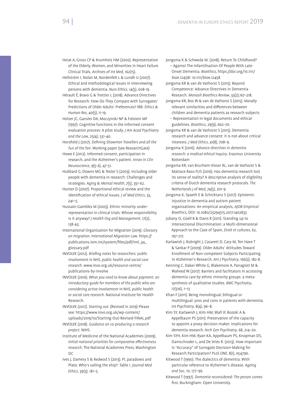- Heiat A, Gross CP & Krumholz HM (2002). Representation of the Elderly, Women, and Minorities in Heart Failure Clinical Trials. *Archives of Int Med*, 162(15).
- Hellström I, Nolan M, Nordenfelt L & Lundh U (2007). Ethical and methodological issues in interviewing persons with dementia. *Nurs Ethics*, 14(5), 608-19.
- Hérault É, Bravo G & Trottier L (2018). Advance Directives for Research: How Do They Compare with Surrogates' Predictions of Older Adults' Preferences? IRB: *Ethics & Human Res*, 40(5), 11-19.
- Holzer JC, Gansler DA, Moczynski NP & Folstein MF (1997). Cognitive functions in the informed consent evaluation process: A pilot study. *J Am Acad Psychiatry and the Law*, 25(4), 531-40.
- Horsfield J (2017). *Defining Showmen Travellers and all the fun of the fair*. Working paper (see ResearchGate)
- Howe E (2012). Informed consent, participation in research, and the Alzheimer's patient. *Innov in Clin Neuroscience*, 9(5-6), 47-51.
- Hubbard G, Downs MG & Tester S (2003). Including older people with dementia in research: Challenges and strategies. *Aging & Mental Health*, 7(5), 351-62.
- Hunter D (2007). Proportional ethical review and the identification of ethical issues. *J* of Med Ethics, 33,  $241 - 5.$
- Hussain-Gambles M (2003). Ethnic minority underrepresentation in clinical trials: Whose responsibility is it anyway? *J Health Org and Management*, 17(2), 138-43.
- International Organization for Migration (2019). *Glossary on migration. International Migration Law*. https:// publications.iom.int/system/files/pdf/iml\_34\_ glossary.pdf
- INVOLVE (2012). *Briefing notes for researchers: public involvement in NHS, public health and social care research*. www.invo.org.uk/resource-centre/ publications-by-involve
- INVOLVE (2016). *What you need to know about payment: an introductory guide for members of the public who are considering active involvement in NHS, public health or social care research.* National Institute for Health Research.
- INVOLVE (2017). *Starting out*. (Revised in 2019) Please see: https://www.invo.org.uk/wp-content/ uploads/2019/10/Starting-Out-Revised-FINAL.pdf
- INVOLVE (2018). *Guidance on co-producing a research project*. NIHS.
- Institute of Medicine of the National Academies (2009), *Initial national priorities for comparative effectiveness research*. The National Academies Press, Washington  $DC$
- Ives J, Damery S & Redwod S (2013). PI, paradoxes and Plato: Who's sailing the ship?: Table 1. *Journal Med Ethics*, 39(3), 181–5.
- Jongsma K & Schweda M. (2018). Return To Childhood? – Against The Infantilisation Of People With Late-Onset Dementia. *Bioethics*, https://doi.org/10.1111/ bioe.12458I: 10.1111/bioe.12458
- Jongsma KR & van de Vathorst S (2015). Beyond Competence: Advance Directives in Dementia Research. *Monash Bioethics Review*, 33(2),167–218.
- Jongsma KR, Bos W & van de Vathorst S (2015). Morally relevant similarities and differences between children and dementia patients as research subjects – Representation in legal documents and ethical guidelines. *Bioethics*, 29(9), 662–70.
- Jongsma KR & van de Vathorst S (2015). Dementia research and advance consent: it is not about critical interests. *J Med Ethics*, 41(8), 708–9.
- Jongsma K (2016). *Advance directives in dementia research: a medical ethical inquiry*. Erasmus University Rotterdam
- Jongsma KR, van Bruchem-Visser RL, van de Vathorst S & Mattace Raso FUS (2016). Has dementia research lost its sense of reality? A descriptive analysis of eligibility criteria of Dutch dementia research protocols. *The Netherlands J of Med*, 74(5), 201-9.
- Jongsma K, Spaeth E & Schicktanz S (2017). Epistemic injustice in dementia and autism patient organizations: An empirical analysis, *AJOB Empirical Bioethics*, DOI: 10.1080/23294515.2017.1402833
- Jubany O, Güell B & Davis R (2011). Standing up to Intersectional Discrimination: a Multi-dimensional Approach to the Case of Spain, *Droit et cultures*, 62, 197–217.
- Karlawish J, Rubright J, Casarett D, Cary M, Ten Have T & Sankar P (2009). Older Adults' Attitudes Toward Enrollment of Non-competent Subjects Participating in Alzheimer's Research. *Am J Psychiatry*, 166(2), 182-8.
- Kenning C, Daker-White G, Blakemore A, Panagioti M & Waheed W (2017). Barriers and facilitators in accessing dementia care by ethnic minority groups: a metasynthesis of qualitative studies. *BMC Psychiatry*, 17(316), 1–13
- Khan F (2011). Being monolingual, bilingual or multilingual: pros and cons in patients with dementia. *Int Psychiatry*, 8(4), 96–8.
- Kim SY, Karlawish J, Kim HM, Wall IF, Bozoki A & Appelbaum PS (2011). Preservation of the capacity to appoint a proxy decision maker: implications for dementia research. *Arch Gen Psychiatry*, 68, 214–20.
- Kim SYH, Kim HM, Ryan KA, Appelbaum PS, Knopman DS, Damschroder L, and De Vries R. (2013). How Important Is "Accuracy" of Surrogate Decision-Making for Research Participation? *PLoS ONE*, 8(1), e54790.
- Kitwood T (1990). The dialectics of dementia: With particular reference to Alzheimer's disease. *Ageing and Soc,* 10, 177–96.
- Kitwood T (1997). *Dementia reconsidered: The person comes*  first. Buckingham: Open University.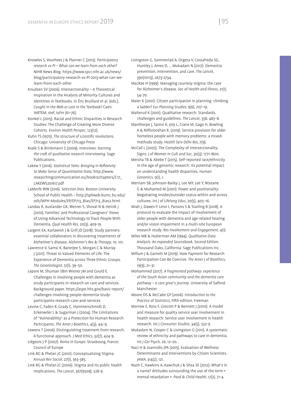- Knowles S, Voorhees J & Planner C (2015). *Participatory research vs PI – What can we learn from each other?* NIHR News Blog. https://www.spcr.nihr.ac.uk/news/ blog/participatory-research-vs-PI-2013-what-can-welearn-from-each-other
- Knudsen SV (2006). Intersectionality A Theoretical Inspiration in the Analysis of Minority Cultures and Identities in Textbooks. In Éric Bruillard et al. (eds.). *Caught in the Web or Lost in the Textbook?* Caen: IARTEM, stef, Iufm (61–76).
- Konkel L (2015). Racial and Ethnic Disparities in Research Studies: The Challenge of Creating More Diverse Cohorts. *Environ Health Perspec*, 123(12).
- Kuhn TS (1970). *The structure of scientific revolutions*. Chicago: University of Chicago Press
- Kvale S & Brinkmann S (2009). *Interviews: learning the cra of qualitative research interviewing*. Sage Publications.
- Lakew Y (2016). *Statistical Tales: Bringing in Reflexivity to Make Sense of Quantitative Data*. http://www. researchingcommunication.eu/book12chapters/C17\_ LAKEWS201617.pdf
- LaMorfe WW (2016). *Selection bias*. Boston University School of Public Health – http://sphweb.bumc.bu.edu/ otlt/MPH-Modules/EP/EP713\_Bias/EP713\_Bias2.html
- Landau R, Auslander GK, Werner S, Shoval N & Heinik J (2010). Families' and Professional Caregivers' Views of Using Advanced Technology to Track People With Dementia. *Qual Health Res*, 20(3), 409-19.
- Largent EA, Karlawish J & Grill JD (2018). Study partners: essential collaborators in discovering treatments of Alzheimer's disease. *Alzheimer's Res & Therapy*, 10, 101.
- Lawrence V, Samsi K, Banerjee S, Morgan C & Murray J (2011). Threat to Valued Elements of Life: The Experience of Dementia across Three Ethnic Groups. *The Gerontologist*, 51(1), 39–50.
- Lepore M, Shuman SBm Wiener JM and Gould E. Challenges in involving people with dementia as study participants in research on care and services. Background paper. https://aspe.hhs.gov/basic-report/ challenges-involving-people-dementia-studyparticipants-research-care-and-services
- Levine C, Faden R, Grady C, Hammerschmidt D, Eckenwiler L & Sugarman J (2004). The Limitations of "Vulnerability" as a Protection for Human Research Participants. *The Amer J Bioethics*, 4(3), 44–9.
- Lewens T (2006). Distinguishing treatment from research: A functional approach. *J Med Ethics*, 32(7), 424-9.
- Liégeois J-P (2007). *Roma in Europe*. Strasbourg, France: Council of Europe
- Link BG & Phelan JC (2001). Conceptualizing Stigma. *Annual Rev Sociol*, 27(1), 363-385.
- Link BG & Phelan JC (2006). Stigma and its public health implications. *The Lancet*, 367(9509), 528-9.
- Livingston G, Sommerlad A, Orgeta V, Costafreda SG, Huntley J, Ames D, … Mukadam N (2017). Dementia prevention, intervention, and care. *The Lancet*, 390(10113), 2673-2734.
- MacRae H (1999). Managing courtesy stigma: the case for Alzheimer's disease. *Soc of Health and Illness*, 21(1), 54–70.
- Maier K (2001). Citizen participation in planning: climbing a ladder? *Eur Planning Studies*, 9(6), 707–19.
- Malterud K (2001). Qualitative research: Standards, challenges and guidelines. *The Lancet*, 358, 483–8.
- Manthorpe J, Samsi K, Joly L, Crane M, Gage H, Bowling A & Nilforooshan R. (2019). Service provision for older homeless people with memory problems: a mixedmethods study. *Health Serv Deliv Res*, 7(9).
- McCall L (2005). The Complexity of Intersectionality. Signs: *J of Women in Cult and Soc*, 30(3), 1771-1800.
- Mersha TB & Abebe T (2015). Self-reported race/ethnicity in the age of genomic research: its potential impact on understanding health disparities. *Human Genomics*, 9(1), 1.
- Merriam SB, Johnson-Bailey J, Lee MY, Lee Y, Ntseane G & Muhamed M (2001). Power and positionality: Negotiating insider/outsider status within and across cultures. *Int J of Lifelong Educ*, 20(5), 405–16.
- Miah J, Dawes P, Leroi I, Parsons S & Starling B (2018). A protocol to evaluate the impact of involvement of older people with dementia and age-related hearing and/or vision impairment in a multi-site European research study*. Res Involvement and Engagement*, 4(1).
- Miles MB & Huberman AM (1994). *Qualitative Data Analysis. An expanded Sourcebook. Second Edition*. Thousand Oaks, California: Sage Publications Inc
- Millum J & Garnett M (2019). How Payment for Research Participation Can Be Coercive. *The Amer J of Bioethics*, 19(9), 21–31.
- Mohammed (2017). *A fragmented pathway: experience of the South Asian community and the dementia care pathway – a care giver's journey*. University of Salford: Manchester
- Moore DS & McCabe GP (2006). *Introduction to the Practice of Statistics*, Fifth edition, Freeman
- Morrow E, Ross F, Grocott P & Bennett J (2010). A model and measure for quality service user involvement in health research: Service user involvement in health research. *Int J Consumer Studies*, 34(5), 532-9.
- Mukadam N, Cooper C & Livingston G (2011). A systematic review of ethnicity and pathways to care in dementia. *Int J Ger Psych,* 26, 12–20.
- Naci H & Ioannidis JPA (2015). Evaluation of Wellness Determinants and Interventions by Citizen Scientists. *JAMA*, 314(2), 121.
- Nash C, Hawkins A, Kawchuk J & Shea SE (2012). What's in a name? Attitudes surrounding the use of the term « mental retardation ». *Paed & Child Health*, 17(2), 71-4.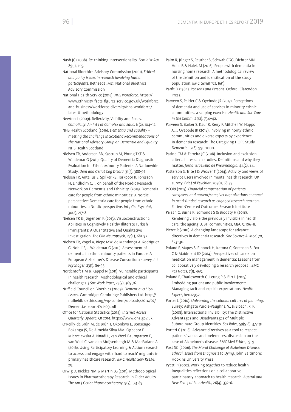- Nash JC (2008). Re-thinking intersectionality. *Feminist Rev,*  $89(1)$ ,  $1-15$ .
- National Bioethics Advisory Commission (2001), *Ethical and policy issues in research involving human participants*. Bethseda, MD: National Bioethics Advisory Commission
- National Health Service (2018). *NHS workforce*. https:// www.ethnicity-facts-figures.service.gov.uk/workforceand-business/workforce-diversity/nhs-workforce/ latest#methodology
- Newton L (2009). Reflexivity, Validity and Roses. *Complicity: An Int J of Complex and Educ*. 6 (2), 104–12.
- NHS Health Scotland (2016). *Dementia and equality meeting the challenge in Scotland Recommendations of the National Advisory Group on Dementia and Equality*. NHS Health Scotland
- Nielsen TR, Andersen BB, Kastrup M, Phung TKT & Waldemar G (2011). Quality of Dementia Diagnostic Evaluation for Ethnic Minority Patients: A Nationwide Study. *Dem and Geriat Cog Disord*, 31(5), 388-96.
- Nielsen TR, Antelius E, Spilker RS, Torkpoor R, Toresson H, Lindholm C, … on behalf of the Nordic Research Network on Dementia and Ethnicity. (2015). Dementia care for people from ethnic minorities: A Nordic perspective: Dementia care for people from ethnic minorities: a Nordic perspective. *Int J Ger Psychiat*, 30(2), 217-8.
- Nielsen TR & Jørgensen K (2013). Visuoconstructional Abilities in Cognitively Healthy Illiterate Turkish Immigrants : A Quantitative and Qualitative Investigation. *The Clin Neuropsych*, 27(4), 681-92.
- Nielsen TR, Vogel A, Riepe MW, de Mendonça A, Rodriguez G, Nobili F, … Waldemar G (2011). Assessment of dementia in ethnic minority patients in Europe: A European Alzheimer's Disease Consortium survey. *Int Psychoger*, 23(1), 86-95.
- Nordentoft HM & Kappel N (2011). Vulnerable participants in health research: Methodological and ethical challenges. *J Soc Work Pract*, 25(3), 365-76.
- Nuffield Council on Bioethics (2009). *Dementia: ethical issues*. Cambridge: Cambridge Publishers Ltd. http:// nuffieldbioethics.org/wp-content/uploads/2014/07/ Dementia-report-Oct-09.pdf
- Office for National Statistics (2014). *Internet Access Quarterly Update: Q1 2014*. https://www.ons.gov.uk
- O'Reilly-de Brún M, de Brún T, Okonkwo E, Bonsenge-Bokanga JS, De Almeida Silva MM, Ogbebor F, Mierzejewska A, Nnadi L, van Weel-Baumgarten E, van Weel C, van den Muijsenbergh M & MacFarlane A (2016). Using Participatory Learning & Action research to access and engage with 'hard to reach' migrants in primary healthcare research. *BMC Health Serv Res*.16, 25.
- Orwig D, Rickles NM & Martin LG (2011). Methodological Issues in Pharmacotherapy Research in Older Adults. *The Am J Geriat Pharmacotherapy*, 9(3), 173-89.
- Palm R, Jünger S, Reuther S, Schwab CGG, Dichter MN, Holle B & Halek M (2016). People with dementia in nursing home research: A methodological review of the definition and identification of the study population. *BMC Geriatrics*, 16(1).
- Parfit D (1984). *Reasons and Persons*. Oxford: Clarendon Press.
- Parveen S, Peltier C & Oyebode JR (2017). Perceptions of dementia and use of services in minority ethnic communities: a scoping exercise. *Health and Soc Care in the Comm,* 25(2), 734–42.
- Parveen S, Barker S, Kaur R, Kerry F, Mitchell W, Happs A, … Oyebode JR (2018). Involving minority ethnic communities and diverse experts by experience in dementia research: The Caregiving HOPE Study. *Dementia*, 17(8), 990-1000.
- Patino CM & Ferreira JC (2018). Inclusion and exclusion criteria in research studies: Definitions and why they matter. *Jornal Brasileiro de Pneumologia*, 44(2), 84.
- Patterson S, Trite J & Weaver T (2014). Activity and views of service users involved in mental health research: UK survey. *Brit J of Psychiat*, 205(1), 68-75.
- PCORI (2015). *Financial compensation of patients, caregivers, and patient/caregiver organizations engaged in pcori-funded research as engaged research partners*. Patient-Centered Outcomes Research Institute
- Peisah C, Burns K, Edmonds S & Brodaty H (2018). Rendering visible the previously invisible in health care: the ageing LGBTI communities, *MJA*, 3, 106–8.
- Pierce R (2010). A changing landscape for advance directives in dementia research. *Soc Science & Med*, 70, 623–30.
- Poland F, Mapes S, Pinnock H, Katona C, Sorensen S, Fox C & Maidment ID (2014). Perspectives of carers on medication management in dementia: Lessons from collaboratively developing a research proposal. *BMC Res Notes*, 7(1), 463.
- Poland F, Charlesworth G, Leung P & Birt L (2019). Embedding patient and public involvement: Managing tacit and explicit expectations. *Health Expect*, hex.12952.
- Porter L (2010). *Unlearning the colonial cultures of planning*. Surrey: Ashgate Purdie-Vaughns, V., & Eibach, R. P. (2008). Intersectional Invisibility: The Distinctive Advantages and Disadvantages of Multiple Subordinate-Group Identities. *Sex Roles*, 59(5-6), 377-91.
- Porteri C (2018). Advance directives as a tool to respect patients' values and preferences: discussion on the case of Alzheimer's disease. *BMC Med Ethics*, 19, 9
- Post SG (2006). *The Moral Challenge of Alzheimer Disease: Ethical Issues from Diagnosis to Dying*. John Baltimore: Hopkins University Press
- Pyett P (2002). Working together to reduce health inequalities reflections on a collaborative participatory approach to health research. *Austral and New Zeal J of Pub Health*, 26(4), 332-6.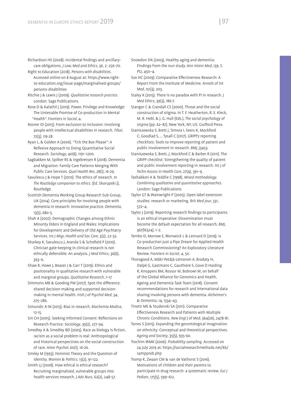- Richardson HS (2008). Incidental findings and ancillarycare obligations. *J Law, Med and Ethics*, 36, 2: 256–70.
- Right to Education (2018). *Persons with disabilities*. Accessed online on 8 August at: https://www.rightto-education.org/issue-page/marginalised-groups/ persons-disabilities
- Ritchie J & Lewis J (2009). *Qualitative research practice*. London: Sage Publications.
- Rose D & Kalathil J (2019). Power, Privilege and Knowledge: The Untenable Promise of Co-production in Mental "Health". *Frontiers in Sociol*, 4.
- Rosner ID (2015). From exclusion to inclusion: involving people with intellectual disabilities in research. *Tiltai*, 72(3), 119-28.
- Ryan L, & Golden A (2006). "Tick the Box Please": A Reflexive Approach to Doing Quantitative Social Research. *Sociology*, 40(6), 1191–1200.
- Sagbakken M, Spilker RS & Ingebretsen R (2018). Dementia and Migration: Family Care Patterns Merging With Public Care Services. *Qual Health Res*, 28(1), 16-29.
- Savulescu J & Hope T (2010). The ethics of research. In *The Routledge companion to ethics*. (Ed. Skorupski J), Routledge.
- Scottish Dementia Working Group Research Sub-Group, UK (2014). Core principles for involving people with dementia in research: Innovative practice. *Dementia*, 13(5), 680-5.
- Shah A (2007). Demographic Changes among Ethnic Minority Elders in England and Wales: Implications for Development and Delivery of Old Age Psychiatry Services. *Int J Migr, Health and Soc Care*, 3(2), 22-32.
- Sharkey K, Savulescu J, Aranda S & Schofield P (2010). Clinician gate-keeping in clinical research is not ethically defensible: An analysis. *J Med Ethics*, 36(6), 363–6.
- Shaw R, Howe J, Beazer J & Carr T (2019). Ethics and positionality in qualitative research with vulnerable and marginal groups, *Qualitative Research*, 1–17
- Simmons MB & Gooding PM (2017). Spot the difference: shared decision-making and supported decisionmaking in mental health. *Irish J of Psychol Med*, 34, 275–286.
- Simundic A-M (2013). Bias in research. *Biochemia Medica*, 12-15.
- Sin CH (2005). Seeking Informed Consent: Reflections on Research Practice. *Sociology*, 39(2), 277-94.
- Smedley A & Smedley BD (2005). Race as biology is fiction, racism as a social problem is real: Anthropological and historical perspectives on the social construction of race. *Amer Psychol*, 60(1), 16-26.
- Smiley M (1993). Feminist Theory and the Question of Identity. *Women & Politics*, 13(2), 91-122.
- Smith LJ (2008). How ethical is ethical research? Recruiting marginalized, vulnerable groups into health services research. *J Adv Nurs*, 62(2), 248-57.
- Snowdon DA (2003), Healthy aging and dementia: Findings from the nun study. *Ann Intern Med*, 139, S Pl2, 450–4.
- Sox HC (2009). Comparative Effectiveness Research: A Report From the Institute of Medicine. *Annals of Int Med*, 151(3), 203.
- Staley K (2013). There is no paradox with PI in research. *J Med Ethics*, 39(3), 186-7.
- Stangor C & Crandall CS (2000). Threat and the social construction of stigma. In T. F. Heatherton, R. E. Kleck, M. R. Hebl, & J. G. Hull (Eds.), *The social psychology of stigma* (pp. 62–87). New York, NY, US: Guilford Press.
- Staniszewska S, Brett J, Simera I, Seers K, Mockford C, Goodlad S, … Tysall C (2017). GRIPP2 reporting checklists: Tools to improve reporting of patient and public involvement in research. *BMJ*, j3453.
- Staniszewska S, Brett, J, Mockford C & Barber R (2011). The GRIPP checklist: Strengthening the quality of patient and public involvement reporting in research. *Int J of Techn Assess in Health Care*, 27(4), 391–9.
- Tashakkori A & Teddlie C (1998). *Mixed methodology. Combining qualitative and quantitative approaches*. London: Sage Publications
- Taylor GT & Wainwright P (2005). Open label extension studies: research or marketing. *Brit Med Jour*, 331, 572–4.
- Taylor J (2019). Reporting research findings to participants is an ethical imperative: Dissemination must become the default expectation for all research, *BMJ*, 367(l6324), 1–2.
- Tembo D, Morrow E, Worswick L & Lennard D (2019). Is Co-production Just a Pipe Dream for Applied Health Research Commissioning? An Exploratory Literature Review. *Frontiers in Sociol,* 4, 50.
- Thorogood A, Mäki-Petäjä-Leinonen A, Brodaty H, Dalpé G, Gastmans C, Gauthiere S, Gove D Harding R, Knoppers BM, Rossor M, Bobrowi M, on behalf of the Global Alliance for Genomics and Health, Ageing and Dementia Task Team (2018). Consent recommendations for research and international data sharing involving persons with dementia. *Alzheimer's & Dementia*, 14, 1334–43.
- Tinetti ME & Studenski SA (2011). Comparative Effectiveness Research and Patients with Multiple Chronic Conditions. *New Engl J of Med*, 364(26), 2478-81.
- Torres S (2015). Expanding the gerontological imagination on ethnicity: Conceptual and theoretical perspectives. *Ageing and Society*, 35(5), 935-60.
- Trochim WMK (2006). *Probability sampling*. Accessed on 24 July 2019 at: https://socialresearchmethods.net/kb/ sampprob.php
- Tromp K, Zwaan CM & van de Vathorst S (2016). Motivations of children and their parents to participate in drug research: a systematic review. *Eur J Pediatr*, 175(5), 599–612.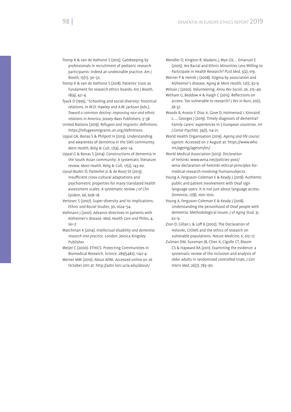- Tromp K & van de Vathorst S (2015). Gatekeeping by professionals in recruitment of pediatric research participants: Indeed an undesirable practice. *Am J Bioeth*, 15(11), 30–32.
- Tromp K & van de Vathorst S (2018). Patients' trust as fundament for research ethics boards. *Am J Bioeth*,  $18(A)$ ,  $12-A$
- Tyack D (1995), "Schooling and social diversity: historical relations. In W.D. Hawley and A.W. Jackson (eds.), *Toward a common destiny: improving race and ethnic relations in America*, Jossey-Bass Publishers, 3–38
- United Nations (2019). *Refugees and migrants: definitions*. https://refugeesmigrants.un.org/definitions
- Uppal GK, Bonas S & Philpott H (2013). Understanding and awareness of dementia in the Sikh community. *Ment Health, Relig & Cult*, 17(4), 400–14.
- Uppal G & Bonas S (2014). Constructions of dementia in the South Asian community: A systematic literature review. *Ment Health, Relig & Cult,* 17(2), 143-60.
- Uysal-Bozkir Ö, Parlevliet JL & de Rooij SE (2013). Insufficient cross-cultural adaptations and psychometric properties for many translated health assessment scales: A systematic review. *J of Clin Epidem*, 66, 608–18.
- Vertovec S (2007). Super-diversity and its implications. *Ethnic and Racial Studies*, 30, 1024–54.
- Vollmann J (2001). Advance directives in patients with Alzheimer's disease. *Med, Health Care and Philos*, 4, 161–7.
- Watchman K (2014). *Intellectual disability and dementia: research into practice*. London, Jessica Kingsley Publisher.
- Weijer C (2000). ETHICS: Protecting Communities in Biomedical Research. *Science*, 289(5482), 1142-4.
- Weiner MW (2010). *About ADNI.* Accessed online on 26 October 2011 at: http://adni.loni.ucla.edu/about/
- Wendler D, Kington R, Madans J, Wye GV, … Emanuel E (2005). Are Racial and Ethnic Minorities Less Willing to Participate in Health Research? *PLoS Med*, 3(2), e19.
- Werner P & Heinik J (2008). Stigma by association and Alzheimer's disease. *Aging & Ment Health,* 12(1), 92-9. Wilson J (2000). Volunteering. *Annu Rev Sociol*, 26, 215–40.
- Witham G, Beddow A & Haigh C (2015). Reflections on access: Too vulnerable to research? *J Res in Nurs*, 20(1), 28-37.
- Woods B, Arosio F, Diaz A, Gove D, Holmerová I, Kinnaird L, … Georges J (2019). Timely diagnosis of dementia? Family carers' experiences in 5 European countries. *Int J Geriat Psychiat*, 34(1), 114-21.
- World Health Organisation (2019). *Ageing and life course: ageism*. Accessed on 7 August at: https://www.who. int/ageing/ageism/en/
- World Medical Association (2013). *Declaration of Helsinki*. www.wma.net/policies-post/ wma-declaration-of-helsinki-ethical-principles-formedical-research-involving-humansubjects.
- Young A, Ferguson-Coleman E & Keady J (2018). Authentic public and patient involvement with Deaf sign language users: It is not just about language access. *Dementia*, 17(8), 1001-1010.
- Young A, Ferguson-Coleman E & Keady J (2018). Understanding the personhood of Deaf people with dementia: Methodological issues. *J of Aging Stud*, 31, 62–9.
- Zion D, Gillan L & Loff B (2002). The Declaration of Helsinki, CIOMS and the ethics of research on vulnerable populations. *Nature Medicine*, 6, 615–17.
- Zulman DM, Sussman JB, Chen X, Cigolle CT, Blaum CS & Hayward RA (2011). Examining the evidence: a systematic review of the inclusion and analysis of older adults in randomized controlled trials. *J Gen Intern Med*, 26(7), 783–90.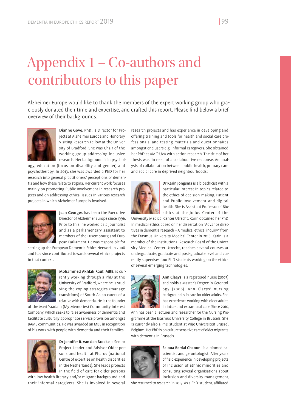## Appendix 1 – Co-authors and contributors to this paper

Alzheimer Europe would like to thank the members of the expert working group who graciously donated their time and expertise, and drafted this report. Please find below a brief overview of their backgrounds.



Dianne Gove, PhD, is Director for Projects at Alzheimer Europe and Honorary Visiting Research Fellow at the University of Bradford. She was Chair of the working group addressing inclusive research. Her background is in psychol-

ogy, education (focus on disability and gender) and psychotherapy. In 2013, she was awarded a PhD for her research into general practitioners' perceptions of dementia and how these relate to stigma. Her current work focuses mainly on promoting Public Involvement in research projects and on addressing ethical issues in various research projects in which Alzheimer Europe is involved.



Jean Georges has been the Executive Director of Alzheimer Europe since 1996. Prior to this, he worked as a journalist and as a parliamentary assistant to members of the Luxembourg and European Parliament. He was responsible for

setting up the European Dementia Ethics Network in 2008 and has since contributed towards several ethics projects in that context.



Mohammed Akhlak Rauf, MBE, is currently working through a PhD at the University of Bradford, where he is studying the coping strategies (manage transitions) of South Asian carers of a relative with dementia. He is the founder

of the Meri Yaadain (My Memories) Community Interest Company, which seeks to raise awareness of dementia and facilitate culturally appropriate service provision amongst BAME communities. He was awarded an MBE in recognition of his work with people with dementia and their families.



Dr Jennifer R. van den Broeke is Senior Project Leader and Advisor Older persons and health at Pharos (national Centre of expertise on health disparities in the Netherlands). She leads projects in the field of care for older persons

with low health literacy and/or migrant background and their informal caregivers. She is involved in several research projects and has experience in developing and offering training and tools for health and social care professionals, and testing materials and questionnaires amongst end users e.g. informal caregivers. She obtained her PhD at AMC-UvA with action research. The title of her thesis was 'In need of a collaborative response. An analysis of collaboration between public health, primary care and social care in deprived neighbourhoods'.



Dr Karin Jongsma is a bioethicist with a particular interest in topics related to the ethics of decision-making, Patient and Public Involvement and digital health. She is Assistant Professor of Bioethics at the Julius Center of the

University Medical Center Utrecht. Karin obtained her PhD in medical ethics based on her dissertation "Advance directives in dementia research – A medical ethical inquiry" from the Erasmus University Medical Center in 2016. Karin is a member of the Institutional Research Board of the University Medical Center Utrecht, teaches several courses at undergraduate, graduate and post-graduate level and currently supervises four PhD students working on the ethics of several emerging technologies.



Ann Claeys is a registered nurse (2003) and holds a Master's Degree in Gerontology (2006). Ann Claeys' nursing background is in care for older adults. She has experience working with older adults in intra- and extramural care. Since 2010,

Ann has been a lecturer and researcher for the Nursing Programme at the Erasmus University College in Brussels. She is currently also a PhD student at Vrije Universiteit Brussel, Belgium. Her PhD is on culture sensitive care of older migrants with dementia in Brussels.



Saloua Berdai Chaouni is a biomedical scientist and gerontologist. After years of field experience in developing projects of inclusion of ethnic minorities and consulting several organisations about inclusion and diversity management,

she returned to research in 2015. As a PhD-student, affiliated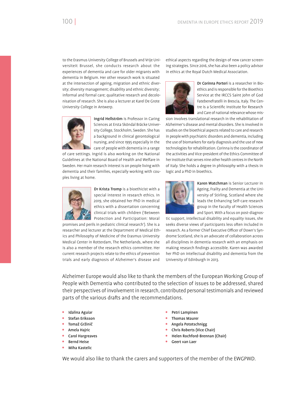to the Erasmus University College of Brussels and Vrije Universiteit Brussel, she conducts research about the experiences of dementia and care for older migrants with dementia in Belgium. Her other research work is situated at the intersection of ageing, migration and ethnic diversity; diversity management; disability and ethnic diversity; informal and formal care; qualitative research and decolonisation of research. She is also a lecturer at Karel De Grote University College in Antwerp.



Ingrid Hellström is Professor in Caring Sciences at Ersta Sköndal Bräcke University College, Stockholm, Sweden. She has a background in clinical gerontological nursing, and since 1995 especially in the care of people with dementia in a range

of care settings. Ingrid is also working on the National Guidelines at the National Board of Health and Welfare in Sweden. Her main research interest is on people living with dementia and their families, especially working with couples living at home.



Dr Krista Tromp is a bioethicist with a special interest in research ethics. In 2019, she obtained her PhD in medical ethics with a dissertation concerning clinical trials with children ('Between Protection and Participation: Moral

promises and perils in pediatric clinical research'). She is a researcher and lecturer at the Department of Medical Ethics and Philosophy of Medicine of the Erasmus University Medical Center in Rotterdam, The Netherlands, where she is also a member of the research ethics committee. Her current research projects relate to the ethics of prevention trials and early diagnosis of Alzheimer's disease and

ethical aspects regarding the design of new cancer screening strategies. Since 2016, she has also been a policy advisor in ethics at the Royal Dutch Medical Association.



Dr Corinna Porteri is a researcher in Bioethics and is responsible for the Bioethics Service at the IRCCS Saint John of God Fatebenefratelli in Brescia, Italy. The Centre is a Scientific Institute for Research and Care of national relevance whose mis-

sion involves translational research in the rehabilitation of Alzheimer's disease and mental disorders. She is involved in studies on the bioethical aspects related to care and research in people with psychiatric disorders and dementia, including the use of biomarkers for early diagnosis and the use of new technologies for rehabilitation. Corinna is the coordinator of the activities and Vice-president of the Ethics Committee of her institute that serves nine other health centres in the North of Italy. She holds a degree in philosophy with a thesis in logic and a PhD in bioethics.



Karen Watchman is Senior Lecturer in Ageing, Frailty and Dementia at the University of Stirling, Scotland where she leads the Enhancing Self-care research group in the Faculty of Health Sciences and Sport. With a focus on post-diagnos-

tic support, intellectual disability and equality issues, she seeks diverse views of participants less often included in research. As a former Chief Executive Officer of Down's Syndrome Scotland, she is an advocate of collaboration across all disciplines in dementia research with an emphasis on making research findings accessible. Karen was awarded her PhD on intellectual disability and dementia from the University of Edinburgh in 2013.

Alzheimer Europe would also like to thank the members of the European Working Group of People with Dementia who contributed to the selection of issues to be addressed, shared their perspectives of involvement in research, contributed personal testimonials and reviewed parts of the various drafts and the recommendations.

- Idalina Aguiar
- Stefan Eriksson
- Tomaž Gržinič
- Amela Hajric
- Carol Hargreaves
- Bernd Heise
- Miha Kastelic
- Petri Lampinen
- Thomas Maurer
- Angela Pototschnigg
- Chris Roberts (Vice Chair)
- Helen Rochford-Brennan (Chair)
- Geert van Laer

We would also like to thank the carers and supporters of the member of the EWGPWD.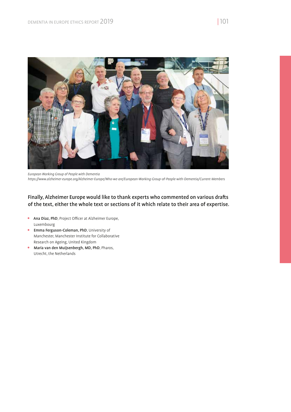

*European Working Group of People with Dementia https://www.alzheimer-europe.org/Alzheimer-Europe/Who-we-are/European-Working-Group-of-People-with-Dementia/Current-Members*

## Finally, Alzheimer Europe would like to thank experts who commented on various drafts of the text, either the whole text or sections of it which relate to their area of expertise.

- Ana Diaz, PhD, Project Officer at Alzheimer Europe, Luxembourg
- **•** Emma Ferguson-Coleman, PhD, University of Manchester, Manchester Institute for Collaborative Research on Ageing, United Kingdom
- **Maria van den Muijsenbergh, MD, PhD, Pharos,** Utrecht, the Netherlands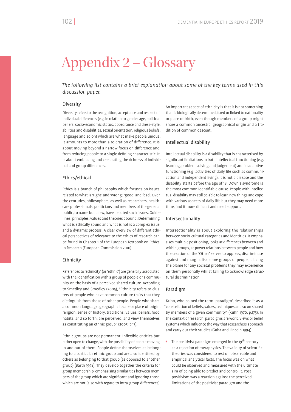# Appendix 2 – Glossary

*The following list contains a brief explanation about some of the key terms used in this discussion paper.*

## Diversity

Diversity refers to the recognition, acceptance and respect of individual differences (e.g. in relation to gender, age, political beliefs, socio-economic status, appearance and dress-style, abilities and disabilities, sexual orientation, religious beliefs, language and so on) which are what make people unique. It amounts to more than a toleration of difference. It is about moving beyond a narrow focus on difference and from reducing people to a single defining characteristic. It is about embracing and celebrating the richness of individual and group differences.

## Ethics/ethical

Ethics is a branch of philosophy which focuses on issues related to what is 'right' and 'wrong', 'good' and 'bad'. Over the centuries, philosophers, as well as researchers, healthcare professionals, politicians and members of the general public, to name but a few, have debated such issues. Guidelines, principles, values and theories abound. Determining what is ethically sound and what is not is a complex issue and a dynamic process. A clear overview of different ethical perspectives of relevance to the ethics of research can be found in Chapter 1 of the European Textbook on Ethics in Research (European Commission 2010).

## Ethnicity

References to 'ethnicity' (or 'ethnic') are generally associated with the identification with a group of people or a community on the basis of a perceived shared culture. According to Smedley and Smedley (2005), "Ethnicity refers to clusters of people who have common culture traits that they distinguish from those of other people. People who share a common language, geographic locale or place of origin, religion, sense of history, traditions, values, beliefs, food habits, and so forth, are perceived, and view themselves as constituting an ethnic group" (2005, p.17).

Ethnic groups are not permanent, inflexible entities but rather open to change, with the possibility of people moving in and out of them. People define themselves as belonging to a particular ethnic group and are also identified by others as belonging to that group (as opposed to another group) (Barth 1998). They develop together the criteria for group membership, emphasising similarities between members of the group which are significant and ignoring those which are not (also with regard to intra-group differences).

An important aspect of ethnicity is that it is not something that is biologically determined, fixed or linked to nationality or place of birth, even though members of a group might share a common ancestral geographical origin and a tradition of common descent.

## Intellectual disability

Intellectual disability is a disability that is characterised by significant limitations in both intellectual functioning (e.g. learning, problem solving and judgement) and in adaptive functioning (e.g. activities of daily life such as communication and independent living). It is not a disease and the disability starts before the age of 18. Down's syndrome is the most common identifiable cause. People with intellectual disability may still be able to learn new things and cope with various aspects of daily life but they may need more time, find it more difficult and need support.

### Intersectionality

Intersectionality is about exploring the relationships between socio-cultural categories and identities. It emphasises multiple positioning, looks at differences between and within groups, at power relations between people and how the creation of the 'Other' serves to oppress, discriminate against and marginalise some groups of people, placing the blame for any societal problems they may experience on them personally whilst failing to acknowledge structural discrimination.

## Paradigm

Kuhn, who coined the term 'paradigm', described it as a "constellation of beliefs, values, techniques and so on shared by members of a given community" (Kuhn 1970, p.175). In the context of research, paradigms are world views or belief systems which influence the way that researchers approach and carry out their studies (Guba and Lincoln 1994).

 $\bullet$  The positivist paradigm emerged in the 19<sup>th</sup> century as a rejection of metaphysics. The validity of scientific theories was considered to rest on observable and empirical analytical facts. The focus was on what could be observed and measured with the ultimate aim of being able to predict and control it. Postpositivism was a reaction against the perceived limitations of the positivist paradigm and the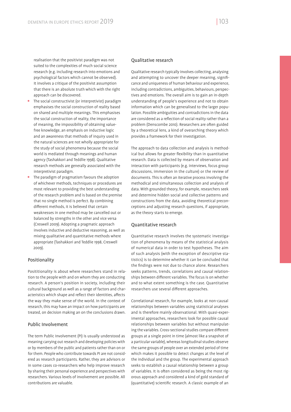realisation that the positivist paradigm was not suited to the complexities of much social science research (e.g. including research into emotions and psychological factors which cannot be observed). It involves a critique of the positivist assumption that there is an absolute truth which with the right approach can be discovered.

- The social constructivist (or interpretivist) paradigm emphasises the social construction of reality based on shared and multiple meanings. This emphasises the social construction of reality, the importance of meaning, the impossibility of obtaining valuefree knowledge, an emphasis on inductive logic and an awareness that methods of inquiry used in the natural sciences are not wholly appropriate for the study of social phenomena because the social world is mediated through meanings and human agency (Tashakkori and Teddlie 1998). Qualitative research methods are generally associated with the interpretivist paradigm.
- The paradigm of pragmatism favours the adoption of whichever methods, techniques or procedures are most relevant to providing the best understanding of the research problem and is based on the premise that no single method is perfect. By combining different methods, it is believed that certain weaknesses in one method may be cancelled out or balanced by strengths in the other and vice versa (Creswell 2009). Adopting a pragmatic approach involves inductive and deductive reasoning, as well as mixing qualitative and quantitative methods where appropriate (Tashakkori and Teddlie 1998, Creswell 2009).

## Positionality

Posititionality is about where researchers stand in relation to the people with and on whom they are conducting research. A person's position in society, including their cultural background as well as a range of factors and characteristics which shape and reflect their identities, affects the way they make sense of the world. In the context of research, this may have an impact on how participants are treated, on decision making an on the conclusions drawn.

## Public Involvement

The term Public Involvement (PI) is usually understood as meaning carrying out research and developing policies with or by members of the public and patients rather than on or for them. People who contribute towards PI are not considered as research participants. Rather, they are advisors or in some cases co-researchers who help improve research by sharing their personal experience and perspectives with researchers. Various levels of involvement are possible. All contributions are valuable.

## Qualitative research

Qualitative research typically involves collecting, analysing and attempting to uncover the deeper meaning, significance and uniqueness of human behaviour and experience, including contradictions, ambiguities, behaviours, perspectives and emotions. The overall aim is to gain an in-depth understanding of people's experience and not to obtain information which can be generalised to the larger population. Possible ambiguities and contradictions in the data are considered as a reflection of social reality rather than a problem (Denscombe 2010). Researchers are often guided by a theoretical lens, a kind of overarching theory which provides a framework for their investigation.

The approach to data collection and analysis is methodical but allows for greater flexibility than in quantitative research. Data is collected by means of observation and interaction with participants (e.g. interviews, focus group discussions, immersion in the culture) or the review of documents. This is often an iterative process involving the methodical and simultaneous collection and analysis of data. With grounded theory, for example, researchers seek and determine hidden social and collective patterns and constructions from the data, avoiding theoretical preconceptions and adjusting research questions, if appropriate, as the theory starts to emerge.

## Quantitative research

Quantitative research involves the systematic investigation of phenomena by means of the statistical analysis of numerical data in order to test hypotheses. The aim of such analysis (with the exception of descriptive statistics) is to determine whether it can be concluded that the findings were not due to chance alone. Researchers seeks patterns, trends, correlations and causal relationships between different variables. The focus is on whether and to what extent something is the case. Quantitative researchers use several different approaches.

Correlational research, for example, looks at non-causal relationships between variables using statistical analyses and is therefore mainly observational. With quasi-experimental approaches, researchers look for possible causal relationships between variables but without manipulating the variables. Cross-sectional studies compare different groups at a single point in time (almost like a snapshot of a particular variable), whereas longitudinal studies observe the same groups of people over an extended period of time which makes it possible to detect changes at the level of the individual and the group. The experimental approach seeks to establish a causal relationship between a group of variables. It is often considered as being the most rigorous approach and considered a kind of gold standard of (quantitative) scientific research. A classic example of an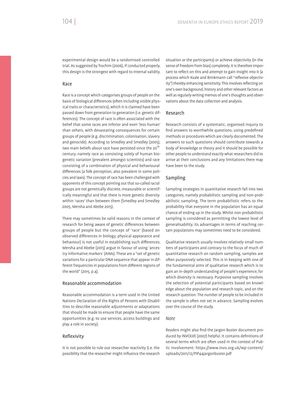experimental design would be a randomised controlled trial. As suggested by Trochim (2006), if conducted properly, this design is the strongest with regard to internal validity.

## Race

Race is a concept which categorises groups of people on the basis of biological differences (often including visible physical traits or characteristics), which it is claimed have been passed down from generation to generation (i.e. genetic differences). The concept of race is often associated with the belief that some races are inferior and even 'less human' than others, with devastating consequences for certain groups of people (e.g. discrimination, colonisation, slavery and genocide). According to Smedley and Smedley (2005), two main beliefs about race have persisted since the 20<sup>th</sup> century, namely race as consisting solely of human biogenetic variation (prevalent amongst scientists) and race consisting of a combination of physical and behavioural differences (a folk perception, also prevalent in some policies and laws). The concept of race has been challenged with opponents of this concept pointing out that so-called racial groups are not genetically discrete, measurable or scientifically meaningful and that there is more genetic diversity within 'races' than between them (Smedley and Smedley 2005, Mersha and Abebe 2015).

There may sometimes be valid reasons in the context of research for being aware of genetic differences between groups of people but the concept of 'race' (based on observed differences in biology, physical appearance and behaviour) is not useful in establishing such differences. Mersha and Abebe (2015) argue in favour of using 'ancestry informative markers' (AIMs). These are a "set of genetic variations for a particular DNA sequence that appear in different frequencies in populations from different regions of the world" (2015, p.4).

## Reasonable accommodation

Reasonable accommodation is a term used in the United Nations Declaration of the Rights of Persons with Disabilities to describe reasonable adjustments or adaptations that should be made to ensure that people have the same opportunities (e.g. to use services, access buildings and play a role in society).

## Reflexivity

It is not possible to rule out researcher reactivity (i.e. the possibility that the researcher might influence the research situation or the participants) or achieve objectivity (in the sense of freedom from bias) completely. It is therefore important to reflect on this and attempt to gain insight into it (a process which Kvale and Brinkmann call "reflexive objectivity") thereby enhancing sensitivity. This involves reflecting on one's own background, history and other relevant factors as well as regularly writing memos of one's thoughts and observations about the data collection and analysis.

### Research

Research consists of a systematic, organised inquiry to find answers to worthwhile questions, using predefined methods or procedures which are clearly documented. The answers to such questions should contribute towards a body of knowledge or theory and it should be possible for other people to understand exactly what researchers did to arrive at their conclusions and any limitations there may have been to the study.

### Sampling

Sampling strategies in quantitative research fall into two categories, namely probabilistic sampling and non-probabilistic sampling. The term probabilistic refers to the probability that everyone in the population has an equal chance of ending up in the study. Whilst non-probabilistic sampling is considered as permitting the lowest level of generalisability, its advantages in terms of reaching certain populations may sometimes need to be considered.

Qualitative research usually involves relatively small numbers of participants and contrary to the focus of much of quantitative research on random sampling, samples are often purposively selected. This is in keeping with one of the fundamental aims of qualitative research which is to gain an in-depth understanding of people's experience, for which diversity is necessary. Purposive sampling involves the selection of potential participants based on knowledge about the population and research topic, and on the research question. The number of people to be included in the sample is often not set in advance. Sampling evolves over the course of the study.

### *Note*

Readers might also find the Jargon Buster document produced by INVOLVE (2007) helpful. It contains definitions of several terms which are often used in the context of Public Involvement: https://www.invo.org.uk/wp-content/ uploads/2011/12/PIP44jargonbuster.pdf